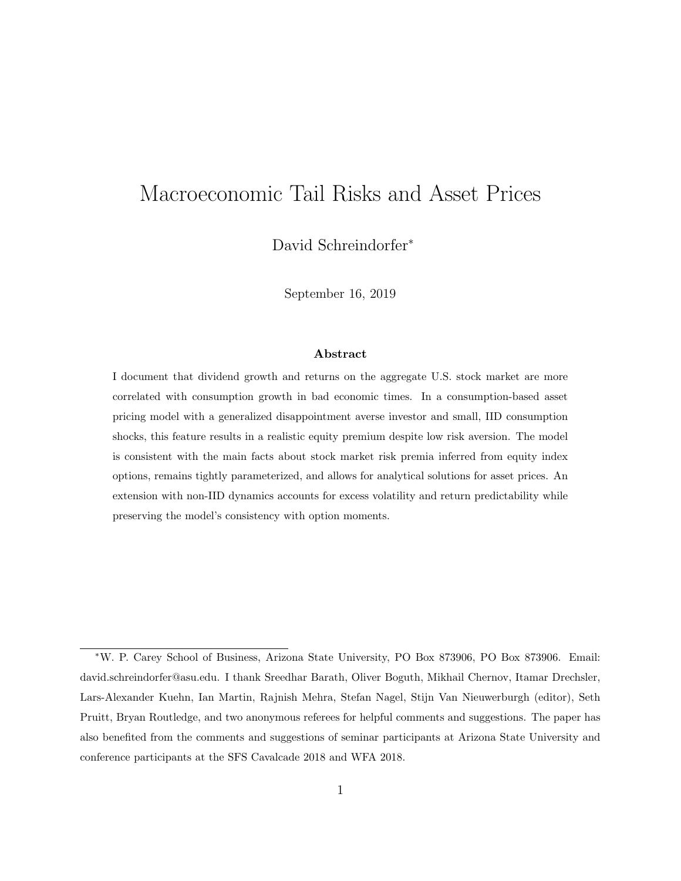# Macroeconomic Tail Risks and Asset Prices

David Schreindorfer<sup>∗</sup>

September 16, 2019

#### Abstract

I document that dividend growth and returns on the aggregate U.S. stock market are more correlated with consumption growth in bad economic times. In a consumption-based asset pricing model with a generalized disappointment averse investor and small, IID consumption shocks, this feature results in a realistic equity premium despite low risk aversion. The model is consistent with the main facts about stock market risk premia inferred from equity index options, remains tightly parameterized, and allows for analytical solutions for asset prices. An extension with non-IID dynamics accounts for excess volatility and return predictability while preserving the model's consistency with option moments.

<sup>∗</sup>W. P. Carey School of Business, Arizona State University, PO Box 873906, PO Box 873906. Email: david.schreindorfer@asu.edu. I thank Sreedhar Barath, Oliver Boguth, Mikhail Chernov, Itamar Drechsler, Lars-Alexander Kuehn, Ian Martin, Rajnish Mehra, Stefan Nagel, Stijn Van Nieuwerburgh (editor), Seth Pruitt, Bryan Routledge, and two anonymous referees for helpful comments and suggestions. The paper has also benefited from the comments and suggestions of seminar participants at Arizona State University and conference participants at the SFS Cavalcade 2018 and WFA 2018.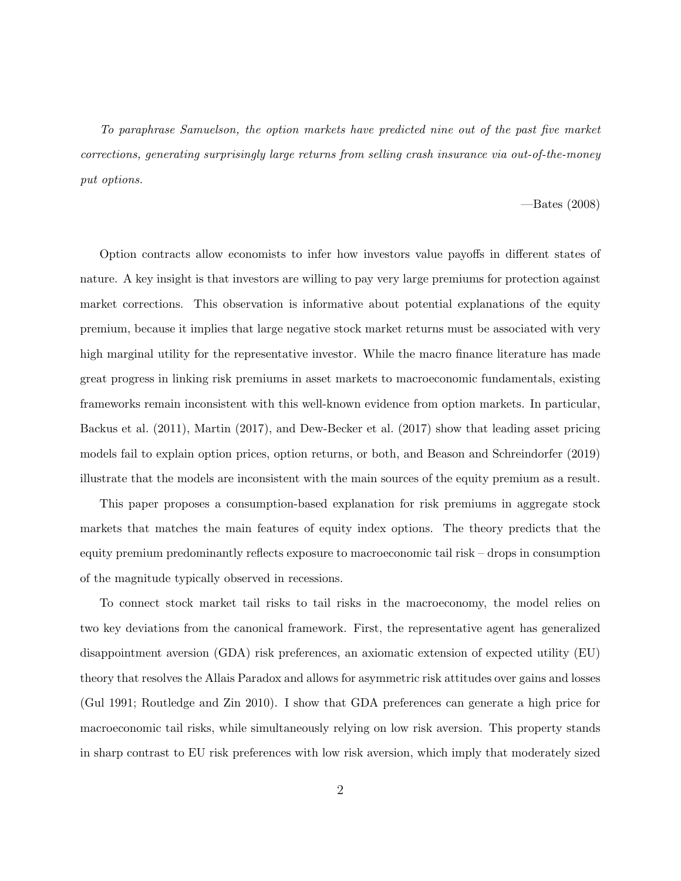To paraphrase Samuelson, the option markets have predicted nine out of the past five market corrections, generating surprisingly large returns from selling crash insurance via out-of-the-money put options.

#### —Bates (2008)

Option contracts allow economists to infer how investors value payoffs in different states of nature. A key insight is that investors are willing to pay very large premiums for protection against market corrections. This observation is informative about potential explanations of the equity premium, because it implies that large negative stock market returns must be associated with very high marginal utility for the representative investor. While the macro finance literature has made great progress in linking risk premiums in asset markets to macroeconomic fundamentals, existing frameworks remain inconsistent with this well-known evidence from option markets. In particular, Backus et al. (2011), Martin (2017), and Dew-Becker et al. (2017) show that leading asset pricing models fail to explain option prices, option returns, or both, and Beason and Schreindorfer (2019) illustrate that the models are inconsistent with the main sources of the equity premium as a result.

This paper proposes a consumption-based explanation for risk premiums in aggregate stock markets that matches the main features of equity index options. The theory predicts that the equity premium predominantly reflects exposure to macroeconomic tail risk – drops in consumption of the magnitude typically observed in recessions.

To connect stock market tail risks to tail risks in the macroeconomy, the model relies on two key deviations from the canonical framework. First, the representative agent has generalized disappointment aversion (GDA) risk preferences, an axiomatic extension of expected utility (EU) theory that resolves the Allais Paradox and allows for asymmetric risk attitudes over gains and losses (Gul 1991; Routledge and Zin 2010). I show that GDA preferences can generate a high price for macroeconomic tail risks, while simultaneously relying on low risk aversion. This property stands in sharp contrast to EU risk preferences with low risk aversion, which imply that moderately sized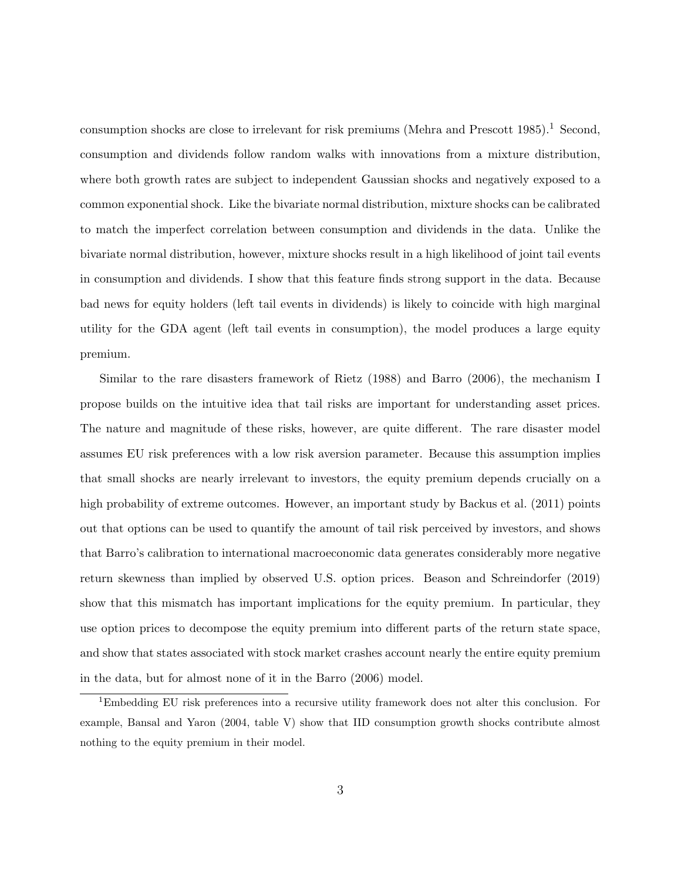consumption shocks are close to irrelevant for risk premiums (Mehra and Prescott 1985).<sup>1</sup> Second, consumption and dividends follow random walks with innovations from a mixture distribution, where both growth rates are subject to independent Gaussian shocks and negatively exposed to a common exponential shock. Like the bivariate normal distribution, mixture shocks can be calibrated to match the imperfect correlation between consumption and dividends in the data. Unlike the bivariate normal distribution, however, mixture shocks result in a high likelihood of joint tail events in consumption and dividends. I show that this feature finds strong support in the data. Because bad news for equity holders (left tail events in dividends) is likely to coincide with high marginal utility for the GDA agent (left tail events in consumption), the model produces a large equity premium.

Similar to the rare disasters framework of Rietz (1988) and Barro (2006), the mechanism I propose builds on the intuitive idea that tail risks are important for understanding asset prices. The nature and magnitude of these risks, however, are quite different. The rare disaster model assumes EU risk preferences with a low risk aversion parameter. Because this assumption implies that small shocks are nearly irrelevant to investors, the equity premium depends crucially on a high probability of extreme outcomes. However, an important study by Backus et al. (2011) points out that options can be used to quantify the amount of tail risk perceived by investors, and shows that Barro's calibration to international macroeconomic data generates considerably more negative return skewness than implied by observed U.S. option prices. Beason and Schreindorfer (2019) show that this mismatch has important implications for the equity premium. In particular, they use option prices to decompose the equity premium into different parts of the return state space, and show that states associated with stock market crashes account nearly the entire equity premium in the data, but for almost none of it in the Barro (2006) model.

<sup>1</sup>Embedding EU risk preferences into a recursive utility framework does not alter this conclusion. For example, Bansal and Yaron (2004, table V) show that IID consumption growth shocks contribute almost nothing to the equity premium in their model.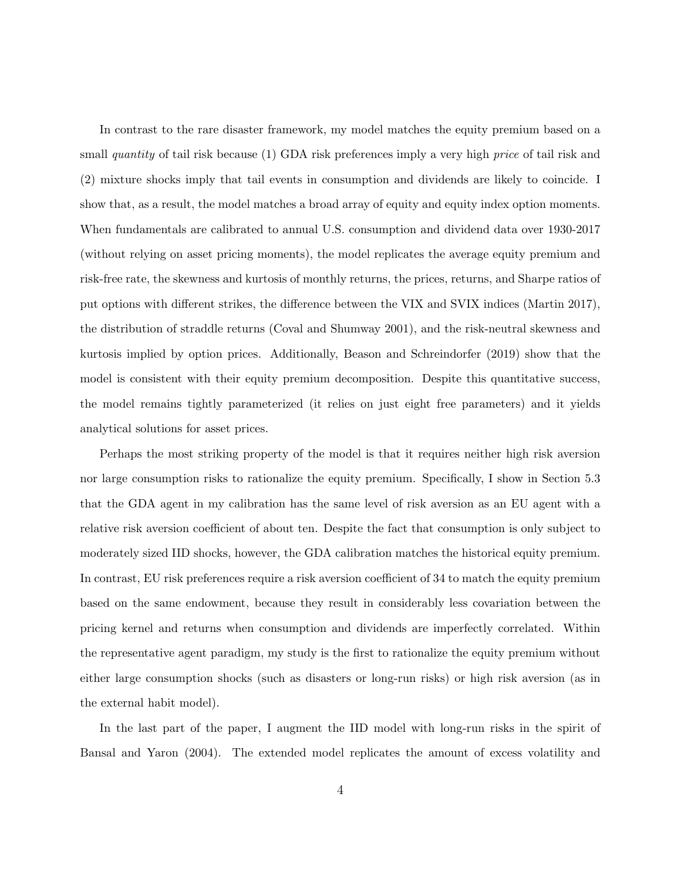In contrast to the rare disaster framework, my model matches the equity premium based on a small quantity of tail risk because (1) GDA risk preferences imply a very high *price* of tail risk and (2) mixture shocks imply that tail events in consumption and dividends are likely to coincide. I show that, as a result, the model matches a broad array of equity and equity index option moments. When fundamentals are calibrated to annual U.S. consumption and dividend data over 1930-2017 (without relying on asset pricing moments), the model replicates the average equity premium and risk-free rate, the skewness and kurtosis of monthly returns, the prices, returns, and Sharpe ratios of put options with different strikes, the difference between the VIX and SVIX indices (Martin 2017), the distribution of straddle returns (Coval and Shumway 2001), and the risk-neutral skewness and kurtosis implied by option prices. Additionally, Beason and Schreindorfer (2019) show that the model is consistent with their equity premium decomposition. Despite this quantitative success, the model remains tightly parameterized (it relies on just eight free parameters) and it yields analytical solutions for asset prices.

Perhaps the most striking property of the model is that it requires neither high risk aversion nor large consumption risks to rationalize the equity premium. Specifically, I show in Section 5.3 that the GDA agent in my calibration has the same level of risk aversion as an EU agent with a relative risk aversion coefficient of about ten. Despite the fact that consumption is only subject to moderately sized IID shocks, however, the GDA calibration matches the historical equity premium. In contrast, EU risk preferences require a risk aversion coefficient of 34 to match the equity premium based on the same endowment, because they result in considerably less covariation between the pricing kernel and returns when consumption and dividends are imperfectly correlated. Within the representative agent paradigm, my study is the first to rationalize the equity premium without either large consumption shocks (such as disasters or long-run risks) or high risk aversion (as in the external habit model).

In the last part of the paper, I augment the IID model with long-run risks in the spirit of Bansal and Yaron (2004). The extended model replicates the amount of excess volatility and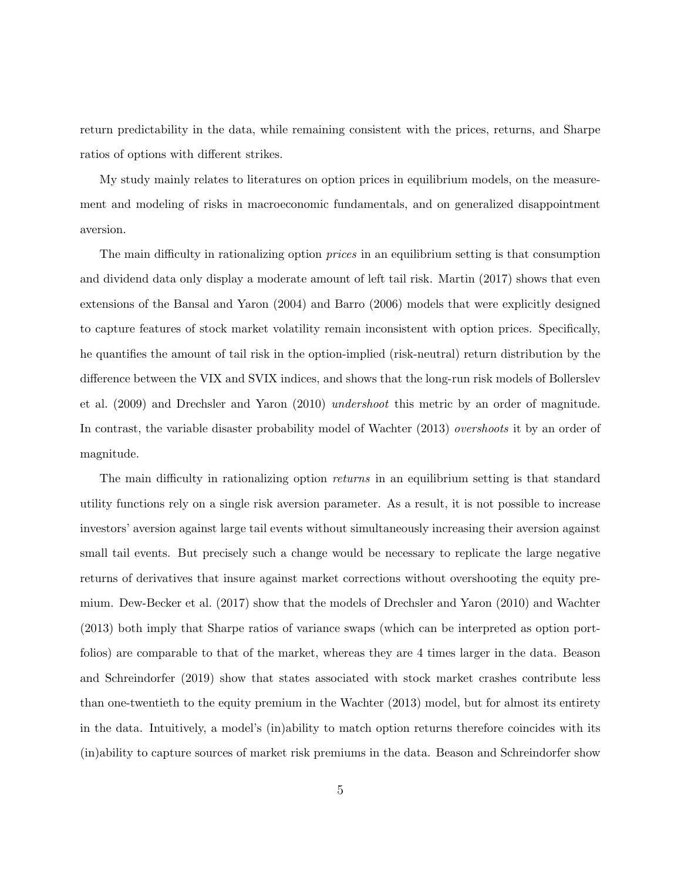return predictability in the data, while remaining consistent with the prices, returns, and Sharpe ratios of options with different strikes.

My study mainly relates to literatures on option prices in equilibrium models, on the measurement and modeling of risks in macroeconomic fundamentals, and on generalized disappointment aversion.

The main difficulty in rationalizing option *prices* in an equilibrium setting is that consumption and dividend data only display a moderate amount of left tail risk. Martin (2017) shows that even extensions of the Bansal and Yaron (2004) and Barro (2006) models that were explicitly designed to capture features of stock market volatility remain inconsistent with option prices. Specifically, he quantifies the amount of tail risk in the option-implied (risk-neutral) return distribution by the difference between the VIX and SVIX indices, and shows that the long-run risk models of Bollerslev et al. (2009) and Drechsler and Yaron (2010) undershoot this metric by an order of magnitude. In contrast, the variable disaster probability model of Wachter (2013) overshoots it by an order of magnitude.

The main difficulty in rationalizing option *returns* in an equilibrium setting is that standard utility functions rely on a single risk aversion parameter. As a result, it is not possible to increase investors' aversion against large tail events without simultaneously increasing their aversion against small tail events. But precisely such a change would be necessary to replicate the large negative returns of derivatives that insure against market corrections without overshooting the equity premium. Dew-Becker et al. (2017) show that the models of Drechsler and Yaron (2010) and Wachter (2013) both imply that Sharpe ratios of variance swaps (which can be interpreted as option portfolios) are comparable to that of the market, whereas they are 4 times larger in the data. Beason and Schreindorfer (2019) show that states associated with stock market crashes contribute less than one-twentieth to the equity premium in the Wachter (2013) model, but for almost its entirety in the data. Intuitively, a model's (in)ability to match option returns therefore coincides with its (in)ability to capture sources of market risk premiums in the data. Beason and Schreindorfer show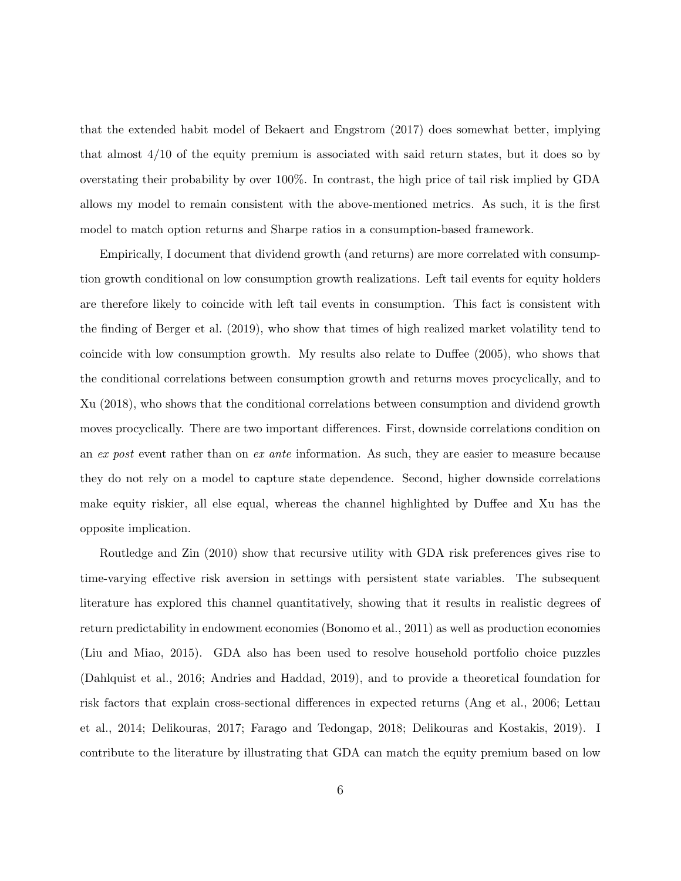that the extended habit model of Bekaert and Engstrom (2017) does somewhat better, implying that almost 4/10 of the equity premium is associated with said return states, but it does so by overstating their probability by over 100%. In contrast, the high price of tail risk implied by GDA allows my model to remain consistent with the above-mentioned metrics. As such, it is the first model to match option returns and Sharpe ratios in a consumption-based framework.

Empirically, I document that dividend growth (and returns) are more correlated with consumption growth conditional on low consumption growth realizations. Left tail events for equity holders are therefore likely to coincide with left tail events in consumption. This fact is consistent with the finding of Berger et al. (2019), who show that times of high realized market volatility tend to coincide with low consumption growth. My results also relate to Duffee (2005), who shows that the conditional correlations between consumption growth and returns moves procyclically, and to Xu (2018), who shows that the conditional correlations between consumption and dividend growth moves procyclically. There are two important differences. First, downside correlations condition on an ex post event rather than on ex ante information. As such, they are easier to measure because they do not rely on a model to capture state dependence. Second, higher downside correlations make equity riskier, all else equal, whereas the channel highlighted by Duffee and Xu has the opposite implication.

Routledge and Zin (2010) show that recursive utility with GDA risk preferences gives rise to time-varying effective risk aversion in settings with persistent state variables. The subsequent literature has explored this channel quantitatively, showing that it results in realistic degrees of return predictability in endowment economies (Bonomo et al., 2011) as well as production economies (Liu and Miao, 2015). GDA also has been used to resolve household portfolio choice puzzles (Dahlquist et al., 2016; Andries and Haddad, 2019), and to provide a theoretical foundation for risk factors that explain cross-sectional differences in expected returns (Ang et al., 2006; Lettau et al., 2014; Delikouras, 2017; Farago and Tedongap, 2018; Delikouras and Kostakis, 2019). I contribute to the literature by illustrating that GDA can match the equity premium based on low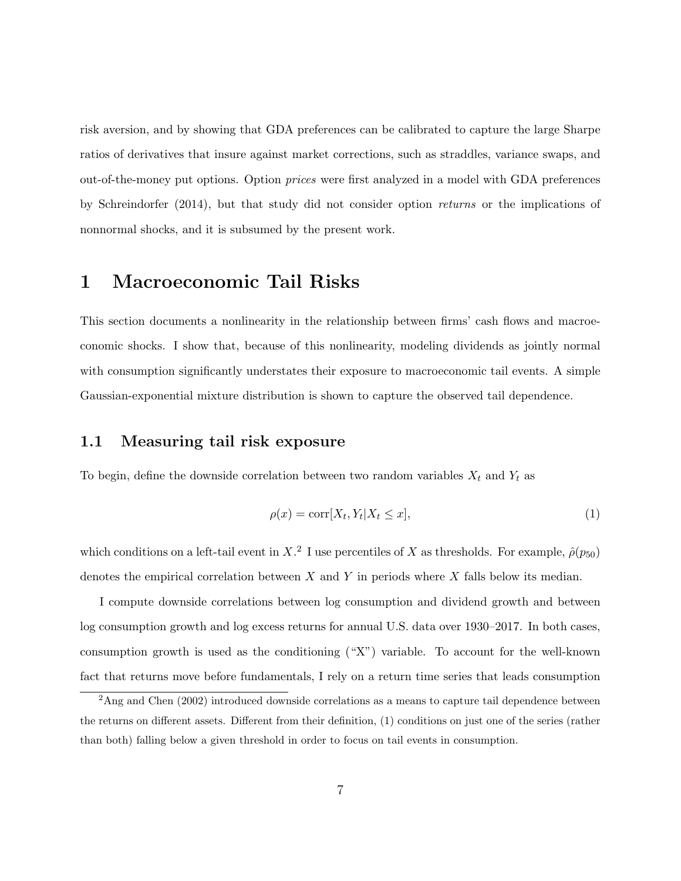risk aversion, and by showing that GDA preferences can be calibrated to capture the large Sharpe ratios of derivatives that insure against market corrections, such as straddles, variance swaps, and out-of-the-money put options. Option prices were first analyzed in a model with GDA preferences by Schreindorfer (2014), but that study did not consider option returns or the implications of nonnormal shocks, and it is subsumed by the present work.

## 1 Macroeconomic Tail Risks

This section documents a nonlinearity in the relationship between firms' cash flows and macroeconomic shocks. I show that, because of this nonlinearity, modeling dividends as jointly normal with consumption significantly understates their exposure to macroeconomic tail events. A simple Gaussian-exponential mixture distribution is shown to capture the observed tail dependence.

### 1.1 Measuring tail risk exposure

To begin, define the downside correlation between two random variables  $X_t$  and  $Y_t$  as

$$
\rho(x) = \text{corr}[X_t, Y_t | X_t \le x],\tag{1}
$$

which conditions on a left-tail event in X<sup>2</sup>. I use percentiles of X as thresholds. For example,  $\hat{\rho}(p_{50})$ denotes the empirical correlation between  $X$  and  $Y$  in periods where  $X$  falls below its median.

I compute downside correlations between log consumption and dividend growth and between log consumption growth and log excess returns for annual U.S. data over 1930–2017. In both cases, consumption growth is used as the conditioning ("X") variable. To account for the well-known fact that returns move before fundamentals, I rely on a return time series that leads consumption

<sup>&</sup>lt;sup>2</sup>Ang and Chen (2002) introduced downside correlations as a means to capture tail dependence between the returns on different assets. Different from their definition, (1) conditions on just one of the series (rather than both) falling below a given threshold in order to focus on tail events in consumption.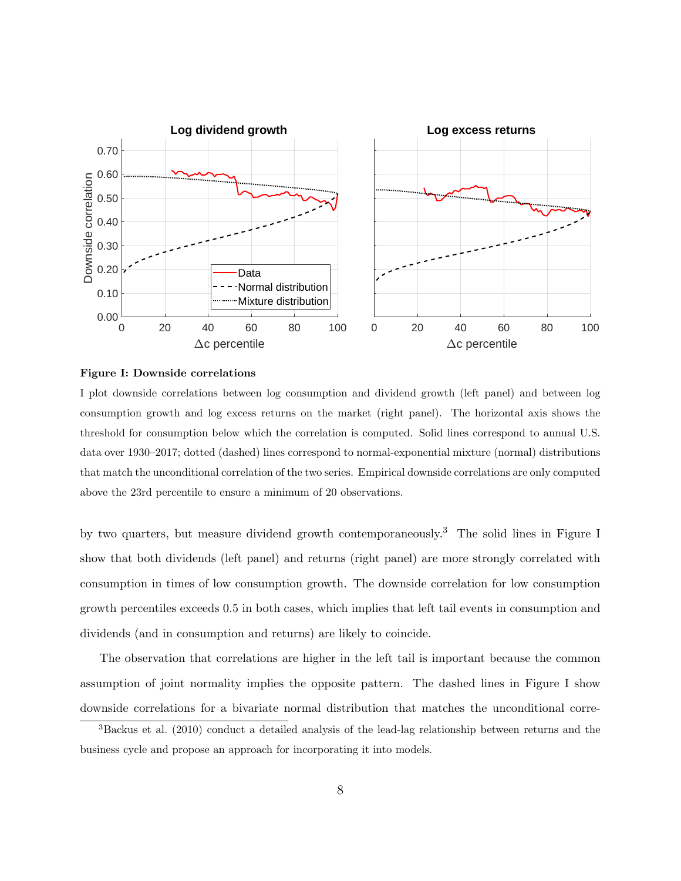

#### Figure I: Downside correlations

I plot downside correlations between log consumption and dividend growth (left panel) and between log consumption growth and log excess returns on the market (right panel). The horizontal axis shows the threshold for consumption below which the correlation is computed. Solid lines correspond to annual U.S. data over 1930–2017; dotted (dashed) lines correspond to normal-exponential mixture (normal) distributions that match the unconditional correlation of the two series. Empirical downside correlations are only computed above the 23rd percentile to ensure a minimum of 20 observations.

by two quarters, but measure dividend growth contemporaneously.<sup>3</sup> The solid lines in Figure I show that both dividends (left panel) and returns (right panel) are more strongly correlated with consumption in times of low consumption growth. The downside correlation for low consumption growth percentiles exceeds 0.5 in both cases, which implies that left tail events in consumption and dividends (and in consumption and returns) are likely to coincide.

The observation that correlations are higher in the left tail is important because the common assumption of joint normality implies the opposite pattern. The dashed lines in Figure I show downside correlations for a bivariate normal distribution that matches the unconditional corre-

<sup>3</sup>Backus et al. (2010) conduct a detailed analysis of the lead-lag relationship between returns and the business cycle and propose an approach for incorporating it into models.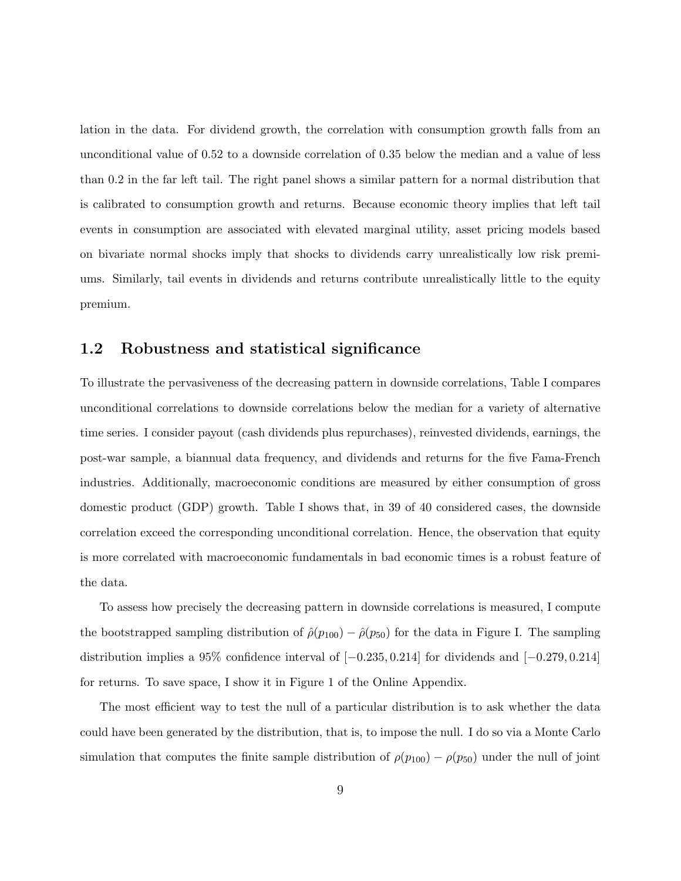lation in the data. For dividend growth, the correlation with consumption growth falls from an unconditional value of 0.52 to a downside correlation of 0.35 below the median and a value of less than 0.2 in the far left tail. The right panel shows a similar pattern for a normal distribution that is calibrated to consumption growth and returns. Because economic theory implies that left tail events in consumption are associated with elevated marginal utility, asset pricing models based on bivariate normal shocks imply that shocks to dividends carry unrealistically low risk premiums. Similarly, tail events in dividends and returns contribute unrealistically little to the equity premium.

## 1.2 Robustness and statistical significance

To illustrate the pervasiveness of the decreasing pattern in downside correlations, Table I compares unconditional correlations to downside correlations below the median for a variety of alternative time series. I consider payout (cash dividends plus repurchases), reinvested dividends, earnings, the post-war sample, a biannual data frequency, and dividends and returns for the five Fama-French industries. Additionally, macroeconomic conditions are measured by either consumption of gross domestic product (GDP) growth. Table I shows that, in 39 of 40 considered cases, the downside correlation exceed the corresponding unconditional correlation. Hence, the observation that equity is more correlated with macroeconomic fundamentals in bad economic times is a robust feature of the data.

To assess how precisely the decreasing pattern in downside correlations is measured, I compute the bootstrapped sampling distribution of  $\hat{\rho}(p_{100}) - \hat{\rho}(p_{50})$  for the data in Figure I. The sampling distribution implies a 95% confidence interval of [−0.235, 0.214] for dividends and [−0.279, 0.214] for returns. To save space, I show it in Figure 1 of the Online Appendix.

The most efficient way to test the null of a particular distribution is to ask whether the data could have been generated by the distribution, that is, to impose the null. I do so via a Monte Carlo simulation that computes the finite sample distribution of  $\rho(p_{100}) - \rho(p_{50})$  under the null of joint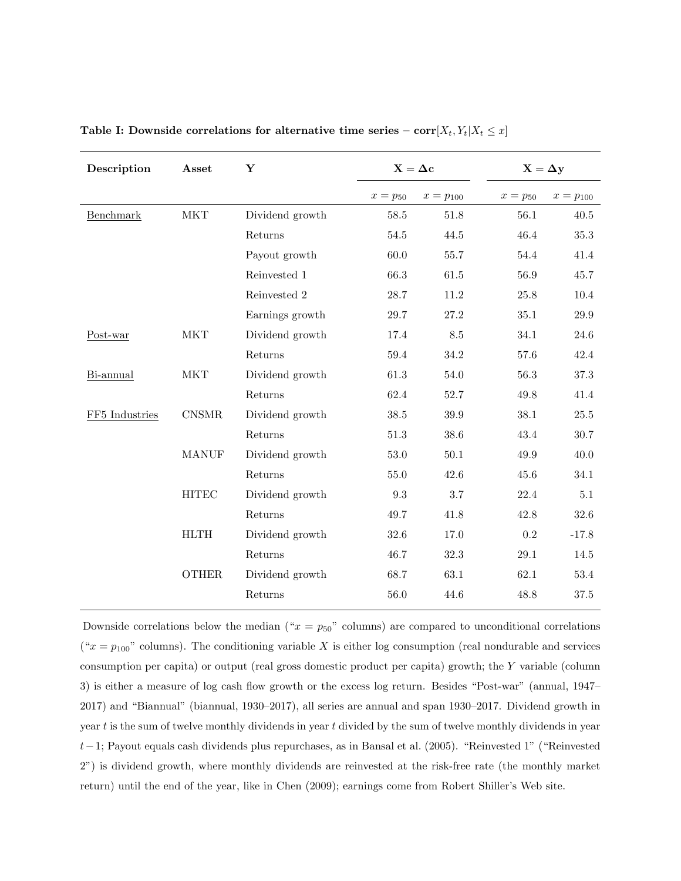| Description    | Asset        | $\mathbf Y$     | $\mathbf{X}=\Delta \mathbf{c}$ |             | $X = \Delta y$ |             |
|----------------|--------------|-----------------|--------------------------------|-------------|----------------|-------------|
|                |              |                 | $x=p_{50}$                     | $x=p_{100}$ | $x = p_{50}$   | $x=p_{100}$ |
| Benchmark      | MKT          | Dividend growth | 58.5                           | 51.8        | 56.1           | $40.5\,$    |
|                |              | Returns         | $54.5\,$                       | 44.5        | 46.4           | 35.3        |
|                |              | Payout growth   | 60.0                           | 55.7        | 54.4           | 41.4        |
|                |              | Reinvested 1    | 66.3                           | 61.5        | 56.9           | 45.7        |
|                |              | Reinvested 2    | 28.7                           | $11.2\,$    | 25.8           | 10.4        |
|                |              | Earnings growth | 29.7                           | 27.2        | 35.1           | $29.9\,$    |
| Post-war       | <b>MKT</b>   | Dividend growth | 17.4                           | 8.5         | 34.1           | 24.6        |
|                |              | Returns         | 59.4                           | 34.2        | 57.6           | 42.4        |
| Bi-annual      | MKT          | Dividend growth | 61.3                           | 54.0        | 56.3           | 37.3        |
|                |              | Returns         | 62.4                           | 52.7        | 49.8           | 41.4        |
| FF5 Industries | CNSMR        | Dividend growth | 38.5                           | 39.9        | 38.1           | $25.5\,$    |
|                |              | Returns         | 51.3                           | 38.6        | 43.4           | 30.7        |
|                | <b>MANUF</b> | Dividend growth | $53.0\,$                       | $50.1\,$    | 49.9           | 40.0        |
|                |              | Returns         | 55.0                           | 42.6        | 45.6           | 34.1        |
|                | <b>HITEC</b> | Dividend growth | 9.3                            | 3.7         | 22.4           | 5.1         |
|                |              | Returns         | 49.7                           | 41.8        | 42.8           | 32.6        |
|                | <b>HLTH</b>  | Dividend growth | 32.6                           | 17.0        | $\rm 0.2$      | $-17.8$     |
|                |              | Returns         | 46.7                           | 32.3        | 29.1           | 14.5        |
|                | <b>OTHER</b> | Dividend growth | 68.7                           | 63.1        | 62.1           | 53.4        |
|                |              | Returns         | 56.0                           | 44.6        | 48.8           | 37.5        |

Table I: Downside correlations for alternative time series –  $\text{corr}[X_t, Y_t | X_t \leq x]$ 

Downside correlations below the median (" $x = p_{50}$ " columns) are compared to unconditional correlations (" $x = p_{100}$ " columns). The conditioning variable X is either log consumption (real nondurable and services consumption per capita) or output (real gross domestic product per capita) growth; the Y variable (column 3) is either a measure of log cash flow growth or the excess log return. Besides "Post-war" (annual, 1947– 2017) and "Biannual" (biannual, 1930–2017), all series are annual and span 1930–2017. Dividend growth in year  $t$  is the sum of twelve monthly dividends in year  $t$  divided by the sum of twelve monthly dividends in year t−1; Payout equals cash dividends plus repurchases, as in Bansal et al. (2005). "Reinvested 1" ("Reinvested 2") is dividend growth, where monthly dividends are reinvested at the risk-free rate (the monthly market return) until the end of the year, like in Chen (2009); earnings come from Robert Shiller's Web site.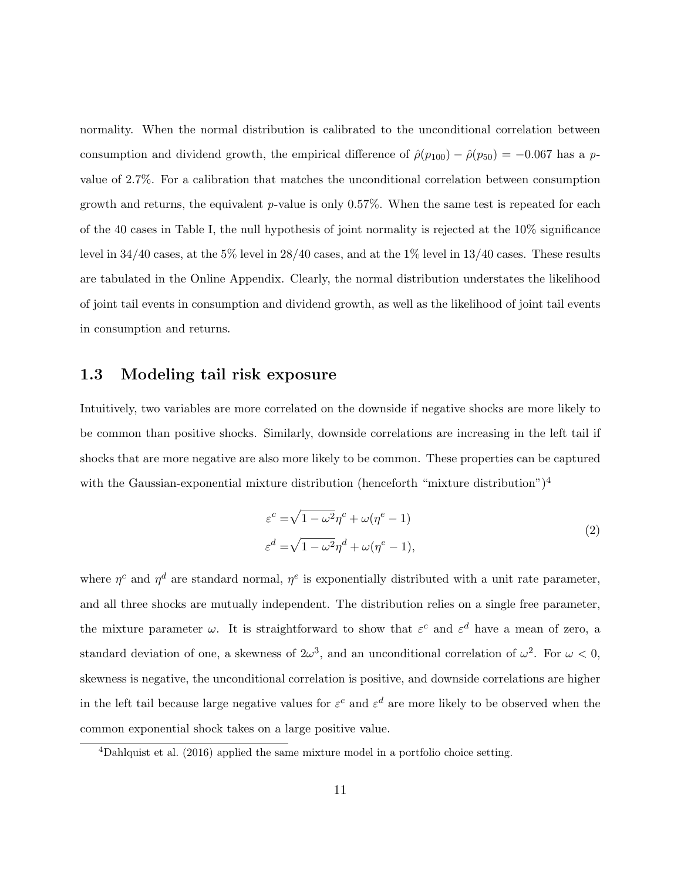normality. When the normal distribution is calibrated to the unconditional correlation between consumption and dividend growth, the empirical difference of  $\hat{\rho}(p_{100}) - \hat{\rho}(p_{50}) = -0.067$  has a pvalue of 2.7%. For a calibration that matches the unconditional correlation between consumption growth and returns, the equivalent  $p$ -value is only 0.57%. When the same test is repeated for each of the 40 cases in Table I, the null hypothesis of joint normality is rejected at the 10% significance level in  $34/40$  cases, at the  $5\%$  level in  $28/40$  cases, and at the  $1\%$  level in  $13/40$  cases. These results are tabulated in the Online Appendix. Clearly, the normal distribution understates the likelihood of joint tail events in consumption and dividend growth, as well as the likelihood of joint tail events in consumption and returns.

## 1.3 Modeling tail risk exposure

Intuitively, two variables are more correlated on the downside if negative shocks are more likely to be common than positive shocks. Similarly, downside correlations are increasing in the left tail if shocks that are more negative are also more likely to be common. These properties can be captured with the Gaussian-exponential mixture distribution (henceforth "mixture distribution")<sup>4</sup>

$$
\varepsilon^{c} = \sqrt{1 - \omega^{2}} \eta^{c} + \omega(\eta^{e} - 1)
$$
  
\n
$$
\varepsilon^{d} = \sqrt{1 - \omega^{2}} \eta^{d} + \omega(\eta^{e} - 1),
$$
\n(2)

where  $\eta^c$  and  $\eta^d$  are standard normal,  $\eta^e$  is exponentially distributed with a unit rate parameter, and all three shocks are mutually independent. The distribution relies on a single free parameter, the mixture parameter  $\omega$ . It is straightforward to show that  $\varepsilon^c$  and  $\varepsilon^d$  have a mean of zero, a standard deviation of one, a skewness of  $2\omega^3$ , and an unconditional correlation of  $\omega^2$ . For  $\omega < 0$ , skewness is negative, the unconditional correlation is positive, and downside correlations are higher in the left tail because large negative values for  $\varepsilon^c$  and  $\varepsilon^d$  are more likely to be observed when the common exponential shock takes on a large positive value.

<sup>4</sup>Dahlquist et al. (2016) applied the same mixture model in a portfolio choice setting.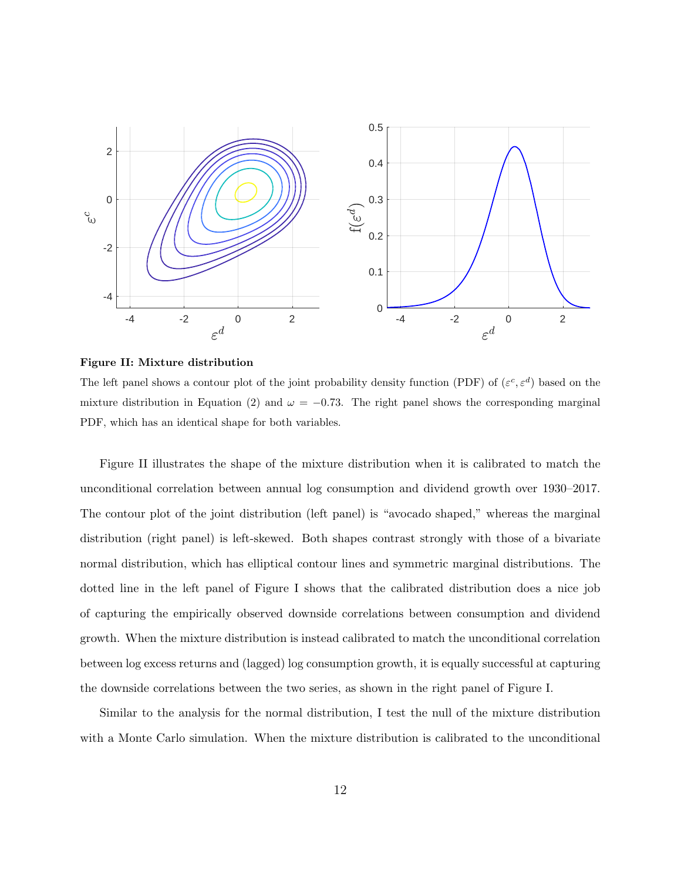

Figure II: Mixture distribution

The left panel shows a contour plot of the joint probability density function (PDF) of  $(\varepsilon^c, \varepsilon^d)$  based on the mixture distribution in Equation (2) and  $\omega = -0.73$ . The right panel shows the corresponding marginal PDF, which has an identical shape for both variables.

Figure II illustrates the shape of the mixture distribution when it is calibrated to match the unconditional correlation between annual log consumption and dividend growth over 1930–2017. The contour plot of the joint distribution (left panel) is "avocado shaped," whereas the marginal distribution (right panel) is left-skewed. Both shapes contrast strongly with those of a bivariate normal distribution, which has elliptical contour lines and symmetric marginal distributions. The dotted line in the left panel of Figure I shows that the calibrated distribution does a nice job of capturing the empirically observed downside correlations between consumption and dividend growth. When the mixture distribution is instead calibrated to match the unconditional correlation between log excess returns and (lagged) log consumption growth, it is equally successful at capturing the downside correlations between the two series, as shown in the right panel of Figure I.

Similar to the analysis for the normal distribution, I test the null of the mixture distribution with a Monte Carlo simulation. When the mixture distribution is calibrated to the unconditional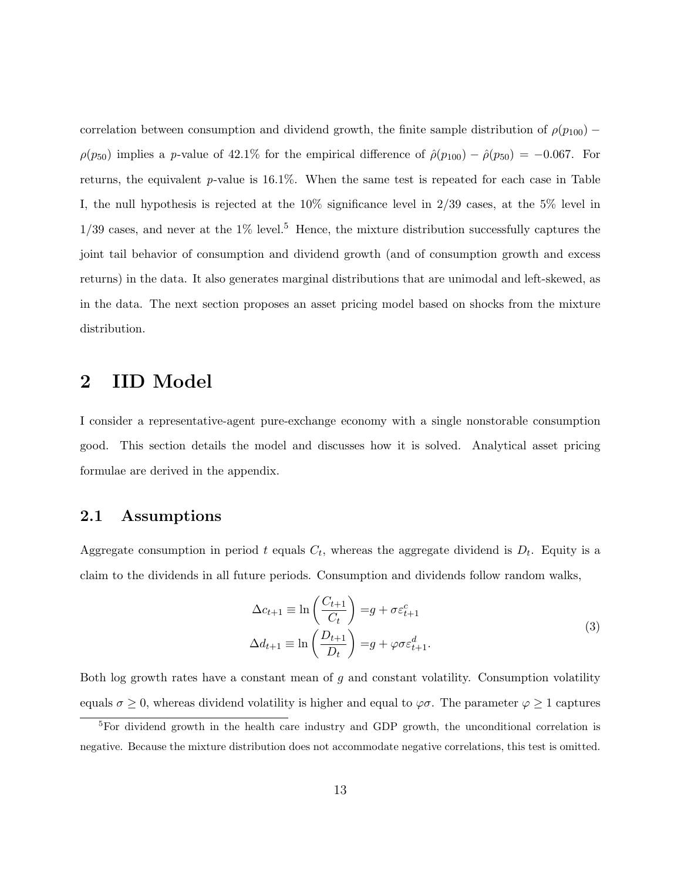correlation between consumption and dividend growth, the finite sample distribution of  $\rho(p_{100})$  –  $\rho(p_{50})$  implies a p-value of 42.1% for the empirical difference of  $\rho(p_{100}) - \rho(p_{50}) = -0.067$ . For returns, the equivalent  $p$ -value is 16.1%. When the same test is repeated for each case in Table I, the null hypothesis is rejected at the 10% significance level in 2/39 cases, at the 5% level in  $1/39$  cases, and never at the  $1\%$  level.<sup>5</sup> Hence, the mixture distribution successfully captures the joint tail behavior of consumption and dividend growth (and of consumption growth and excess returns) in the data. It also generates marginal distributions that are unimodal and left-skewed, as in the data. The next section proposes an asset pricing model based on shocks from the mixture distribution.

## 2 IID Model

I consider a representative-agent pure-exchange economy with a single nonstorable consumption good. This section details the model and discusses how it is solved. Analytical asset pricing formulae are derived in the appendix.

### 2.1 Assumptions

Aggregate consumption in period t equals  $C_t$ , whereas the aggregate dividend is  $D_t$ . Equity is a claim to the dividends in all future periods. Consumption and dividends follow random walks,

$$
\Delta c_{t+1} \equiv \ln \left( \frac{C_{t+1}}{C_t} \right) = g + \sigma \varepsilon_{t+1}^c
$$
  

$$
\Delta d_{t+1} \equiv \ln \left( \frac{D_{t+1}}{D_t} \right) = g + \varphi \sigma \varepsilon_{t+1}^d.
$$
 (3)

Both log growth rates have a constant mean of g and constant volatility. Consumption volatility equals  $\sigma \geq 0$ , whereas dividend volatility is higher and equal to  $\varphi \sigma$ . The parameter  $\varphi \geq 1$  captures

<sup>&</sup>lt;sup>5</sup>For dividend growth in the health care industry and GDP growth, the unconditional correlation is negative. Because the mixture distribution does not accommodate negative correlations, this test is omitted.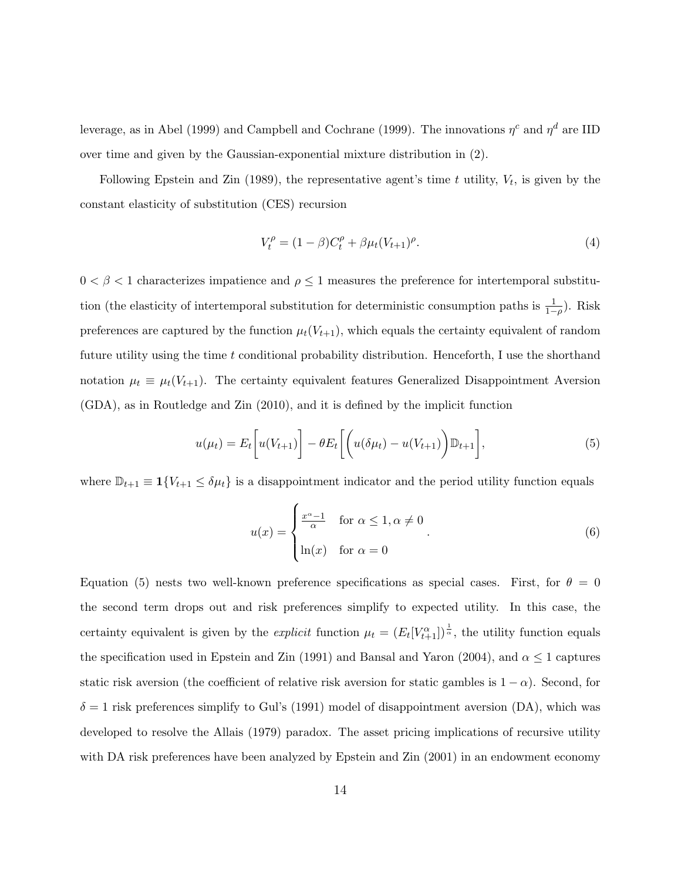leverage, as in Abel (1999) and Campbell and Cochrane (1999). The innovations  $\eta^c$  and  $\eta^d$  are IID over time and given by the Gaussian-exponential mixture distribution in (2).

Following Epstein and Zin (1989), the representative agent's time t utility,  $V_t$ , is given by the constant elasticity of substitution (CES) recursion

$$
V_t^{\rho} = (1 - \beta)C_t^{\rho} + \beta \mu_t (V_{t+1})^{\rho}.
$$
\n(4)

 $0 < \beta < 1$  characterizes impatience and  $\rho \leq 1$  measures the preference for intertemporal substitution (the elasticity of intertemporal substitution for deterministic consumption paths is  $\frac{1}{1-\rho}$ ). Risk preferences are captured by the function  $\mu_t(V_{t+1})$ , which equals the certainty equivalent of random future utility using the time t conditional probability distribution. Henceforth, I use the shorthand notation  $\mu_t \equiv \mu_t(V_{t+1})$ . The certainty equivalent features Generalized Disappointment Aversion (GDA), as in Routledge and Zin (2010), and it is defined by the implicit function

$$
u(\mu_t) = E_t \bigg[ u(V_{t+1}) \bigg] - \theta E_t \bigg[ \bigg( u(\delta \mu_t) - u(V_{t+1}) \bigg) \mathbb{D}_{t+1} \bigg], \tag{5}
$$

where  $\mathbb{D}_{t+1} \equiv \mathbf{1}\{V_{t+1} \leq \delta \mu_t\}$  is a disappointment indicator and the period utility function equals

$$
u(x) = \begin{cases} \frac{x^{\alpha} - 1}{\alpha} & \text{for } \alpha \leq 1, \alpha \neq 0 \\ \ln(x) & \text{for } \alpha = 0 \end{cases}
$$
 (6)

Equation (5) nests two well-known preference specifications as special cases. First, for  $\theta = 0$ the second term drops out and risk preferences simplify to expected utility. In this case, the certainty equivalent is given by the *explicit* function  $\mu_t = (E_t[V_{t+1}^{\alpha}])^{\frac{1}{\alpha}}$ , the utility function equals the specification used in Epstein and Zin (1991) and Bansal and Yaron (2004), and  $\alpha \leq 1$  captures static risk aversion (the coefficient of relative risk aversion for static gambles is  $1 - \alpha$ ). Second, for  $\delta = 1$  risk preferences simplify to Gul's (1991) model of disappointment aversion (DA), which was developed to resolve the Allais (1979) paradox. The asset pricing implications of recursive utility with DA risk preferences have been analyzed by Epstein and Zin  $(2001)$  in an endowment economy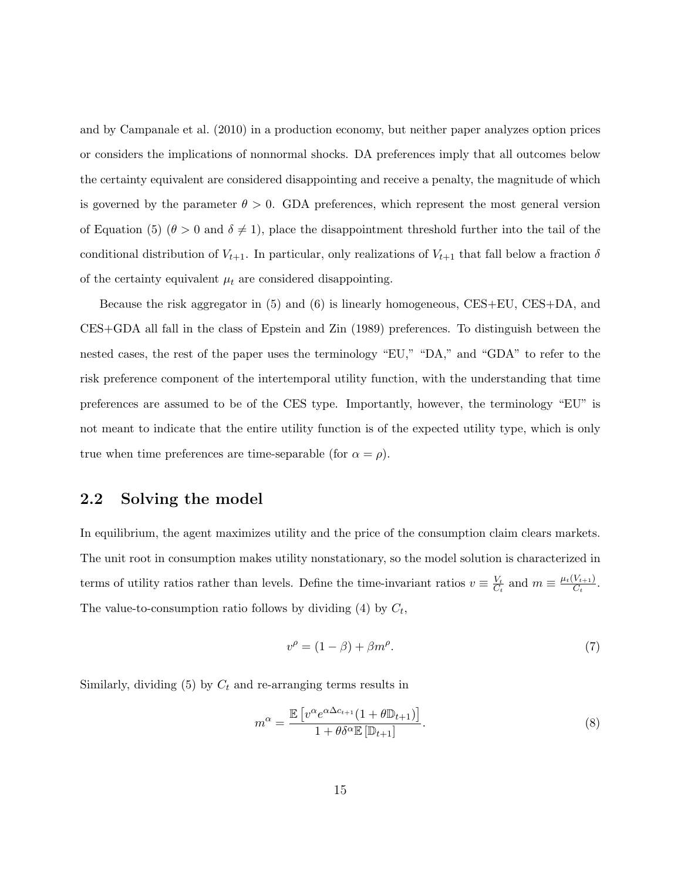and by Campanale et al. (2010) in a production economy, but neither paper analyzes option prices or considers the implications of nonnormal shocks. DA preferences imply that all outcomes below the certainty equivalent are considered disappointing and receive a penalty, the magnitude of which is governed by the parameter  $\theta > 0$ . GDA preferences, which represent the most general version of Equation (5) ( $\theta > 0$  and  $\delta \neq 1$ ), place the disappointment threshold further into the tail of the conditional distribution of  $V_{t+1}$ . In particular, only realizations of  $V_{t+1}$  that fall below a fraction  $\delta$ of the certainty equivalent  $\mu_t$  are considered disappointing.

Because the risk aggregator in (5) and (6) is linearly homogeneous, CES+EU, CES+DA, and CES+GDA all fall in the class of Epstein and Zin (1989) preferences. To distinguish between the nested cases, the rest of the paper uses the terminology "EU," "DA," and "GDA" to refer to the risk preference component of the intertemporal utility function, with the understanding that time preferences are assumed to be of the CES type. Importantly, however, the terminology "EU" is not meant to indicate that the entire utility function is of the expected utility type, which is only true when time preferences are time-separable (for  $\alpha = \rho$ ).

### 2.2 Solving the model

In equilibrium, the agent maximizes utility and the price of the consumption claim clears markets. The unit root in consumption makes utility nonstationary, so the model solution is characterized in terms of utility ratios rather than levels. Define the time-invariant ratios  $v \equiv \frac{V_t}{C}$  $\frac{V_t}{C_t}$  and  $m \equiv \frac{\mu_t(V_{t+1})}{C_t}$  $\frac{V_{t+1}}{C_t}$ . The value-to-consumption ratio follows by dividing (4) by  $C_t$ ,

$$
v^{\rho} = (1 - \beta) + \beta m^{\rho}.
$$
 (7)

Similarly, dividing  $(5)$  by  $C_t$  and re-arranging terms results in

$$
m^{\alpha} = \frac{\mathbb{E}\left[v^{\alpha}e^{\alpha\Delta c_{t+1}}(1+\theta\mathbb{D}_{t+1})\right]}{1+\theta\delta^{\alpha}\mathbb{E}\left[\mathbb{D}_{t+1}\right]}.
$$
\n(8)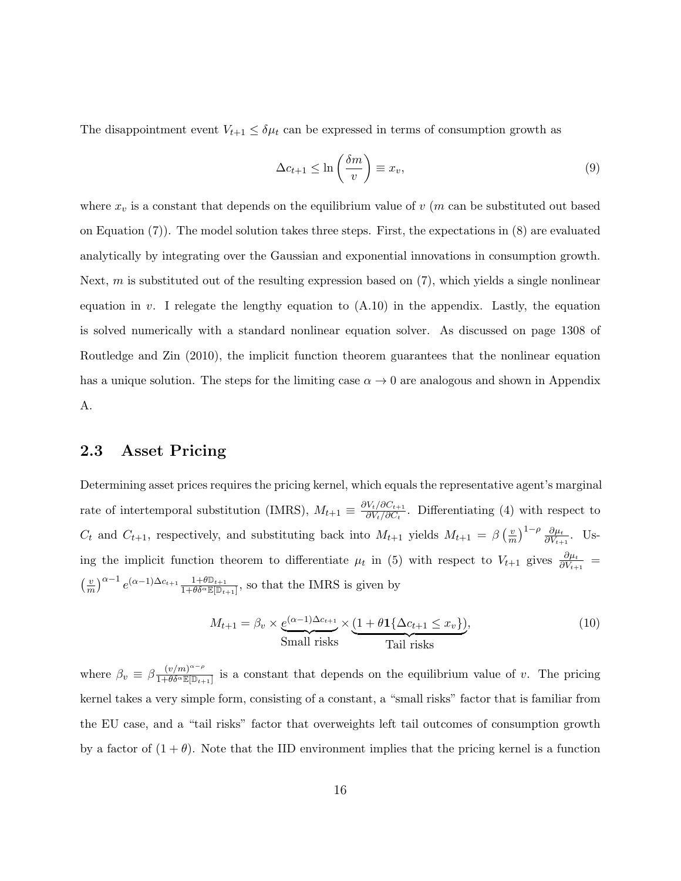The disappointment event  $V_{t+1} \leq \delta \mu_t$  can be expressed in terms of consumption growth as

$$
\Delta c_{t+1} \le \ln\left(\frac{\delta m}{v}\right) \equiv x_v,\tag{9}
$$

where  $x_v$  is a constant that depends on the equilibrium value of v (m can be substituted out based on Equation (7)). The model solution takes three steps. First, the expectations in (8) are evaluated analytically by integrating over the Gaussian and exponential innovations in consumption growth. Next, m is substituted out of the resulting expression based on  $(7)$ , which yields a single nonlinear equation in v. I relegate the lengthy equation to  $(A.10)$  in the appendix. Lastly, the equation is solved numerically with a standard nonlinear equation solver. As discussed on page 1308 of Routledge and Zin (2010), the implicit function theorem guarantees that the nonlinear equation has a unique solution. The steps for the limiting case  $\alpha \to 0$  are analogous and shown in Appendix A.

## 2.3 Asset Pricing

Determining asset prices requires the pricing kernel, which equals the representative agent's marginal rate of intertemporal substitution (IMRS),  $M_{t+1} \equiv \frac{\partial V_t / \partial C_{t+1}}{\partial V_t / \partial C_t}$  $\frac{\partial V_t}{\partial C_t}$ . Differentiating (4) with respect to  $C_t$  and  $C_{t+1}$ , respectively, and substituting back into  $M_{t+1}$  yields  $M_{t+1} = \beta \left( \frac{v}{n} \right)$  $(\frac{v}{m})^{1-\rho} \frac{\partial \mu_t}{\partial V_{t+1}}$ . Using the implicit function theorem to differentiate  $\mu_t$  in (5) with respect to  $V_{t+1}$  gives  $\frac{\partial \mu_t}{\partial V_{t+1}}$  $\frac{v}{\infty}$  $\left(\frac{v}{m}\right)^{\alpha-1}e^{(\alpha-1)\Delta c_{t+1}}\frac{1+\theta\mathbb{D}_{t+1}}{1+\theta\delta^{\alpha}\mathbb{E}[\mathbb{D}_{t+1}]},$  so that the IMRS is given by

$$
M_{t+1} = \beta_v \times \underbrace{e^{(\alpha - 1)\Delta c_{t+1}}}_{\text{Small risks}} \times \underbrace{(1 + \theta \mathbf{1}\{\Delta c_{t+1} \le x_v\})}_{\text{Tail risks}},\tag{10}
$$

where  $\beta_v \equiv \beta \frac{(v/m)^{\alpha-\rho}}{1+\theta \delta^{\alpha} \mathbb{E}[\mathbb{D}_+]}$  $\frac{(v/m)}{1+\theta\delta^{\alpha}\mathbb{E}[\mathbb{D}_{t+1}]}$  is a constant that depends on the equilibrium value of v. The pricing kernel takes a very simple form, consisting of a constant, a "small risks" factor that is familiar from the EU case, and a "tail risks" factor that overweights left tail outcomes of consumption growth by a factor of  $(1 + \theta)$ . Note that the IID environment implies that the pricing kernel is a function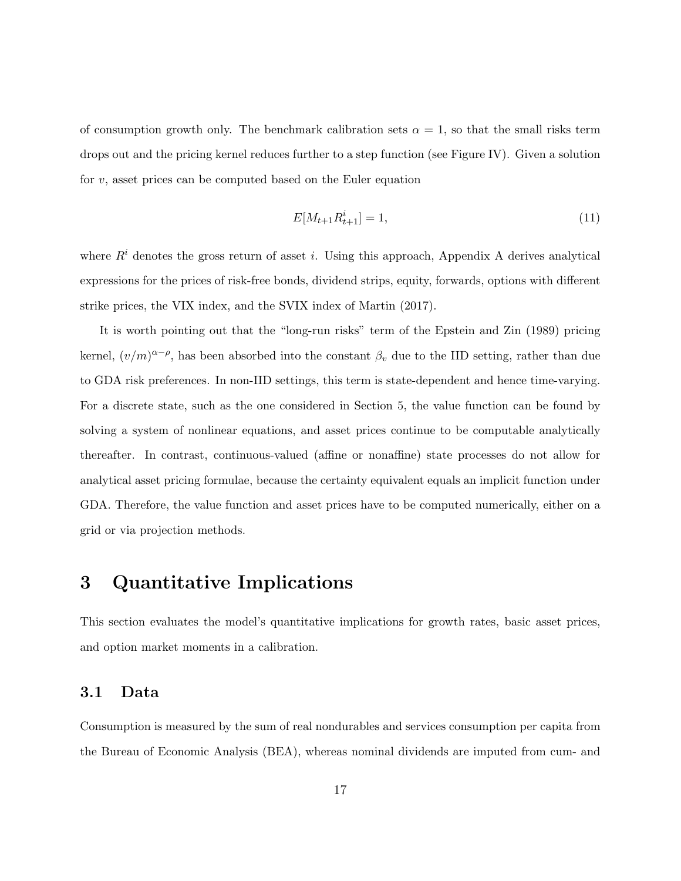of consumption growth only. The benchmark calibration sets  $\alpha = 1$ , so that the small risks term drops out and the pricing kernel reduces further to a step function (see Figure IV). Given a solution for  $v$ , asset prices can be computed based on the Euler equation

$$
E[M_{t+1}R_{t+1}^i] = 1,\t\t(11)
$$

where  $R<sup>i</sup>$  denotes the gross return of asset *i*. Using this approach, Appendix A derives analytical expressions for the prices of risk-free bonds, dividend strips, equity, forwards, options with different strike prices, the VIX index, and the SVIX index of Martin (2017).

It is worth pointing out that the "long-run risks" term of the Epstein and Zin (1989) pricing kernel,  $(v/m)^{\alpha-\rho}$ , has been absorbed into the constant  $\beta_v$  due to the IID setting, rather than due to GDA risk preferences. In non-IID settings, this term is state-dependent and hence time-varying. For a discrete state, such as the one considered in Section 5, the value function can be found by solving a system of nonlinear equations, and asset prices continue to be computable analytically thereafter. In contrast, continuous-valued (affine or nonaffine) state processes do not allow for analytical asset pricing formulae, because the certainty equivalent equals an implicit function under GDA. Therefore, the value function and asset prices have to be computed numerically, either on a grid or via projection methods.

## 3 Quantitative Implications

This section evaluates the model's quantitative implications for growth rates, basic asset prices, and option market moments in a calibration.

#### 3.1 Data

Consumption is measured by the sum of real nondurables and services consumption per capita from the Bureau of Economic Analysis (BEA), whereas nominal dividends are imputed from cum- and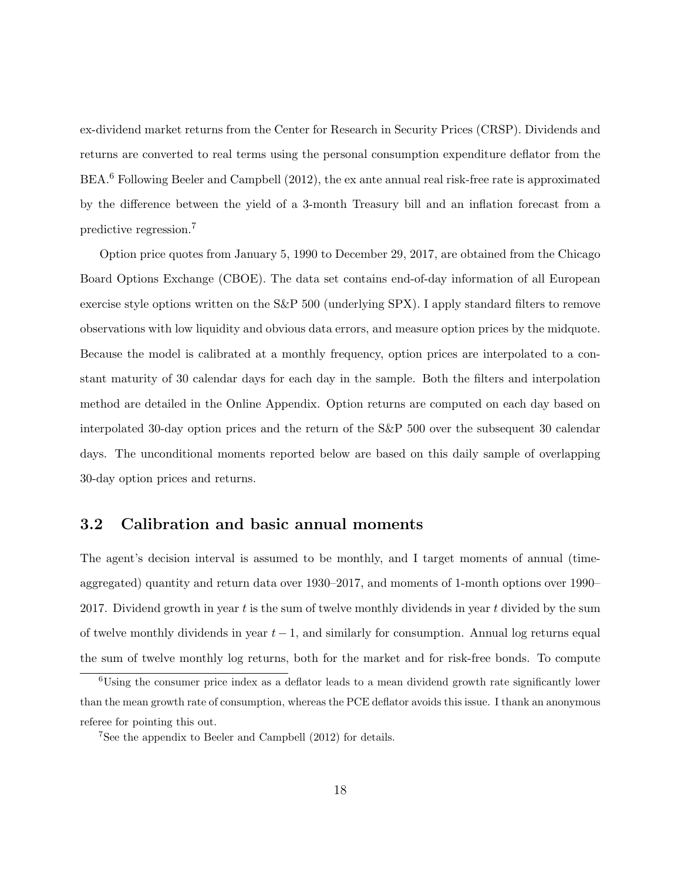ex-dividend market returns from the Center for Research in Security Prices (CRSP). Dividends and returns are converted to real terms using the personal consumption expenditure deflator from the BEA.<sup>6</sup> Following Beeler and Campbell (2012), the ex ante annual real risk-free rate is approximated by the difference between the yield of a 3-month Treasury bill and an inflation forecast from a predictive regression.<sup>7</sup>

Option price quotes from January 5, 1990 to December 29, 2017, are obtained from the Chicago Board Options Exchange (CBOE). The data set contains end-of-day information of all European exercise style options written on the S&P 500 (underlying SPX). I apply standard filters to remove observations with low liquidity and obvious data errors, and measure option prices by the midquote. Because the model is calibrated at a monthly frequency, option prices are interpolated to a constant maturity of 30 calendar days for each day in the sample. Both the filters and interpolation method are detailed in the Online Appendix. Option returns are computed on each day based on interpolated 30-day option prices and the return of the S&P 500 over the subsequent 30 calendar days. The unconditional moments reported below are based on this daily sample of overlapping 30-day option prices and returns.

## 3.2 Calibration and basic annual moments

The agent's decision interval is assumed to be monthly, and I target moments of annual (timeaggregated) quantity and return data over 1930–2017, and moments of 1-month options over 1990– 2017. Dividend growth in year  $t$  is the sum of twelve monthly dividends in year  $t$  divided by the sum of twelve monthly dividends in year  $t-1$ , and similarly for consumption. Annual log returns equal the sum of twelve monthly log returns, both for the market and for risk-free bonds. To compute

<sup>6</sup>Using the consumer price index as a deflator leads to a mean dividend growth rate significantly lower than the mean growth rate of consumption, whereas the PCE deflator avoids this issue. I thank an anonymous referee for pointing this out.

<sup>7</sup>See the appendix to Beeler and Campbell (2012) for details.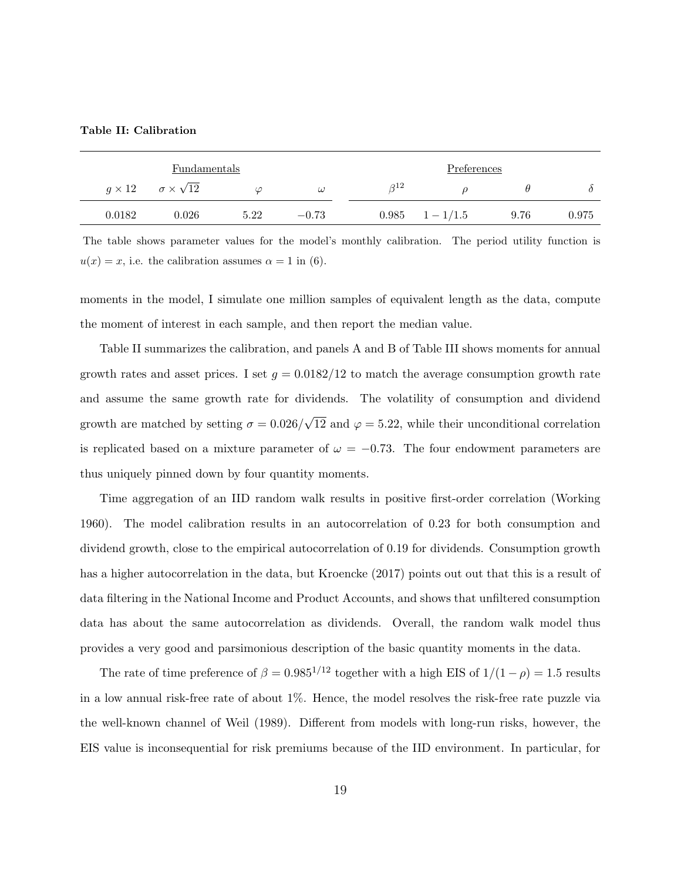Table II: Calibration

|        | Fundamentals                            |      |          |            | Preferences         |      |       |
|--------|-----------------------------------------|------|----------|------------|---------------------|------|-------|
|        | $g \times 12$ $\sigma \times \sqrt{12}$ | ω    | $\omega$ | $\beta$ 12 |                     |      |       |
| 0.0182 | 0.026                                   | 5.22 | $-0.73$  |            | $0.985 \t1 - 1/1.5$ | 9.76 | 0.975 |

The table shows parameter values for the model's monthly calibration. The period utility function is  $u(x) = x$ , i.e. the calibration assumes  $\alpha = 1$  in (6).

moments in the model, I simulate one million samples of equivalent length as the data, compute the moment of interest in each sample, and then report the median value.

Table II summarizes the calibration, and panels A and B of Table III shows moments for annual growth rates and asset prices. I set  $g = 0.0182/12$  to match the average consumption growth rate and assume the same growth rate for dividends. The volatility of consumption and dividend growth are matched by setting  $\sigma = 0.026/$ √ 12 and  $\varphi = 5.22$ , while their unconditional correlation is replicated based on a mixture parameter of  $\omega = -0.73$ . The four endowment parameters are thus uniquely pinned down by four quantity moments.

Time aggregation of an IID random walk results in positive first-order correlation (Working 1960). The model calibration results in an autocorrelation of 0.23 for both consumption and dividend growth, close to the empirical autocorrelation of 0.19 for dividends. Consumption growth has a higher autocorrelation in the data, but Kroencke (2017) points out out that this is a result of data filtering in the National Income and Product Accounts, and shows that unfiltered consumption data has about the same autocorrelation as dividends. Overall, the random walk model thus provides a very good and parsimonious description of the basic quantity moments in the data.

The rate of time preference of  $\beta = 0.985^{1/12}$  together with a high EIS of  $1/(1 - \rho) = 1.5$  results in a low annual risk-free rate of about 1%. Hence, the model resolves the risk-free rate puzzle via the well-known channel of Weil (1989). Different from models with long-run risks, however, the EIS value is inconsequential for risk premiums because of the IID environment. In particular, for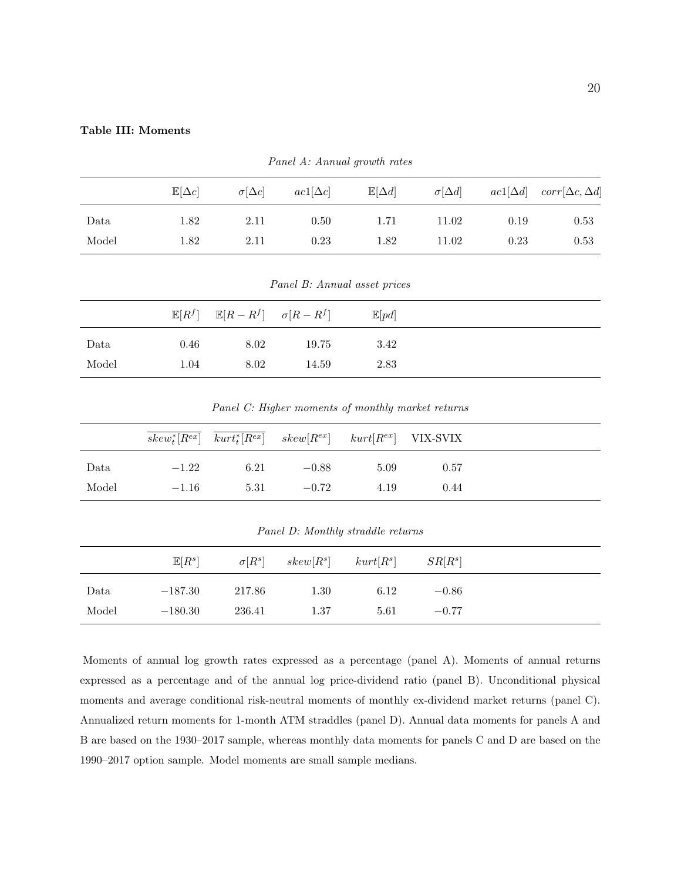#### Table III: Moments

|       | $\mathbb{E}[\Delta c]$ | $\sigma[\Delta c]$ | $ac1[\Delta c]$ | $\mathbb{E}[\Delta d]$ | $\sigma[\Delta d]$ |      | $ac1[\Delta d]$ $corr[\Delta c, \Delta d]$ |
|-------|------------------------|--------------------|-----------------|------------------------|--------------------|------|--------------------------------------------|
| Data  | 1.82                   | 2.11               | 0.50            | 1.71                   | 11.02              | 0.19 | 0.53                                       |
| Model | 1.82                   | 2.11               | 0.23            | 1.82                   | 11.02              | 0.23 | 0.53                                       |

Panel A: Annual growth rates

Panel B: Annual asset prices

|       |      | $\mathbb{E}[R^f]$ $\mathbb{E}[R - R^f]$ $\sigma[R - R^f]$ |       | $\mathbb{E}[pd]$ |
|-------|------|-----------------------------------------------------------|-------|------------------|
| Data  | 0.46 | 8.02                                                      | 19.75 | 3.42             |
| Model | 1.04 | 8.02                                                      | 14.59 | 2.83             |

Panel C: Higher moments of monthly market returns

|       |         |      | $skew_t^*[R^{ex}]$ $kurt_t^*[R^{ex}]$ $skew[R^{ex}]$ $kurt[R^{ex}]$ VIX-SVIX |      |      |  |
|-------|---------|------|------------------------------------------------------------------------------|------|------|--|
| Data  | $-1.22$ | 6.21 | $-0.88$                                                                      | 5.09 | 0.57 |  |
| Model | $-1.16$ |      | $5.31 -0.72$                                                                 | 4.19 | 0.44 |  |

Panel D: Monthly straddle returns

|       | $\mathbb{E}[R^s]$ |        |      | $\sigma[R^s]$ skew $[R^s]$ kurt $[R^s]$ $SR[R^s]$ |         |
|-------|-------------------|--------|------|---------------------------------------------------|---------|
| Data  | $-187.30$         | 217.86 | 1.30 | 6.12                                              | $-0.86$ |
| Model | $-180.30$         | 236.41 | 1.37 | 5.61                                              | $-0.77$ |

Moments of annual log growth rates expressed as a percentage (panel A). Moments of annual returns expressed as a percentage and of the annual log price-dividend ratio (panel B). Unconditional physical moments and average conditional risk-neutral moments of monthly ex-dividend market returns (panel C). Annualized return moments for 1-month ATM straddles (panel D). Annual data moments for panels A and B are based on the 1930–2017 sample, whereas monthly data moments for panels C and D are based on the 1990–2017 option sample. Model moments are small sample medians.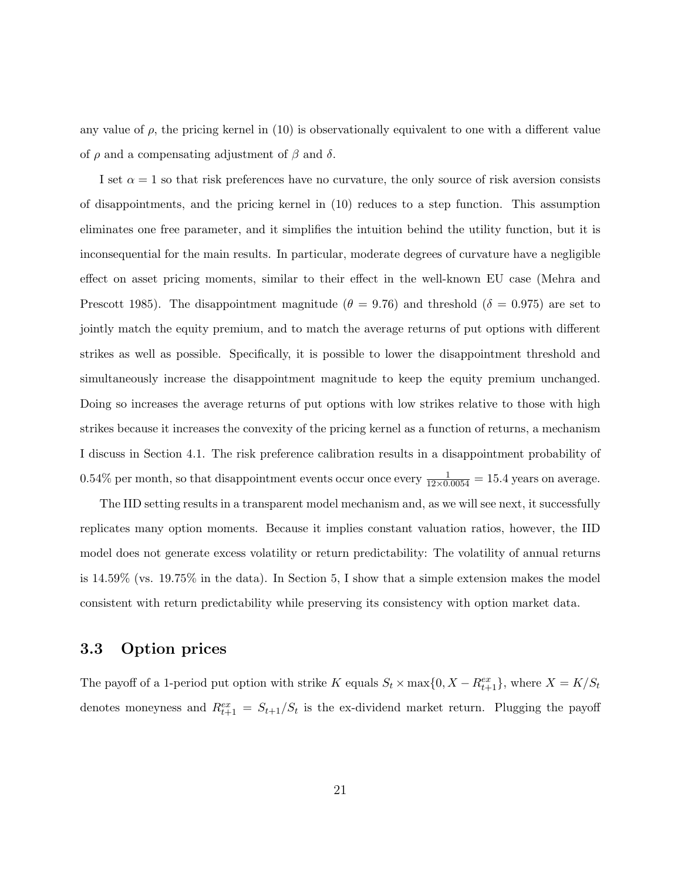any value of  $\rho$ , the pricing kernel in (10) is observationally equivalent to one with a different value of  $\rho$  and a compensating adjustment of  $\beta$  and  $\delta$ .

I set  $\alpha = 1$  so that risk preferences have no curvature, the only source of risk aversion consists of disappointments, and the pricing kernel in (10) reduces to a step function. This assumption eliminates one free parameter, and it simplifies the intuition behind the utility function, but it is inconsequential for the main results. In particular, moderate degrees of curvature have a negligible effect on asset pricing moments, similar to their effect in the well-known EU case (Mehra and Prescott 1985). The disappointment magnitude ( $\theta = 9.76$ ) and threshold ( $\delta = 0.975$ ) are set to jointly match the equity premium, and to match the average returns of put options with different strikes as well as possible. Specifically, it is possible to lower the disappointment threshold and simultaneously increase the disappointment magnitude to keep the equity premium unchanged. Doing so increases the average returns of put options with low strikes relative to those with high strikes because it increases the convexity of the pricing kernel as a function of returns, a mechanism I discuss in Section 4.1. The risk preference calibration results in a disappointment probability of 0.54% per month, so that disappointment events occur once every  $\frac{1}{12 \times 0.0054} = 15.4$  years on average.

The IID setting results in a transparent model mechanism and, as we will see next, it successfully replicates many option moments. Because it implies constant valuation ratios, however, the IID model does not generate excess volatility or return predictability: The volatility of annual returns is 14.59% (vs. 19.75% in the data). In Section 5, I show that a simple extension makes the model consistent with return predictability while preserving its consistency with option market data.

### 3.3 Option prices

The payoff of a 1-period put option with strike K equals  $S_t \times \max\{0, X - R_{t+1}^{ex}\}\)$ , where  $X = K/S_t$ denotes moneyness and  $R_{t+1}^{ex} = S_{t+1}/S_t$  is the ex-dividend market return. Plugging the payoff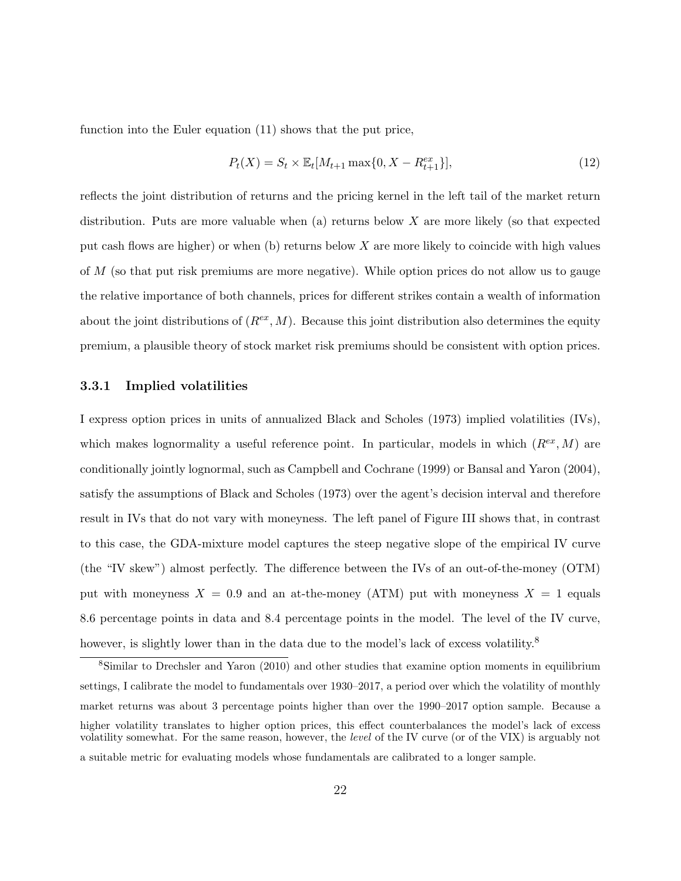function into the Euler equation (11) shows that the put price,

$$
P_t(X) = S_t \times \mathbb{E}_t[M_{t+1} \max\{0, X - R_{t+1}^{ex}\}],
$$
\n(12)

reflects the joint distribution of returns and the pricing kernel in the left tail of the market return distribution. Puts are more valuable when (a) returns below  $X$  are more likely (so that expected put cash flows are higher) or when  $(b)$  returns below X are more likely to coincide with high values of M (so that put risk premiums are more negative). While option prices do not allow us to gauge the relative importance of both channels, prices for different strikes contain a wealth of information about the joint distributions of  $(R^{ex}, M)$ . Because this joint distribution also determines the equity premium, a plausible theory of stock market risk premiums should be consistent with option prices.

#### 3.3.1 Implied volatilities

I express option prices in units of annualized Black and Scholes (1973) implied volatilities (IVs), which makes lognormality a useful reference point. In particular, models in which  $(R^{ex}, M)$  are conditionally jointly lognormal, such as Campbell and Cochrane (1999) or Bansal and Yaron (2004), satisfy the assumptions of Black and Scholes (1973) over the agent's decision interval and therefore result in IVs that do not vary with moneyness. The left panel of Figure III shows that, in contrast to this case, the GDA-mixture model captures the steep negative slope of the empirical IV curve (the "IV skew") almost perfectly. The difference between the IVs of an out-of-the-money (OTM) put with moneyness  $X = 0.9$  and an at-the-money (ATM) put with moneyness  $X = 1$  equals 8.6 percentage points in data and 8.4 percentage points in the model. The level of the IV curve, however, is slightly lower than in the data due to the model's lack of excess volatility.<sup>8</sup>

<sup>8</sup>Similar to Drechsler and Yaron (2010) and other studies that examine option moments in equilibrium settings, I calibrate the model to fundamentals over 1930–2017, a period over which the volatility of monthly market returns was about 3 percentage points higher than over the 1990–2017 option sample. Because a higher volatility translates to higher option prices, this effect counterbalances the model's lack of excess volatility somewhat. For the same reason, however, the level of the IV curve (or of the VIX) is arguably not a suitable metric for evaluating models whose fundamentals are calibrated to a longer sample.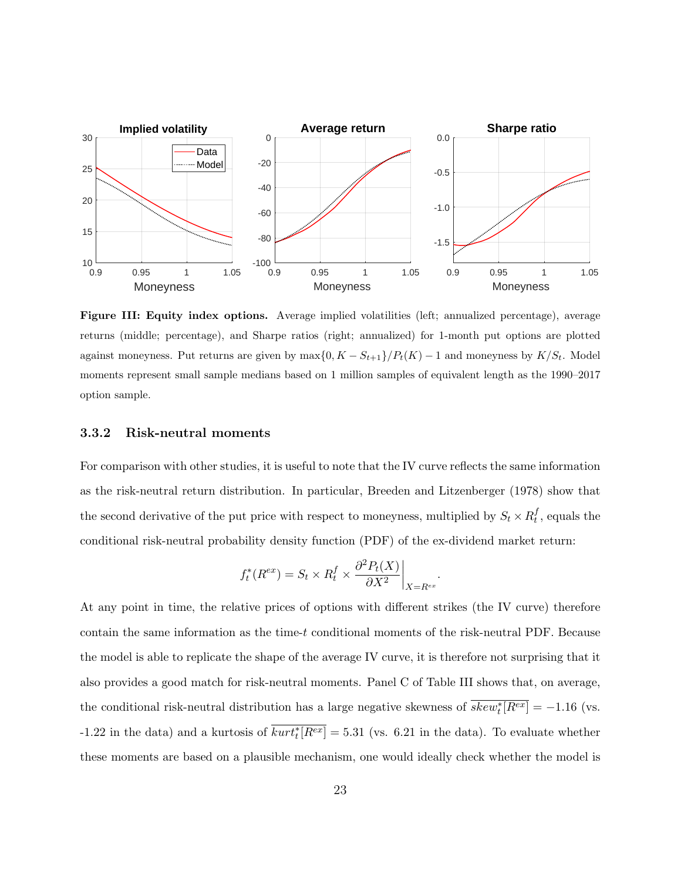

Figure III: Equity index options. Average implied volatilities (left; annualized percentage), average returns (middle; percentage), and Sharpe ratios (right; annualized) for 1-month put options are plotted against moneyness. Put returns are given by  $\max\{0, K - S_{t+1}\}/P_t(K) - 1$  and moneyness by  $K/S_t$ . Model moments represent small sample medians based on 1 million samples of equivalent length as the 1990–2017 option sample.

#### 3.3.2 Risk-neutral moments

For comparison with other studies, it is useful to note that the IV curve reflects the same information as the risk-neutral return distribution. In particular, Breeden and Litzenberger (1978) show that the second derivative of the put price with respect to moneyness, multiplied by  $S_t \times R_t^f$  $_t^J$ , equals the conditional risk-neutral probability density function (PDF) of the ex-dividend market return:

$$
f_t^*(R^{ex}) = S_t \times R_t^f \times \frac{\partial^2 P_t(X)}{\partial X^2} \bigg|_{X = R^{ex}}.
$$

At any point in time, the relative prices of options with different strikes (the IV curve) therefore contain the same information as the time-t conditional moments of the risk-neutral PDF. Because the model is able to replicate the shape of the average IV curve, it is therefore not surprising that it also provides a good match for risk-neutral moments. Panel C of Table III shows that, on average, the conditional risk-neutral distribution has a large negative skewness of  $\overline{skew_t^*[R^{ex}]} = -1.16$  (vs. -1.22 in the data) and a kurtosis of  $\overline{kurt_t^*[R^{ex}]} = 5.31$  (vs. 6.21 in the data). To evaluate whether these moments are based on a plausible mechanism, one would ideally check whether the model is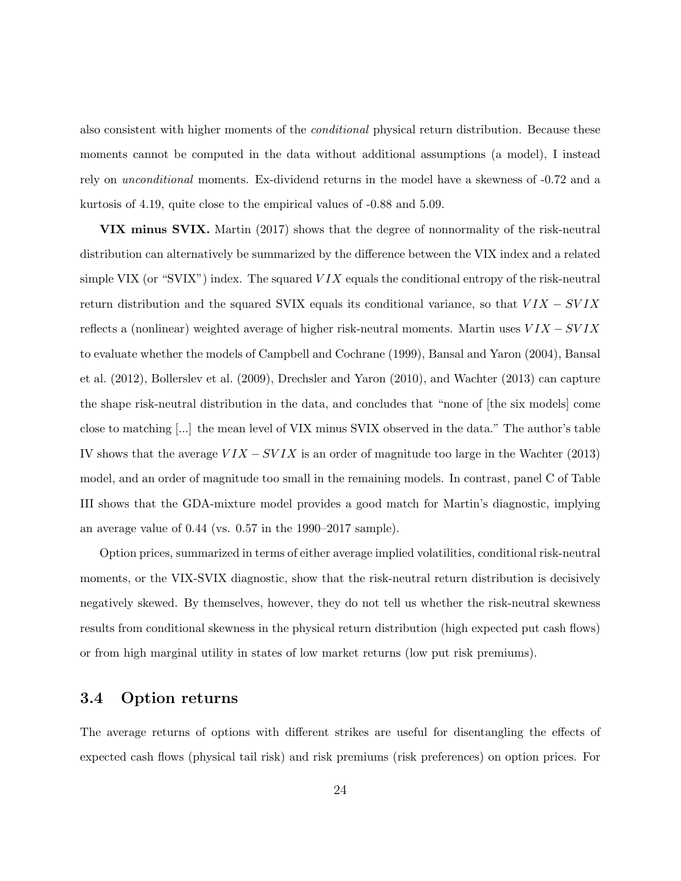also consistent with higher moments of the conditional physical return distribution. Because these moments cannot be computed in the data without additional assumptions (a model), I instead rely on unconditional moments. Ex-dividend returns in the model have a skewness of -0.72 and a kurtosis of 4.19, quite close to the empirical values of -0.88 and 5.09.

VIX minus SVIX. Martin (2017) shows that the degree of nonnormality of the risk-neutral distribution can alternatively be summarized by the difference between the VIX index and a related simple VIX (or "SVIX") index. The squared  $VIX$  equals the conditional entropy of the risk-neutral return distribution and the squared SVIX equals its conditional variance, so that  $VIX - SVIX$ reflects a (nonlinear) weighted average of higher risk-neutral moments. Martin uses  $VIX - SVIX$ to evaluate whether the models of Campbell and Cochrane (1999), Bansal and Yaron (2004), Bansal et al. (2012), Bollerslev et al. (2009), Drechsler and Yaron (2010), and Wachter (2013) can capture the shape risk-neutral distribution in the data, and concludes that "none of [the six models] come close to matching [...] the mean level of VIX minus SVIX observed in the data." The author's table IV shows that the average  $VIX - SVIX$  is an order of magnitude too large in the Wachter (2013) model, and an order of magnitude too small in the remaining models. In contrast, panel C of Table III shows that the GDA-mixture model provides a good match for Martin's diagnostic, implying an average value of 0.44 (vs. 0.57 in the 1990–2017 sample).

Option prices, summarized in terms of either average implied volatilities, conditional risk-neutral moments, or the VIX-SVIX diagnostic, show that the risk-neutral return distribution is decisively negatively skewed. By themselves, however, they do not tell us whether the risk-neutral skewness results from conditional skewness in the physical return distribution (high expected put cash flows) or from high marginal utility in states of low market returns (low put risk premiums).

## 3.4 Option returns

The average returns of options with different strikes are useful for disentangling the effects of expected cash flows (physical tail risk) and risk premiums (risk preferences) on option prices. For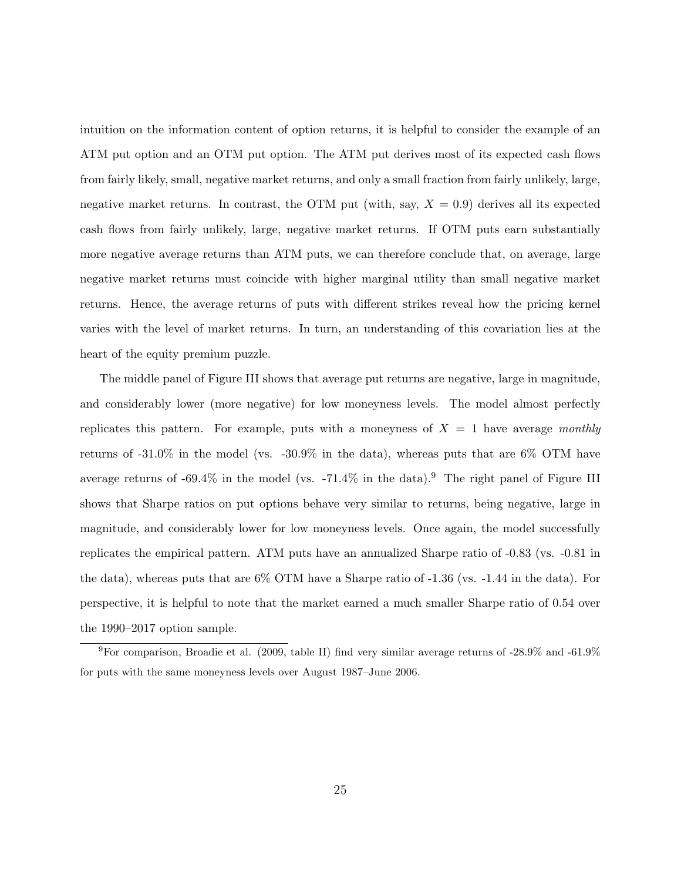intuition on the information content of option returns, it is helpful to consider the example of an ATM put option and an OTM put option. The ATM put derives most of its expected cash flows from fairly likely, small, negative market returns, and only a small fraction from fairly unlikely, large, negative market returns. In contrast, the OTM put (with, say,  $X = 0.9$ ) derives all its expected cash flows from fairly unlikely, large, negative market returns. If OTM puts earn substantially more negative average returns than ATM puts, we can therefore conclude that, on average, large negative market returns must coincide with higher marginal utility than small negative market returns. Hence, the average returns of puts with different strikes reveal how the pricing kernel varies with the level of market returns. In turn, an understanding of this covariation lies at the heart of the equity premium puzzle.

The middle panel of Figure III shows that average put returns are negative, large in magnitude, and considerably lower (more negative) for low moneyness levels. The model almost perfectly replicates this pattern. For example, puts with a moneyness of  $X = 1$  have average monthly returns of  $-31.0\%$  in the model (vs.  $-30.9\%$  in the data), whereas puts that are 6% OTM have average returns of  $-69.4\%$  in the model (vs.  $-71.4\%$  in the data).<sup>9</sup> The right panel of Figure III shows that Sharpe ratios on put options behave very similar to returns, being negative, large in magnitude, and considerably lower for low moneyness levels. Once again, the model successfully replicates the empirical pattern. ATM puts have an annualized Sharpe ratio of -0.83 (vs. -0.81 in the data), whereas puts that are  $6\%$  OTM have a Sharpe ratio of  $-1.36$  (vs.  $-1.44$  in the data). For perspective, it is helpful to note that the market earned a much smaller Sharpe ratio of 0.54 over the 1990–2017 option sample.

<sup>9</sup>For comparison, Broadie et al. (2009, table II) find very similar average returns of -28.9% and -61.9% for puts with the same moneyness levels over August 1987–June 2006.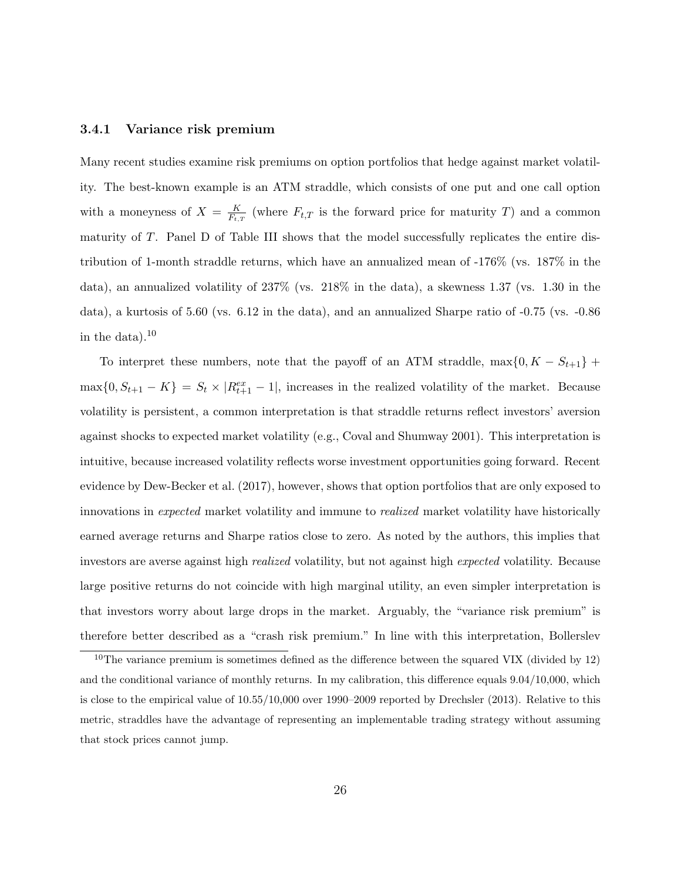#### 3.4.1 Variance risk premium

Many recent studies examine risk premiums on option portfolios that hedge against market volatility. The best-known example is an ATM straddle, which consists of one put and one call option with a moneyness of  $X = \frac{K}{F}$  $\frac{K}{F_{t,T}}$  (where  $F_{t,T}$  is the forward price for maturity T) and a common maturity of T. Panel D of Table III shows that the model successfully replicates the entire distribution of 1-month straddle returns, which have an annualized mean of -176% (vs. 187% in the data), an annualized volatility of 237% (vs. 218% in the data), a skewness 1.37 (vs. 1.30 in the data), a kurtosis of 5.60 (vs. 6.12 in the data), and an annualized Sharpe ratio of -0.75 (vs. -0.86 in the data). $^{10}$ 

To interpret these numbers, note that the payoff of an ATM straddle, max $\{0, K - S_{t+1}\}$  +  $\max\{0, S_{t+1} - K\} = S_t \times |R_{t+1}^{ex} - 1|$ , increases in the realized volatility of the market. Because volatility is persistent, a common interpretation is that straddle returns reflect investors' aversion against shocks to expected market volatility (e.g., Coval and Shumway 2001). This interpretation is intuitive, because increased volatility reflects worse investment opportunities going forward. Recent evidence by Dew-Becker et al. (2017), however, shows that option portfolios that are only exposed to innovations in expected market volatility and immune to realized market volatility have historically earned average returns and Sharpe ratios close to zero. As noted by the authors, this implies that investors are averse against high realized volatility, but not against high expected volatility. Because large positive returns do not coincide with high marginal utility, an even simpler interpretation is that investors worry about large drops in the market. Arguably, the "variance risk premium" is therefore better described as a "crash risk premium." In line with this interpretation, Bollerslev

 $10$ The variance premium is sometimes defined as the difference between the squared VIX (divided by 12) and the conditional variance of monthly returns. In my calibration, this difference equals 9.04/10,000, which is close to the empirical value of 10.55/10,000 over 1990–2009 reported by Drechsler (2013). Relative to this metric, straddles have the advantage of representing an implementable trading strategy without assuming that stock prices cannot jump.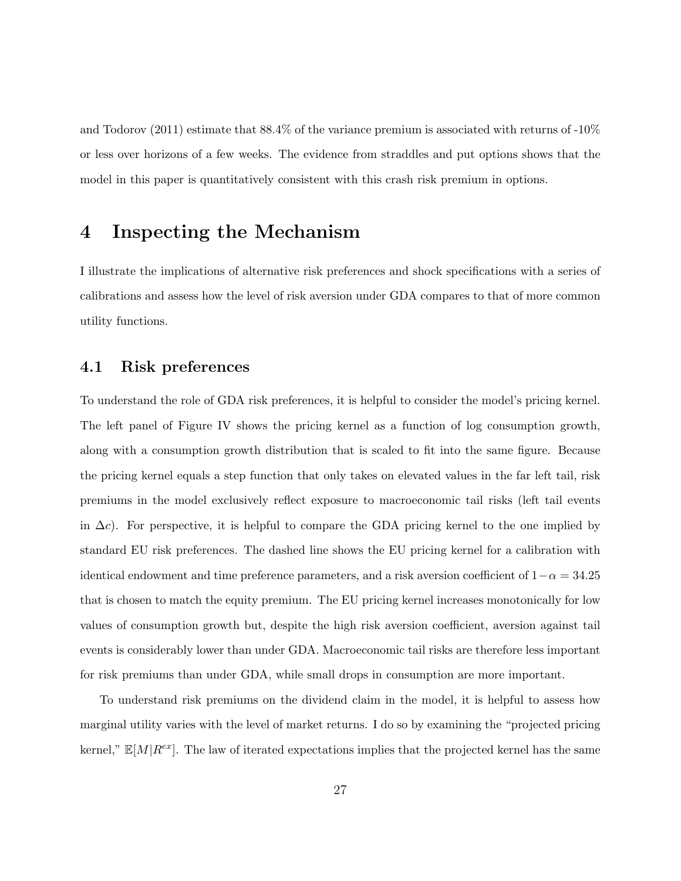and Todorov (2011) estimate that 88.4% of the variance premium is associated with returns of -10% or less over horizons of a few weeks. The evidence from straddles and put options shows that the model in this paper is quantitatively consistent with this crash risk premium in options.

## 4 Inspecting the Mechanism

I illustrate the implications of alternative risk preferences and shock specifications with a series of calibrations and assess how the level of risk aversion under GDA compares to that of more common utility functions.

## 4.1 Risk preferences

To understand the role of GDA risk preferences, it is helpful to consider the model's pricing kernel. The left panel of Figure IV shows the pricing kernel as a function of log consumption growth, along with a consumption growth distribution that is scaled to fit into the same figure. Because the pricing kernel equals a step function that only takes on elevated values in the far left tail, risk premiums in the model exclusively reflect exposure to macroeconomic tail risks (left tail events in  $\Delta c$ ). For perspective, it is helpful to compare the GDA pricing kernel to the one implied by standard EU risk preferences. The dashed line shows the EU pricing kernel for a calibration with identical endowment and time preference parameters, and a risk aversion coefficient of  $1-\alpha = 34.25$ that is chosen to match the equity premium. The EU pricing kernel increases monotonically for low values of consumption growth but, despite the high risk aversion coefficient, aversion against tail events is considerably lower than under GDA. Macroeconomic tail risks are therefore less important for risk premiums than under GDA, while small drops in consumption are more important.

To understand risk premiums on the dividend claim in the model, it is helpful to assess how marginal utility varies with the level of market returns. I do so by examining the "projected pricing kernel,"  $\mathbb{E}[M|R^{ex}]$ . The law of iterated expectations implies that the projected kernel has the same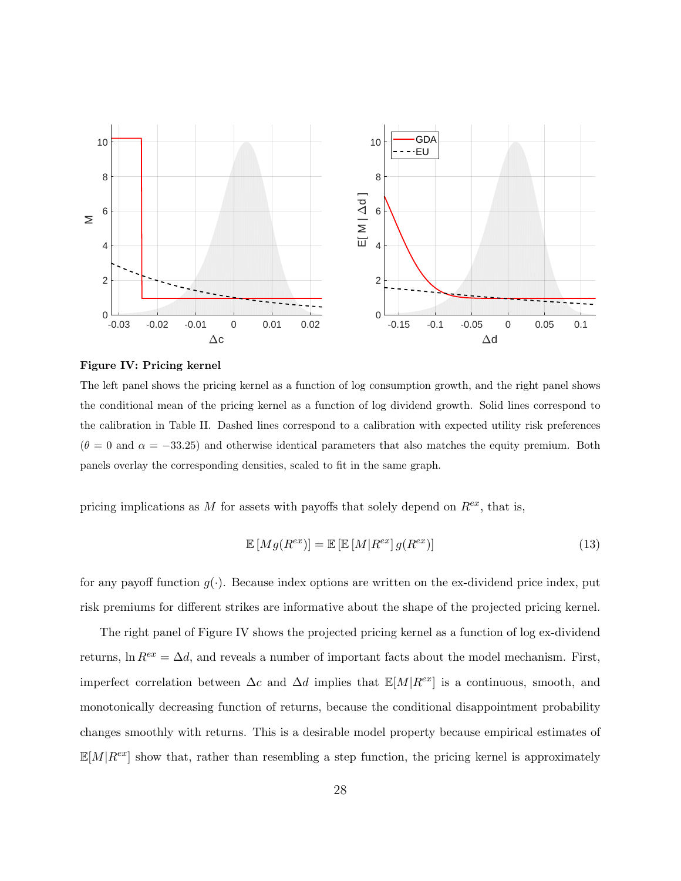

Figure IV: Pricing kernel

The left panel shows the pricing kernel as a function of log consumption growth, and the right panel shows the conditional mean of the pricing kernel as a function of log dividend growth. Solid lines correspond to the calibration in Table II. Dashed lines correspond to a calibration with expected utility risk preferences  $(\theta = 0$  and  $\alpha = -33.25)$  and otherwise identical parameters that also matches the equity premium. Both panels overlay the corresponding densities, scaled to fit in the same graph.

pricing implications as M for assets with payoffs that solely depend on  $R^{ex}$ , that is,

$$
\mathbb{E}\left[Mg(R^{ex})\right] = \mathbb{E}\left[\mathbb{E}\left[M|R^{ex}\right]g(R^{ex})\right] \tag{13}
$$

for any payoff function  $g(.)$ . Because index options are written on the ex-dividend price index, put risk premiums for different strikes are informative about the shape of the projected pricing kernel.

The right panel of Figure IV shows the projected pricing kernel as a function of log ex-dividend returns, ln  $R^{ex} = \Delta d$ , and reveals a number of important facts about the model mechanism. First, imperfect correlation between  $\Delta c$  and  $\Delta d$  implies that  $\mathbb{E}[M|R^{ex}]$  is a continuous, smooth, and monotonically decreasing function of returns, because the conditional disappointment probability changes smoothly with returns. This is a desirable model property because empirical estimates of  $\mathbb{E}[M|R^{ex}]$  show that, rather than resembling a step function, the pricing kernel is approximately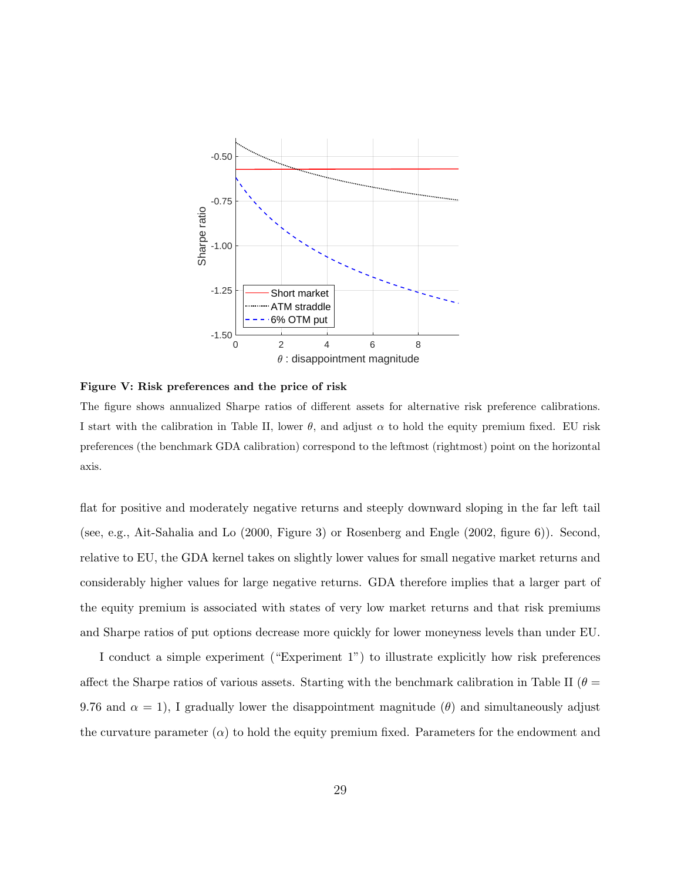

Figure V: Risk preferences and the price of risk

The figure shows annualized Sharpe ratios of different assets for alternative risk preference calibrations. I start with the calibration in Table II, lower  $\theta$ , and adjust  $\alpha$  to hold the equity premium fixed. EU risk preferences (the benchmark GDA calibration) correspond to the leftmost (rightmost) point on the horizontal axis.

flat for positive and moderately negative returns and steeply downward sloping in the far left tail (see, e.g., Ait-Sahalia and Lo (2000, Figure 3) or Rosenberg and Engle (2002, figure 6)). Second, relative to EU, the GDA kernel takes on slightly lower values for small negative market returns and considerably higher values for large negative returns. GDA therefore implies that a larger part of the equity premium is associated with states of very low market returns and that risk premiums and Sharpe ratios of put options decrease more quickly for lower moneyness levels than under EU.

I conduct a simple experiment ("Experiment 1") to illustrate explicitly how risk preferences affect the Sharpe ratios of various assets. Starting with the benchmark calibration in Table II ( $\theta =$ 9.76 and  $\alpha = 1$ ), I gradually lower the disappointment magnitude ( $\theta$ ) and simultaneously adjust the curvature parameter  $(\alpha)$  to hold the equity premium fixed. Parameters for the endowment and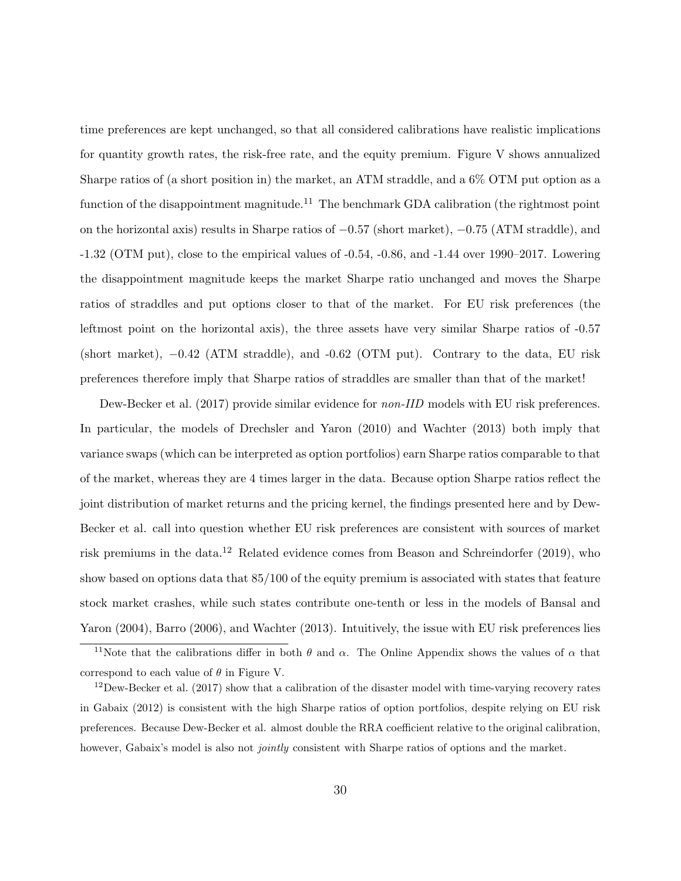time preferences are kept unchanged, so that all considered calibrations have realistic implications for quantity growth rates, the risk-free rate, and the equity premium. Figure V shows annualized Sharpe ratios of (a short position in) the market, an ATM straddle, and a 6% OTM put option as a function of the disappointment magnitude.<sup>11</sup> The benchmark GDA calibration (the rightmost point on the horizontal axis) results in Sharpe ratios of −0.57 (short market), −0.75 (ATM straddle), and -1.32 (OTM put), close to the empirical values of -0.54, -0.86, and -1.44 over 1990–2017. Lowering the disappointment magnitude keeps the market Sharpe ratio unchanged and moves the Sharpe ratios of straddles and put options closer to that of the market. For EU risk preferences (the leftmost point on the horizontal axis), the three assets have very similar Sharpe ratios of -0.57 (short market), −0.42 (ATM straddle), and -0.62 (OTM put). Contrary to the data, EU risk preferences therefore imply that Sharpe ratios of straddles are smaller than that of the market!

Dew-Becker et al. (2017) provide similar evidence for *non-IID* models with EU risk preferences. In particular, the models of Drechsler and Yaron (2010) and Wachter (2013) both imply that variance swaps (which can be interpreted as option portfolios) earn Sharpe ratios comparable to that of the market, whereas they are 4 times larger in the data. Because option Sharpe ratios reflect the joint distribution of market returns and the pricing kernel, the findings presented here and by Dew-Becker et al. call into question whether EU risk preferences are consistent with sources of market risk premiums in the data.<sup>12</sup> Related evidence comes from Beason and Schreindorfer (2019), who show based on options data that 85/100 of the equity premium is associated with states that feature stock market crashes, while such states contribute one-tenth or less in the models of Bansal and Yaron (2004), Barro (2006), and Wachter (2013). Intuitively, the issue with EU risk preferences lies

<sup>&</sup>lt;sup>11</sup>Note that the calibrations differ in both  $\theta$  and  $\alpha$ . The Online Appendix shows the values of  $\alpha$  that correspond to each value of  $\theta$  in Figure V.

 $12$ Dew-Becker et al. (2017) show that a calibration of the disaster model with time-varying recovery rates in Gabaix (2012) is consistent with the high Sharpe ratios of option portfolios, despite relying on EU risk preferences. Because Dew-Becker et al. almost double the RRA coefficient relative to the original calibration, however, Gabaix's model is also not *jointly* consistent with Sharpe ratios of options and the market.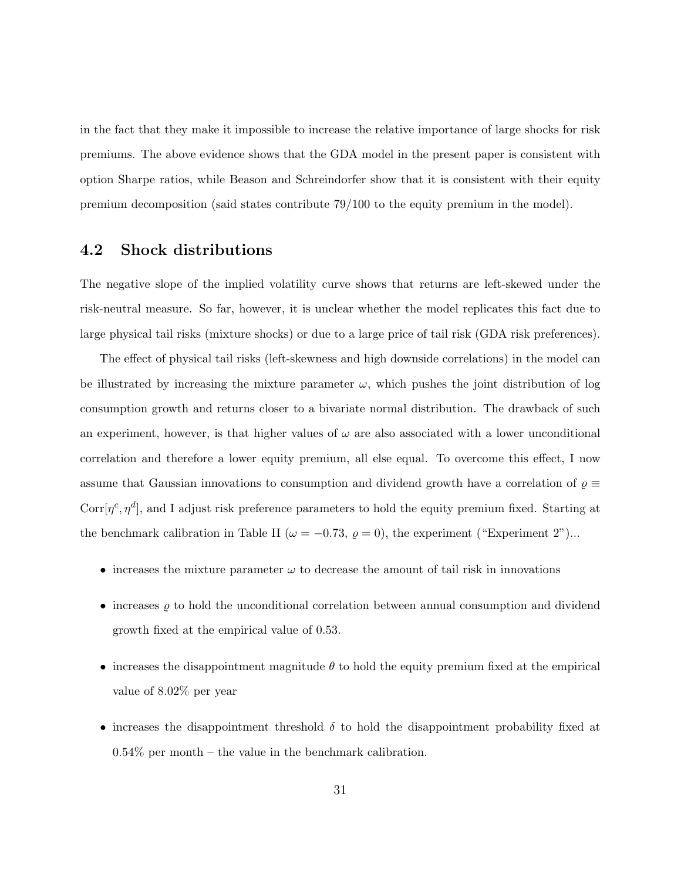in the fact that they make it impossible to increase the relative importance of large shocks for risk premiums. The above evidence shows that the GDA model in the present paper is consistent with option Sharpe ratios, while Beason and Schreindorfer show that it is consistent with their equity premium decomposition (said states contribute 79/100 to the equity premium in the model).

## 4.2 Shock distributions

The negative slope of the implied volatility curve shows that returns are left-skewed under the risk-neutral measure. So far, however, it is unclear whether the model replicates this fact due to large physical tail risks (mixture shocks) or due to a large price of tail risk (GDA risk preferences).

The effect of physical tail risks (left-skewness and high downside correlations) in the model can be illustrated by increasing the mixture parameter  $\omega$ , which pushes the joint distribution of log consumption growth and returns closer to a bivariate normal distribution. The drawback of such an experiment, however, is that higher values of  $\omega$  are also associated with a lower unconditional correlation and therefore a lower equity premium, all else equal. To overcome this effect, I now assume that Gaussian innovations to consumption and dividend growth have a correlation of  $\varrho \equiv$ Corr $[\eta^c, \eta^d]$ , and I adjust risk preference parameters to hold the equity premium fixed. Starting at the benchmark calibration in Table II ( $\omega = -0.73$ ,  $\rho = 0$ ), the experiment ("Experiment 2")...

- increases the mixture parameter  $\omega$  to decrease the amount of tail risk in innovations
- increases  $\rho$  to hold the unconditional correlation between annual consumption and dividend growth fixed at the empirical value of 0.53.
- increases the disappointment magnitude  $\theta$  to hold the equity premium fixed at the empirical value of 8.02% per year
- increases the disappointment threshold  $\delta$  to hold the disappointment probability fixed at  $0.54\%$  per month – the value in the benchmark calibration.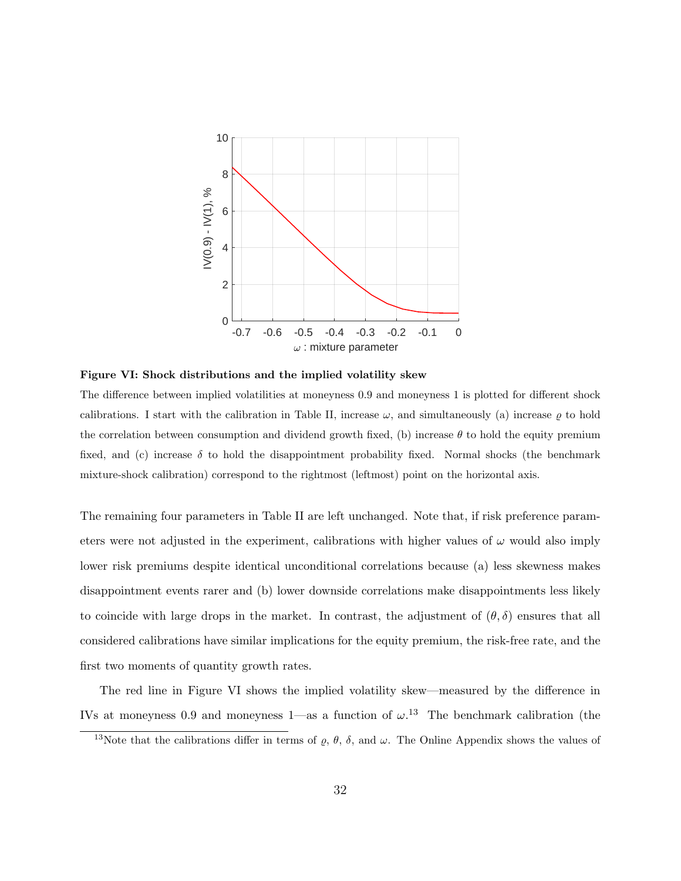

Figure VI: Shock distributions and the implied volatility skew

The difference between implied volatilities at moneyness 0.9 and moneyness 1 is plotted for different shock calibrations. I start with the calibration in Table II, increase  $\omega$ , and simultaneously (a) increase  $\rho$  to hold the correlation between consumption and dividend growth fixed, (b) increase  $\theta$  to hold the equity premium fixed, and (c) increase  $\delta$  to hold the disappointment probability fixed. Normal shocks (the benchmark mixture-shock calibration) correspond to the rightmost (leftmost) point on the horizontal axis.

The remaining four parameters in Table II are left unchanged. Note that, if risk preference parameters were not adjusted in the experiment, calibrations with higher values of  $\omega$  would also imply lower risk premiums despite identical unconditional correlations because (a) less skewness makes disappointment events rarer and (b) lower downside correlations make disappointments less likely to coincide with large drops in the market. In contrast, the adjustment of  $(\theta, \delta)$  ensures that all considered calibrations have similar implications for the equity premium, the risk-free rate, and the first two moments of quantity growth rates.

The red line in Figure VI shows the implied volatility skew—measured by the difference in IVs at moneyness 0.9 and moneyness 1—as a function of  $\omega$ .<sup>13</sup> The benchmark calibration (the

<sup>&</sup>lt;sup>13</sup>Note that the calibrations differ in terms of  $\rho$ ,  $\theta$ ,  $\delta$ , and  $\omega$ . The Online Appendix shows the values of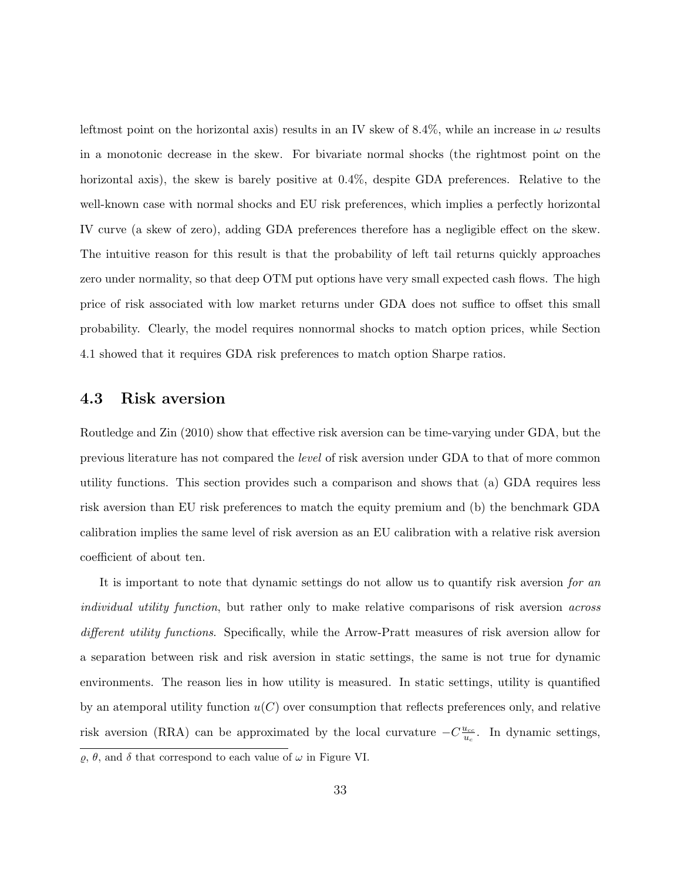leftmost point on the horizontal axis) results in an IV skew of 8.4%, while an increase in  $\omega$  results in a monotonic decrease in the skew. For bivariate normal shocks (the rightmost point on the horizontal axis), the skew is barely positive at  $0.4\%$ , despite GDA preferences. Relative to the well-known case with normal shocks and EU risk preferences, which implies a perfectly horizontal IV curve (a skew of zero), adding GDA preferences therefore has a negligible effect on the skew. The intuitive reason for this result is that the probability of left tail returns quickly approaches zero under normality, so that deep OTM put options have very small expected cash flows. The high price of risk associated with low market returns under GDA does not suffice to offset this small probability. Clearly, the model requires nonnormal shocks to match option prices, while Section 4.1 showed that it requires GDA risk preferences to match option Sharpe ratios.

### 4.3 Risk aversion

Routledge and Zin (2010) show that effective risk aversion can be time-varying under GDA, but the previous literature has not compared the level of risk aversion under GDA to that of more common utility functions. This section provides such a comparison and shows that (a) GDA requires less risk aversion than EU risk preferences to match the equity premium and (b) the benchmark GDA calibration implies the same level of risk aversion as an EU calibration with a relative risk aversion coefficient of about ten.

It is important to note that dynamic settings do not allow us to quantify risk aversion for an individual utility function, but rather only to make relative comparisons of risk aversion across different utility functions. Specifically, while the Arrow-Pratt measures of risk aversion allow for a separation between risk and risk aversion in static settings, the same is not true for dynamic environments. The reason lies in how utility is measured. In static settings, utility is quantified by an atemporal utility function  $u(C)$  over consumption that reflects preferences only, and relative risk aversion (RRA) can be approximated by the local curvature  $-C\frac{u_{cc}}{u}$  $\frac{u_{cc}}{u_c}$ . In dynamic settings,

 $\varrho,$   $\theta,$  and  $\delta$  that correspond to each value of  $\omega$  in Figure VI.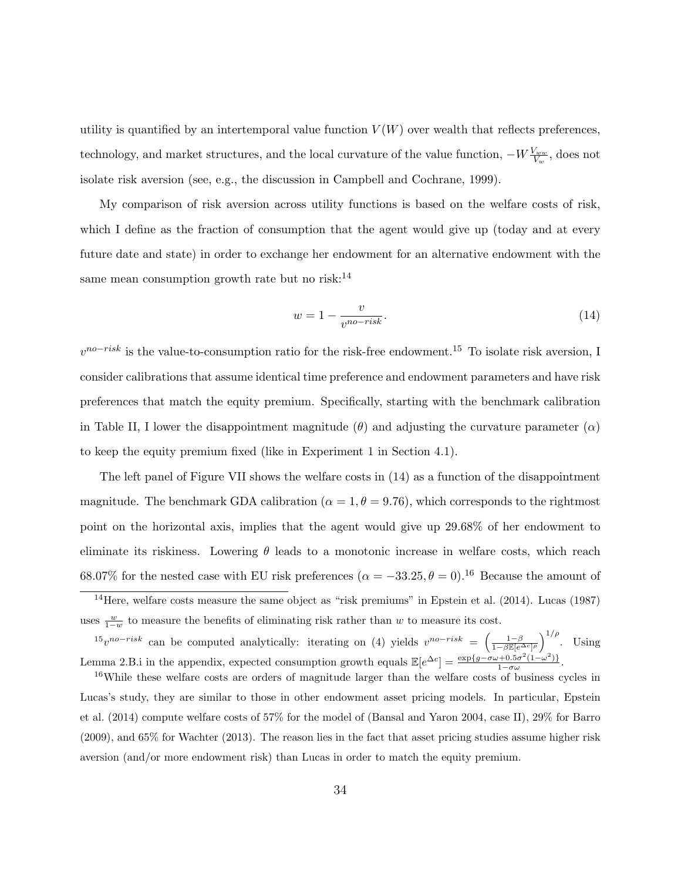utility is quantified by an intertemporal value function  $V(W)$  over wealth that reflects preferences, technology, and market structures, and the local curvature of the value function,  $-W\frac{V_{ww}}{V_w}$ , does not isolate risk aversion (see, e.g., the discussion in Campbell and Cochrane, 1999).

My comparison of risk aversion across utility functions is based on the welfare costs of risk, which I define as the fraction of consumption that the agent would give up (today and at every future date and state) in order to exchange her endowment for an alternative endowment with the same mean consumption growth rate but no risk: $^{14}$ 

$$
w = 1 - \frac{v}{v^{no-risk}}.\tag{14}
$$

 $v^{no-risk}$  is the value-to-consumption ratio for the risk-free endowment.<sup>15</sup> To isolate risk aversion, I consider calibrations that assume identical time preference and endowment parameters and have risk preferences that match the equity premium. Specifically, starting with the benchmark calibration in Table II, I lower the disappointment magnitude  $(\theta)$  and adjusting the curvature parameter  $(\alpha)$ to keep the equity premium fixed (like in Experiment 1 in Section 4.1).

The left panel of Figure VII shows the welfare costs in (14) as a function of the disappointment magnitude. The benchmark GDA calibration ( $\alpha = 1, \theta = 9.76$ ), which corresponds to the rightmost point on the horizontal axis, implies that the agent would give up 29.68% of her endowment to eliminate its riskiness. Lowering  $\theta$  leads to a monotonic increase in welfare costs, which reach 68.07% for the nested case with EU risk preferences  $(\alpha = -33.25, \theta = 0)^{16}$  Because the amount of

<sup>15</sup>v<sup>no−risk</sup> can be computed analytically: iterating on (4) yields  $v^{no-risk} = \left(\frac{1-\beta}{1-\beta \mathbb{E}[e^{\Delta c}]\rho}\right)^{1/\rho}$ . Using Lemma 2.B.i in the appendix, expected consumption growth equals  $\mathbb{E}[e^{\Delta c}] = \frac{\exp\{g - \sigma\omega + 0.5\sigma^2(1-\omega^2)\}}{1-\sigma\omega}$  $\frac{1-\sigma\omega(1-\omega)}{1-\sigma\omega}$ .

<sup>16</sup>While these welfare costs are orders of magnitude larger than the welfare costs of business cycles in Lucas's study, they are similar to those in other endowment asset pricing models. In particular, Epstein et al. (2014) compute welfare costs of 57% for the model of (Bansal and Yaron 2004, case II), 29% for Barro (2009), and 65% for Wachter (2013). The reason lies in the fact that asset pricing studies assume higher risk aversion (and/or more endowment risk) than Lucas in order to match the equity premium.

 $14$ Here, welfare costs measure the same object as "risk premiums" in Epstein et al. (2014). Lucas (1987) uses  $\frac{w}{1-w}$  to measure the benefits of eliminating risk rather than w to measure its cost.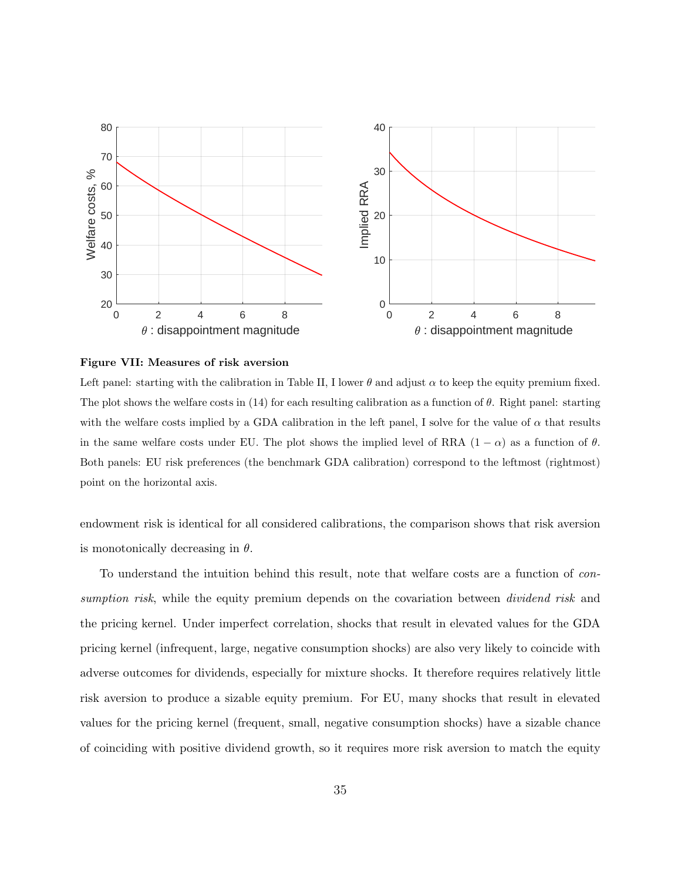

Figure VII: Measures of risk aversion

Left panel: starting with the calibration in Table II, I lower  $\theta$  and adjust  $\alpha$  to keep the equity premium fixed. The plot shows the welfare costs in (14) for each resulting calibration as a function of  $\theta$ . Right panel: starting with the welfare costs implied by a GDA calibration in the left panel, I solve for the value of  $\alpha$  that results in the same welfare costs under EU. The plot shows the implied level of RRA  $(1 - \alpha)$  as a function of  $\theta$ . Both panels: EU risk preferences (the benchmark GDA calibration) correspond to the leftmost (rightmost) point on the horizontal axis.

endowment risk is identical for all considered calibrations, the comparison shows that risk aversion is monotonically decreasing in  $\theta$ .

To understand the intuition behind this result, note that welfare costs are a function of consumption risk, while the equity premium depends on the covariation between *dividend risk* and the pricing kernel. Under imperfect correlation, shocks that result in elevated values for the GDA pricing kernel (infrequent, large, negative consumption shocks) are also very likely to coincide with adverse outcomes for dividends, especially for mixture shocks. It therefore requires relatively little risk aversion to produce a sizable equity premium. For EU, many shocks that result in elevated values for the pricing kernel (frequent, small, negative consumption shocks) have a sizable chance of coinciding with positive dividend growth, so it requires more risk aversion to match the equity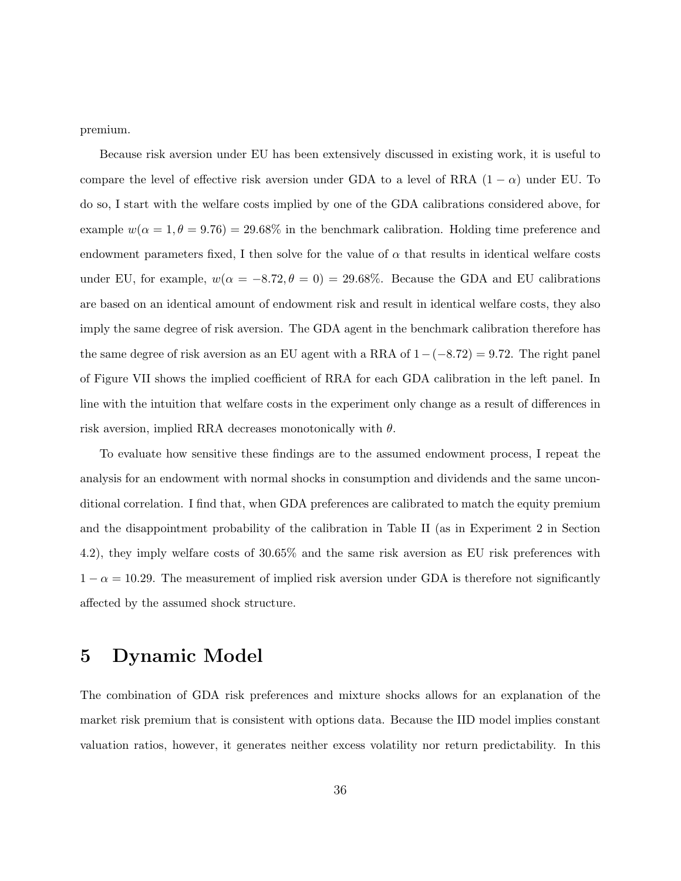premium.

Because risk aversion under EU has been extensively discussed in existing work, it is useful to compare the level of effective risk aversion under GDA to a level of RRA  $(1 - \alpha)$  under EU. To do so, I start with the welfare costs implied by one of the GDA calibrations considered above, for example  $w(\alpha = 1, \theta = 9.76) = 29.68\%$  in the benchmark calibration. Holding time preference and endowment parameters fixed, I then solve for the value of  $\alpha$  that results in identical welfare costs under EU, for example,  $w(\alpha = -8.72, \theta = 0) = 29.68\%$ . Because the GDA and EU calibrations are based on an identical amount of endowment risk and result in identical welfare costs, they also imply the same degree of risk aversion. The GDA agent in the benchmark calibration therefore has the same degree of risk aversion as an EU agent with a RRA of  $1-(-8.72) = 9.72$ . The right panel of Figure VII shows the implied coefficient of RRA for each GDA calibration in the left panel. In line with the intuition that welfare costs in the experiment only change as a result of differences in risk aversion, implied RRA decreases monotonically with  $\theta$ .

To evaluate how sensitive these findings are to the assumed endowment process, I repeat the analysis for an endowment with normal shocks in consumption and dividends and the same unconditional correlation. I find that, when GDA preferences are calibrated to match the equity premium and the disappointment probability of the calibration in Table II (as in Experiment 2 in Section 4.2), they imply welfare costs of 30.65% and the same risk aversion as EU risk preferences with  $1 - \alpha = 10.29$ . The measurement of implied risk aversion under GDA is therefore not significantly affected by the assumed shock structure.

## 5 Dynamic Model

The combination of GDA risk preferences and mixture shocks allows for an explanation of the market risk premium that is consistent with options data. Because the IID model implies constant valuation ratios, however, it generates neither excess volatility nor return predictability. In this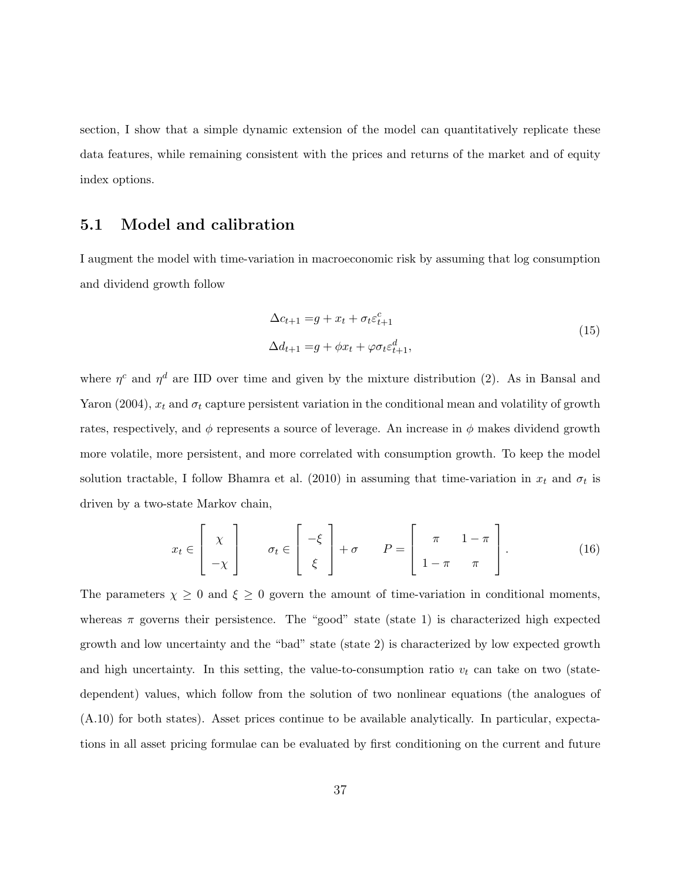section, I show that a simple dynamic extension of the model can quantitatively replicate these data features, while remaining consistent with the prices and returns of the market and of equity index options.

## 5.1 Model and calibration

I augment the model with time-variation in macroeconomic risk by assuming that log consumption and dividend growth follow

$$
\Delta c_{t+1} = g + x_t + \sigma_t \varepsilon_{t+1}^c
$$
  
\n
$$
\Delta d_{t+1} = g + \phi x_t + \varphi \sigma_t \varepsilon_{t+1}^d,
$$
\n(15)

where  $\eta^c$  and  $\eta^d$  are IID over time and given by the mixture distribution (2). As in Bansal and Yaron (2004),  $x_t$  and  $\sigma_t$  capture persistent variation in the conditional mean and volatility of growth rates, respectively, and  $\phi$  represents a source of leverage. An increase in  $\phi$  makes dividend growth more volatile, more persistent, and more correlated with consumption growth. To keep the model solution tractable, I follow Bhamra et al. (2010) in assuming that time-variation in  $x_t$  and  $\sigma_t$  is driven by a two-state Markov chain,

$$
x_t \in \begin{bmatrix} \chi \\ -\chi \end{bmatrix} \qquad \sigma_t \in \begin{bmatrix} -\xi \\ \xi \end{bmatrix} + \sigma \qquad P = \begin{bmatrix} \pi & 1 - \pi \\ 1 - \pi & \pi \end{bmatrix} . \tag{16}
$$

The parameters  $\chi \geq 0$  and  $\xi \geq 0$  govern the amount of time-variation in conditional moments, whereas  $\pi$  governs their persistence. The "good" state (state 1) is characterized high expected growth and low uncertainty and the "bad" state (state 2) is characterized by low expected growth and high uncertainty. In this setting, the value-to-consumption ratio  $v_t$  can take on two (statedependent) values, which follow from the solution of two nonlinear equations (the analogues of (A.10) for both states). Asset prices continue to be available analytically. In particular, expectations in all asset pricing formulae can be evaluated by first conditioning on the current and future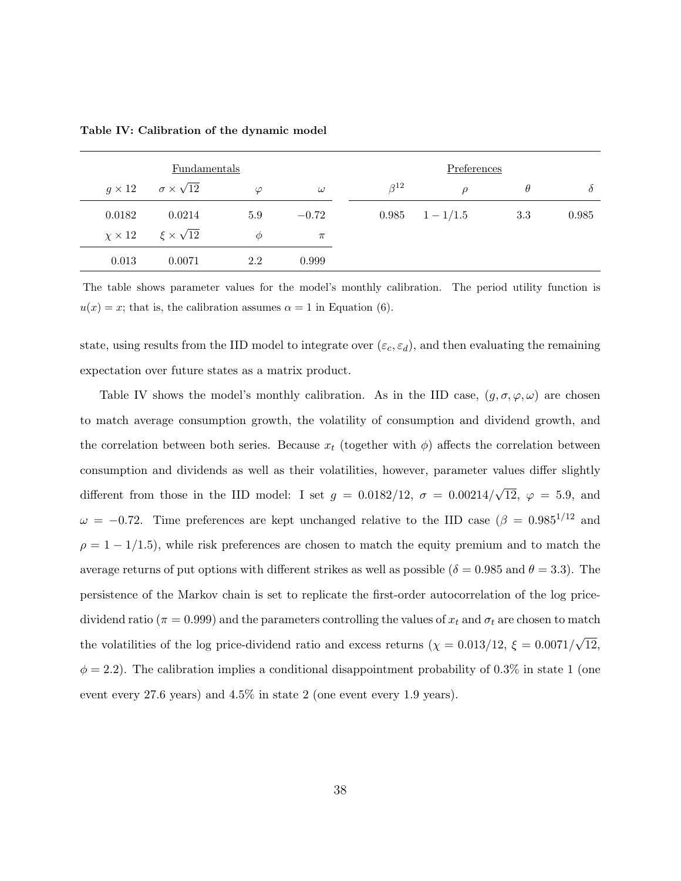|               | Fundamentals                            |           |          |              | Preferences         |          |          |
|---------------|-----------------------------------------|-----------|----------|--------------|---------------------|----------|----------|
| $g \times 12$ | $\sigma \times \sqrt{12}$               | $\varphi$ | $\omega$ | $\beta^{12}$ | $\mathcal{D}$       | $\theta$ | $\theta$ |
| 0.0182        | 0.0214                                  | 5.9       | $-0.72$  |              | $0.985 \t1 - 1/1.5$ | 3.3      | 0.985    |
|               | $\chi \times 12$ $\xi \times \sqrt{12}$ | $\phi$    | $\pi$    |              |                     |          |          |
| 0.013         | 0.0071                                  | 2.2       | 0.999    |              |                     |          |          |

Table IV: Calibration of the dynamic model

The table shows parameter values for the model's monthly calibration. The period utility function is  $u(x) = x$ ; that is, the calibration assumes  $\alpha = 1$  in Equation (6).

state, using results from the IID model to integrate over  $(\varepsilon_c, \varepsilon_d)$ , and then evaluating the remaining expectation over future states as a matrix product.

Table IV shows the model's monthly calibration. As in the IID case,  $(g, \sigma, \varphi, \omega)$  are chosen to match average consumption growth, the volatility of consumption and dividend growth, and the correlation between both series. Because  $x_t$  (together with  $\phi$ ) affects the correlation between consumption and dividends as well as their volatilities, however, parameter values differ slightly different from those in the IID model: I set  $g = 0.0182/12$ ,  $\sigma = 0.00214/$ √ 12,  $\varphi = 5.9$ , and  $\omega = -0.72$ . Time preferences are kept unchanged relative to the IID case ( $\beta = 0.985^{1/12}$  and  $\rho = 1 - 1/1.5$ , while risk preferences are chosen to match the equity premium and to match the average returns of put options with different strikes as well as possible ( $\delta = 0.985$  and  $\theta = 3.3$ ). The persistence of the Markov chain is set to replicate the first-order autocorrelation of the log pricedividend ratio ( $\pi = 0.999$ ) and the parameters controlling the values of  $x_t$  and  $\sigma_t$  are chosen to match the volatilities of the log price-dividend ratio and excess returns  $(\chi = 0.013/12, \xi = 0.0071/$ √ 12,  $\phi = 2.2$ ). The calibration implies a conditional disappointment probability of 0.3% in state 1 (one event every 27.6 years) and 4.5% in state 2 (one event every 1.9 years).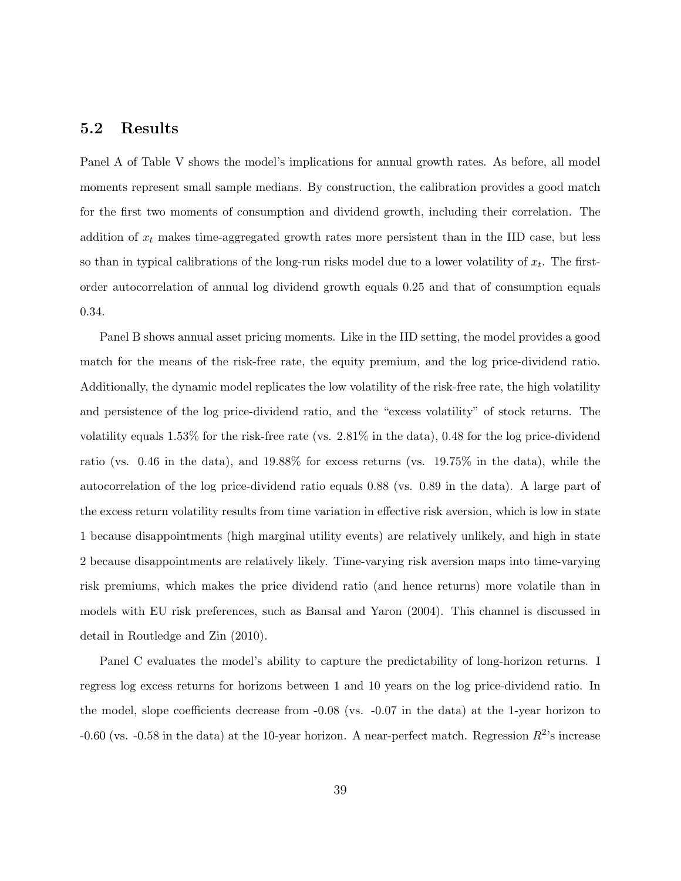## 5.2 Results

Panel A of Table V shows the model's implications for annual growth rates. As before, all model moments represent small sample medians. By construction, the calibration provides a good match for the first two moments of consumption and dividend growth, including their correlation. The addition of  $x_t$  makes time-aggregated growth rates more persistent than in the IID case, but less so than in typical calibrations of the long-run risks model due to a lower volatility of  $x_t$ . The firstorder autocorrelation of annual log dividend growth equals 0.25 and that of consumption equals 0.34.

Panel B shows annual asset pricing moments. Like in the IID setting, the model provides a good match for the means of the risk-free rate, the equity premium, and the log price-dividend ratio. Additionally, the dynamic model replicates the low volatility of the risk-free rate, the high volatility and persistence of the log price-dividend ratio, and the "excess volatility" of stock returns. The volatility equals 1.53% for the risk-free rate (vs. 2.81% in the data), 0.48 for the log price-dividend ratio (vs. 0.46 in the data), and 19.88% for excess returns (vs. 19.75% in the data), while the autocorrelation of the log price-dividend ratio equals 0.88 (vs. 0.89 in the data). A large part of the excess return volatility results from time variation in effective risk aversion, which is low in state 1 because disappointments (high marginal utility events) are relatively unlikely, and high in state 2 because disappointments are relatively likely. Time-varying risk aversion maps into time-varying risk premiums, which makes the price dividend ratio (and hence returns) more volatile than in models with EU risk preferences, such as Bansal and Yaron (2004). This channel is discussed in detail in Routledge and Zin (2010).

Panel C evaluates the model's ability to capture the predictability of long-horizon returns. I regress log excess returns for horizons between 1 and 10 years on the log price-dividend ratio. In the model, slope coefficients decrease from -0.08 (vs. -0.07 in the data) at the 1-year horizon to -0.60 (vs. -0.58 in the data) at the 10-year horizon. A near-perfect match. Regression  $R^2$ 's increase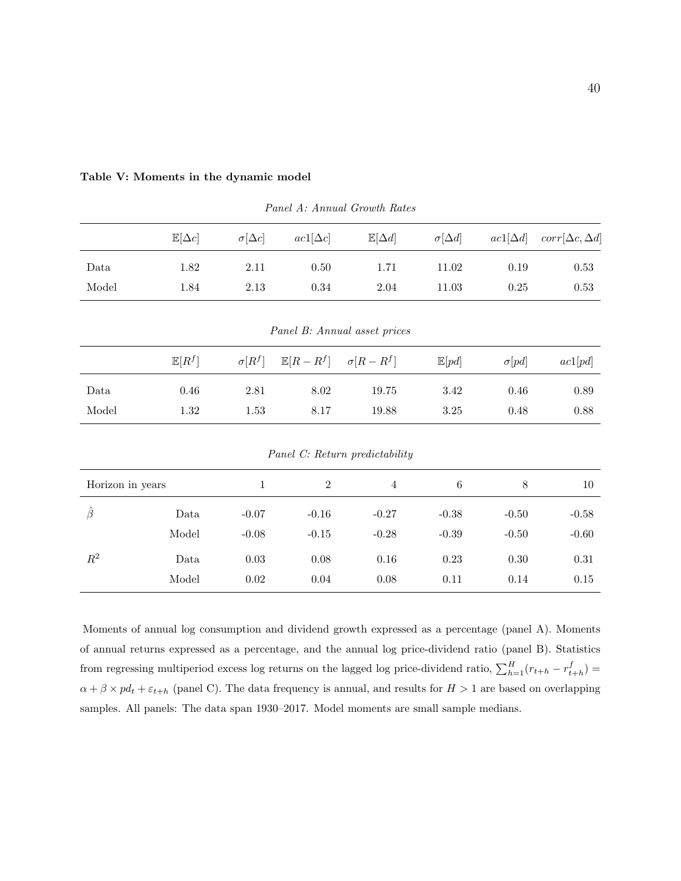|                  | $\mathbb{E}[\Delta c]$ | $\sigma[\Delta c]$ | $ac1[\Delta c]$     | $\mathbb{E}[\Delta d]$         | $\sigma[\Delta d]$ | $ac1[\Delta d]$ | $corr[\Delta c, \Delta d]$ |
|------------------|------------------------|--------------------|---------------------|--------------------------------|--------------------|-----------------|----------------------------|
| Data             | 1.82                   | $2.11\,$           | $0.50\,$            | 1.71                           | 11.02              | $0.19\,$        | 0.53                       |
| Model            | 1.84                   | $2.13\,$           | 0.34                | $2.04\,$                       | 11.03              | $0.25\,$        | $0.53\,$                   |
|                  |                        |                    |                     |                                |                    |                 |                            |
|                  |                        |                    |                     | Panel B: Annual asset prices   |                    |                 |                            |
|                  | $\mathbb{E}[R^f]$      | $\sigma[R^f]$      | $\mathbb{E}[R-R^f]$ | $\sigma[R-R^f]$                | $\mathbb{E}[pd]$   | $\sigma[pd]$    | ac1[pd]                    |
| Data             | $0.46\,$               | $2.81\,$           | $8.02\,$            | 19.75                          | 3.42               | 0.46            | $0.89\,$                   |
| Model            | $1.32\,$               | 1.53               | 8.17                | 19.88                          | 3.25               | 0.48            | $0.88\,$                   |
|                  |                        |                    |                     | Panel C: Return predictability |                    |                 |                            |
| Horizon in years |                        | $\mathbf{1}$       | $\overline{2}$      | $\overline{4}$                 | $\boldsymbol{6}$   | $8\,$           | 10                         |
| $\hat{\beta}$    | Data                   | $-0.07$            | $-0.16$             | $-0.27$                        | $-0.38$            | $-0.50$         | $-0.58$                    |
|                  | Model                  | $-0.08$            | $-0.15$             | $-0.28$                        | $-0.39$            | $-0.50$         | $-0.60$                    |
| $R^2$            | Data                   | $0.03\,$           | 0.08                | $0.16\,$                       | 0.23               | $0.30\,$        | $0.31\,$                   |
|                  | Model                  | $0.02\,$           | 0.04                | $0.08\,$                       | 0.11               | 0.14            | $0.15\,$                   |

#### Table V: Moments in the dynamic model

Panel A: Annual Growth Rates

Moments of annual log consumption and dividend growth expressed as a percentage (panel A). Moments of annual returns expressed as a percentage, and the annual log price-dividend ratio (panel B). Statistics from regressing multiperiod excess log returns on the lagged log price-dividend ratio,  $\sum_{h=1}^{H} (r_{t+h} - r_{t+h}^f)$  $\alpha + \beta \times pd_t + \varepsilon_{t+h}$  (panel C). The data frequency is annual, and results for  $H > 1$  are based on overlapping samples. All panels: The data span 1930–2017. Model moments are small sample medians.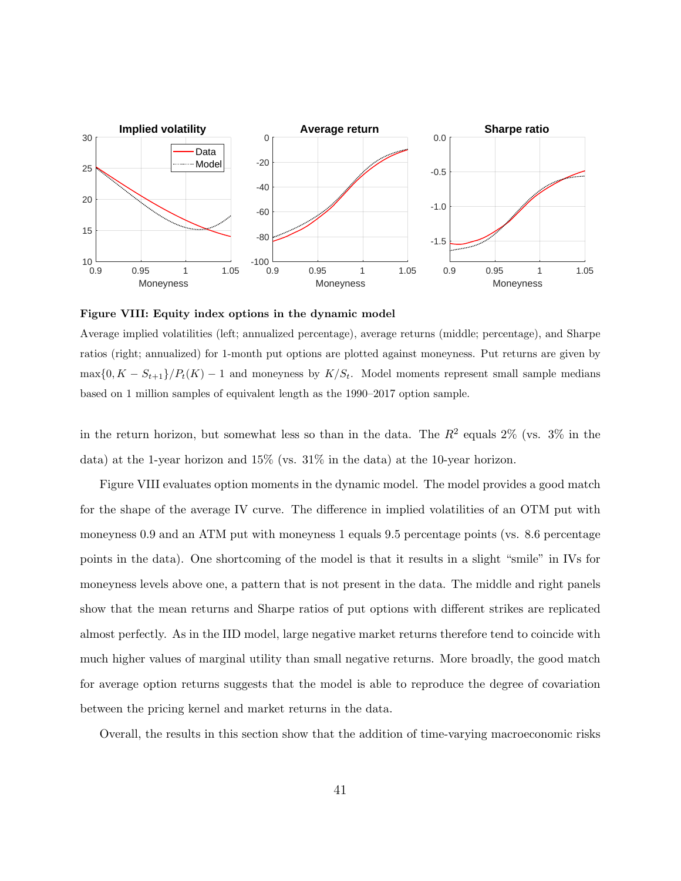

Figure VIII: Equity index options in the dynamic model

Average implied volatilities (left; annualized percentage), average returns (middle; percentage), and Sharpe ratios (right; annualized) for 1-month put options are plotted against moneyness. Put returns are given by  $\max\{0, K - S_{t+1}\}/P_t(K) - 1$  and moneyness by  $K/S_t$ . Model moments represent small sample medians based on 1 million samples of equivalent length as the 1990–2017 option sample.

in the return horizon, but somewhat less so than in the data. The  $R^2$  equals  $2\%$  (vs.  $3\%$  in the data) at the 1-year horizon and 15% (vs. 31% in the data) at the 10-year horizon.

Figure VIII evaluates option moments in the dynamic model. The model provides a good match for the shape of the average IV curve. The difference in implied volatilities of an OTM put with moneyness 0.9 and an ATM put with moneyness 1 equals 9.5 percentage points (vs. 8.6 percentage points in the data). One shortcoming of the model is that it results in a slight "smile" in IVs for moneyness levels above one, a pattern that is not present in the data. The middle and right panels show that the mean returns and Sharpe ratios of put options with different strikes are replicated almost perfectly. As in the IID model, large negative market returns therefore tend to coincide with much higher values of marginal utility than small negative returns. More broadly, the good match for average option returns suggests that the model is able to reproduce the degree of covariation between the pricing kernel and market returns in the data.

Overall, the results in this section show that the addition of time-varying macroeconomic risks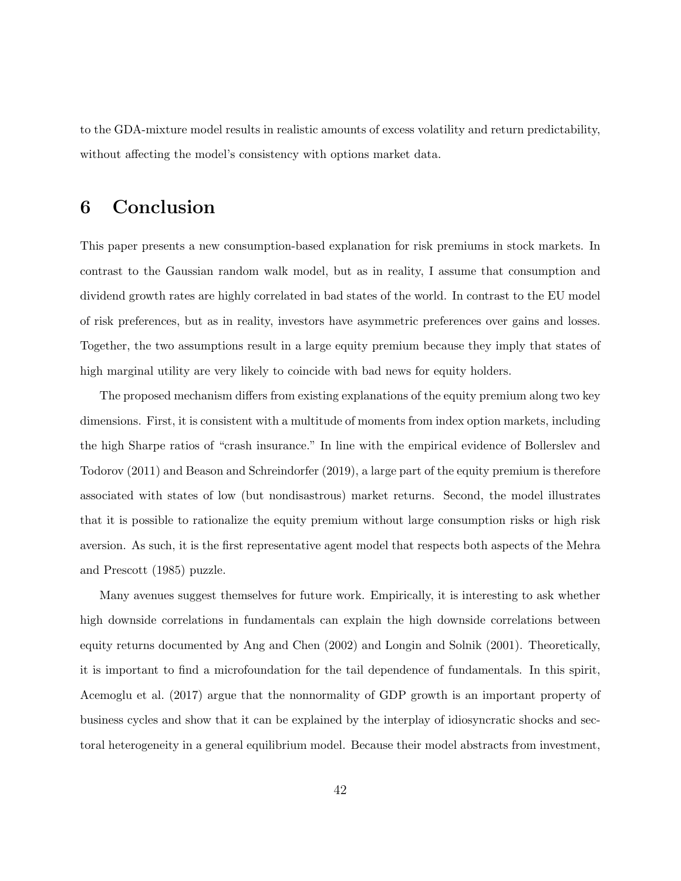to the GDA-mixture model results in realistic amounts of excess volatility and return predictability, without affecting the model's consistency with options market data.

## 6 Conclusion

This paper presents a new consumption-based explanation for risk premiums in stock markets. In contrast to the Gaussian random walk model, but as in reality, I assume that consumption and dividend growth rates are highly correlated in bad states of the world. In contrast to the EU model of risk preferences, but as in reality, investors have asymmetric preferences over gains and losses. Together, the two assumptions result in a large equity premium because they imply that states of high marginal utility are very likely to coincide with bad news for equity holders.

The proposed mechanism differs from existing explanations of the equity premium along two key dimensions. First, it is consistent with a multitude of moments from index option markets, including the high Sharpe ratios of "crash insurance." In line with the empirical evidence of Bollerslev and Todorov (2011) and Beason and Schreindorfer (2019), a large part of the equity premium is therefore associated with states of low (but nondisastrous) market returns. Second, the model illustrates that it is possible to rationalize the equity premium without large consumption risks or high risk aversion. As such, it is the first representative agent model that respects both aspects of the Mehra and Prescott (1985) puzzle.

Many avenues suggest themselves for future work. Empirically, it is interesting to ask whether high downside correlations in fundamentals can explain the high downside correlations between equity returns documented by Ang and Chen (2002) and Longin and Solnik (2001). Theoretically, it is important to find a microfoundation for the tail dependence of fundamentals. In this spirit, Acemoglu et al. (2017) argue that the nonnormality of GDP growth is an important property of business cycles and show that it can be explained by the interplay of idiosyncratic shocks and sectoral heterogeneity in a general equilibrium model. Because their model abstracts from investment,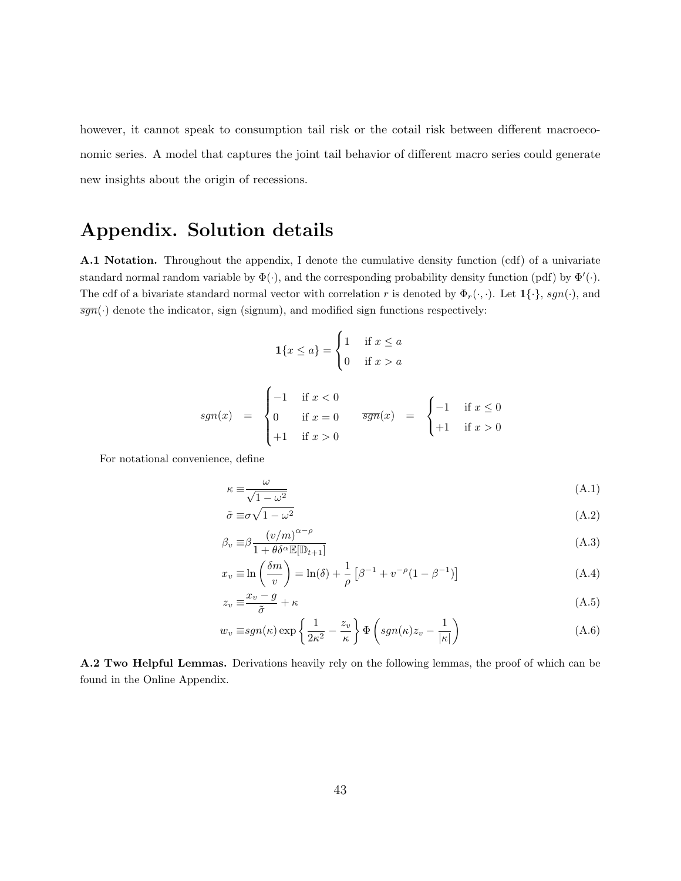however, it cannot speak to consumption tail risk or the cotail risk between different macroeconomic series. A model that captures the joint tail behavior of different macro series could generate new insights about the origin of recessions.

## Appendix. Solution details

A.1 Notation. Throughout the appendix, I denote the cumulative density function (cdf) of a univariate standard normal random variable by  $\Phi(\cdot)$ , and the corresponding probability density function (pdf) by  $\Phi'(\cdot)$ . The cdf of a bivariate standard normal vector with correlation r is denoted by  $\Phi_r(\cdot,\cdot)$ . Let  $\mathbf{1}\{\cdot\}$ , sgn( $\cdot$ ), and  $\overline{sgn}(\cdot)$  denote the indicator, sign (signum), and modified sign functions respectively:

$$
\mathbf{1}\{x \le a\} = \begin{cases} 1 & \text{if } x \le a \\ 0 & \text{if } x > a \end{cases}
$$

$$
sgn(x) = \begin{cases} -1 & \text{if } x < 0 \\ 0 & \text{if } x = 0 \\ +1 & \text{if } x > 0 \end{cases} \qquad \overline{sgn}(x) = \begin{cases} -1 & \text{if } x \le 0 \\ +1 & \text{if } x > 0 \end{cases}
$$

For notational convenience, define

$$
\kappa \equiv \frac{\omega}{\sqrt{1 - \omega^2}}\tag{A.1}
$$

$$
\tilde{\sigma} \equiv \sigma \sqrt{1 - \omega^2} \tag{A.2}
$$

$$
\beta_v \equiv \beta \frac{(v/m)^{\alpha - \rho}}{1 + \theta \delta^{\alpha} \mathbb{E}[\mathbb{D}_{t+1}]} \tag{A.3}
$$

$$
x_v \equiv \ln\left(\frac{\delta m}{v}\right) = \ln(\delta) + \frac{1}{\rho} \left[\beta^{-1} + v^{-\rho}(1 - \beta^{-1})\right]
$$
 (A.4)

$$
z_v \equiv \frac{x_v - g}{\tilde{\sigma}} + \kappa \tag{A.5}
$$

$$
w_v \equiv sgn(\kappa) \exp\left\{\frac{1}{2\kappa^2} - \frac{z_v}{\kappa}\right\} \Phi\left(sgn(\kappa)z_v - \frac{1}{|\kappa|}\right) \tag{A.6}
$$

A.2 Two Helpful Lemmas. Derivations heavily rely on the following lemmas, the proof of which can be found in the Online Appendix.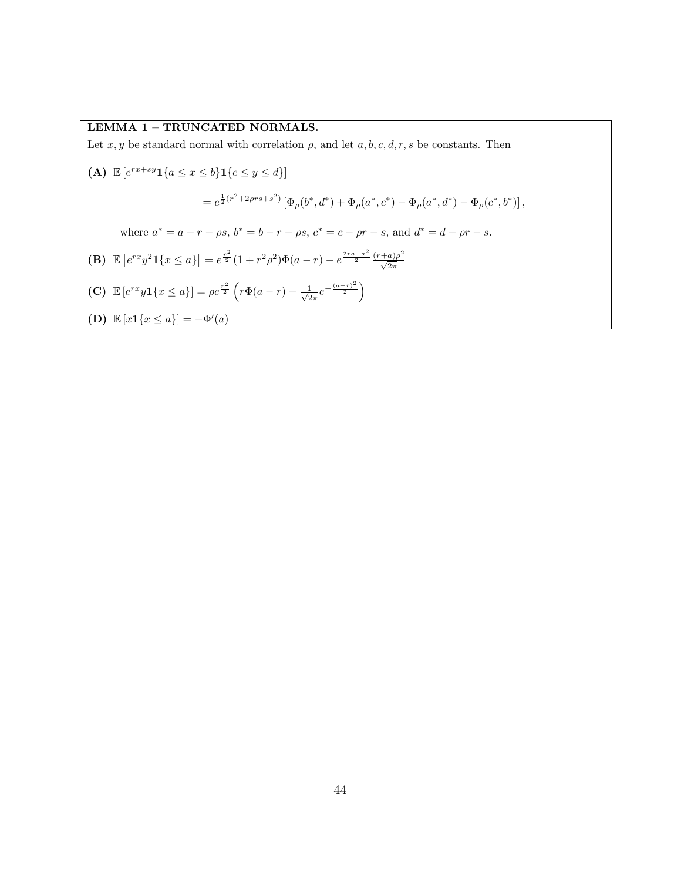#### LEMMA 1 – TRUNCATED NORMALS.

Let  $x, y$  be standard normal with correlation  $\rho$ , and let  $a, b, c, d, r, s$  be constants. Then

(A) 
$$
\mathbb{E}\left[e^{rx+sy}\mathbf{1}\{a \le x \le b\}\mathbf{1}\{c \le y \le d\}\right]
$$
  
\n
$$
= e^{\frac{1}{2}(r^2+2\rho rs+s^2)}\left[\Phi_{\rho}(b^*,d^*) + \Phi_{\rho}(a^*,c^*) - \Phi_{\rho}(a^*,d^*) - \Phi_{\rho}(c^*,b^*)\right],
$$
\nwhere  $a^* = a - r - \rho s$ ,  $b^* = b - r - \rho s$ ,  $c^* = c - \rho r - s$ , and  $d^* = d - \rho r - s$ .  
\n(B)  $\mathbb{E}\left[e^{rx}y^2\mathbf{1}\{x \le a\}\right] = e^{\frac{r^2}{2}}(1+r^2\rho^2)\Phi(a-r) - e^{\frac{2ra-a^2}{2}}\frac{(r+a)\rho^2}{\sqrt{2\pi}}$   
\n(C)  $\mathbb{E}\left[e^{rx}y\mathbf{1}\{x \le a\}\right] = \rho e^{\frac{r^2}{2}}\left(r\Phi(a-r) - \frac{1}{\sqrt{2\pi}}e^{-\frac{(a-r)^2}{2}}\right)$   
\n(D)  $\mathbb{E}\left[x\mathbf{1}\{x \le a\}\right] = -\Phi'(a)$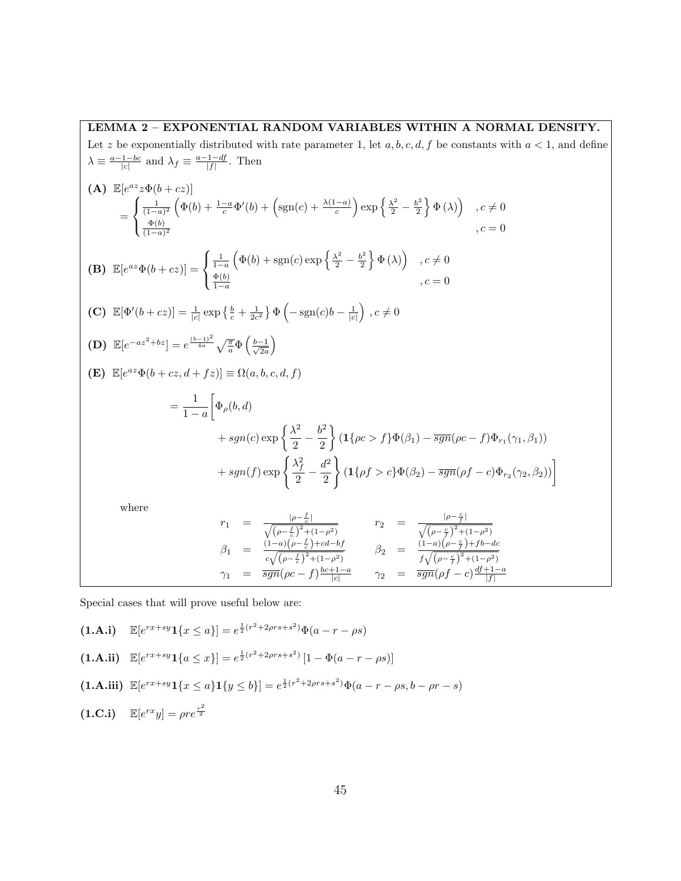LEMMA 2 – EXPONENTIAL RANDOM VARIABLES WITHIN A NORMAL DENSITY. Let z be exponentially distributed with rate parameter 1, let a, b, c, d, f be constants with  $a < 1$ , and define  $\lambda \equiv \frac{a-1-bc}{|c|}$  and  $\lambda_f \equiv \frac{a-1-df}{|f|}$ . Then (A)  $\mathbb{E}[e^{az}z\Phi(b+cz)]$ =  $\sqrt{ }$  $\int$  $\mathcal{L}$  $\frac{1}{(1-a)^2} \left( \Phi(b) + \frac{1-a}{c} \Phi'(b) + \left(\text{sgn}(c) + \frac{\lambda(1-a)}{c}\right) \exp\left\{\frac{\lambda^2}{2} - \frac{b^2}{2}\right\}$  $\left\{ \frac{\partial^2}{\partial z} \right\} \Phi(\lambda)$ ,  $c \neq 0$  $\Phi(b)$  $\frac{\Psi(b)}{(1-a)^2}$ ,  $c = 0$ (B)  $\mathbb{E}[e^{az}\Phi(b+cz)] =$  $\sqrt{ }$  $\int$  $\mathcal{L}$  $\frac{1}{1-a}\left(\Phi(b)+\text{sgn}(c)\exp\left\{\frac{\lambda^2}{2}-\frac{b^2}{2}\right\}\right)$  $\left\{ \frac{\phi^2}{2} \right\} \Phi(\lambda)$ ,  $c \neq 0$  $\Phi(b)$  $\frac{\Phi(b)}{1-a}$ ,  $c=0$ (C)  $\mathbb{E}[\Phi'(b+cz)] = \frac{1}{|c|} \exp\left\{\frac{b}{c} + \frac{1}{2c^2}\right\} \Phi\left(-\text{sgn}(c)b - \frac{1}{|c|}\right), c \neq 0$ (D)  $\mathbb{E}[e^{-az^2+bz}] = e^{\frac{(b-1)^2}{4a}} \sqrt{\frac{\pi}{a}} \Phi\left(\frac{b-1}{\sqrt{2a}}\right)$  $\frac{-1}{2a}$ (E)  $\mathbb{E}[e^{az}\Phi(b+cz,d+ fz)] \equiv \Omega(a,b,c,d,f)$  $=\frac{1}{1}$  $1 - a$  $\Big[\Phi_{\rho}(b,d)$  $+ sgn(c) \exp \left\{\frac{\lambda^2}{2}\right\}$  $\frac{\lambda^2}{2} - \frac{b^2}{2}$ 2  $\left\{ (1\{\rho c > f\} \Phi(\beta_1) - \overline{sgn}(\rho c - f) \Phi_{r_1}(\gamma_1, \beta_1)) \right\}$  $+ sgn(f) \exp \left\{\frac{\lambda_f^2}{2}\right\}$  $\frac{\lambda_{f}^{2}}{2} - \frac{d^{2}}{2}$ 2 )  $(1\{\rho f > c\}\Phi(\beta_2) - \overline{sgn}(\rho f - c)\Phi_{r_2}(\gamma_2, \beta_2))\right]$ where  $r_1 = \frac{|\rho - \frac{f}{c}|}{\sqrt{1-\frac{f}{c^2}}}$  $\frac{|\rho-\frac{f}{c}|}{\sqrt{(\rho-\frac{c}{c})^2+(1-\rho^2)}}$   $r_2 = \frac{|\rho-\frac{c}{f}|}{\sqrt{(\rho-\frac{c}{f})^2+(1-\rho^2)}}$  $\sqrt{(\rho - \frac{c}{f})^2 + (1 - \rho^2)}$ 

$$
\beta_1 = \frac{\frac{(1-a)(\rho - \frac{f}{c}) + cd - bf}{c\sqrt{(\rho - \frac{f}{c})^2 + (1 - \rho^2)}}}{\sqrt{(\rho - \frac{f}{c})^2 + (1 - \rho^2)}} \qquad \beta_2 = \frac{\frac{(1-a)(\rho - \frac{c}{f}) + fb - dc}{c\sqrt{(\rho - \frac{c}{f})^2 + (1 - \rho^2)}}}{f\sqrt{(\rho - \frac{c}{f})^2 + (1 - \rho^2)}}
$$
\n
$$
\gamma_1 = \frac{\overline{sgn}(\rho c - f) \frac{bc + 1 - a}{|c|}}{\sqrt{(\rho - \frac{c}{f})^2 + (1 - \rho^2)}}
$$

Special cases that will prove useful below are:

$$
(1.A.i) \quad \mathbb{E}[e^{rx+sy}1\{x \le a\}] = e^{\frac{1}{2}(r^2+2\rho rs+s^2)}\Phi(a-r-\rho s)
$$

$$
(1. A. ii) \mathbb{E}[e^{rx+sy}1\{a \le x\}] = e^{\frac{1}{2}(r^2+2\rho rs+s^2)}[1-\Phi(a-r-\rho s)]
$$

- (1.A.iii)  $\mathbb{E}[e^{rx+sy}1\{x \le a\}1\{y \le b\}] = e^{\frac{1}{2}(r^2+2\rho rs+s^2)}\Phi(a-r-\rho s, b-\rho r-s)$
- $(1.C.i)$   $\mathbb{E}[e^{rx}y] = \rho r e^{\frac{r^2}{2}}$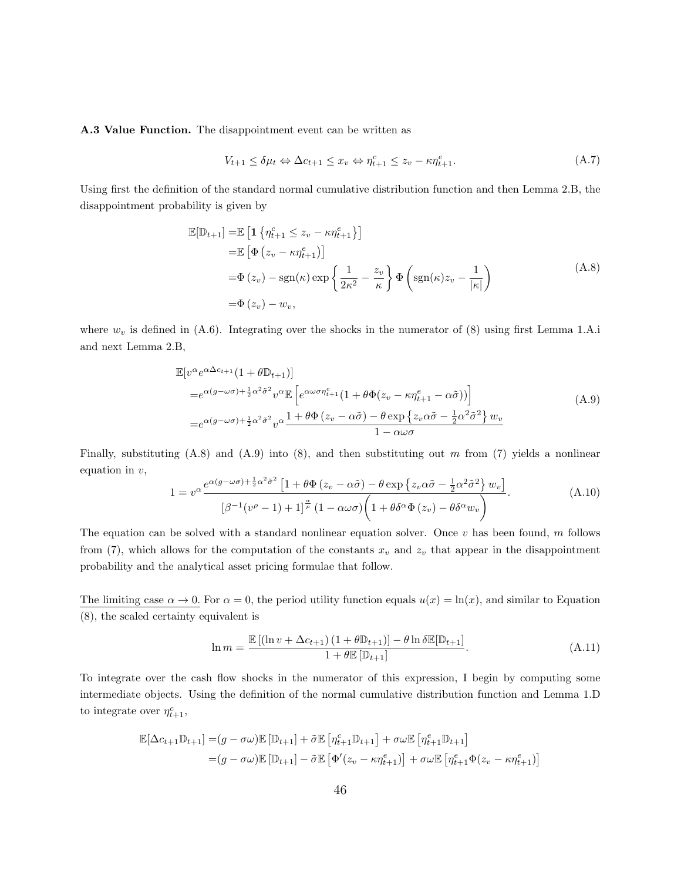A.3 Value Function. The disappointment event can be written as

$$
V_{t+1} \leq \delta \mu_t \Leftrightarrow \Delta c_{t+1} \leq x_v \Leftrightarrow \eta_{t+1}^c \leq z_v - \kappa \eta_{t+1}^e. \tag{A.7}
$$

Using first the definition of the standard normal cumulative distribution function and then Lemma 2.B, the disappointment probability is given by

$$
\mathbb{E}[\mathbb{D}_{t+1}] = \mathbb{E} \left[ \mathbf{1} \left\{ \eta_{t+1}^c \le z_v - \kappa \eta_{t+1}^e \right\} \right]
$$
  
\n
$$
= \mathbb{E} \left[ \Phi \left( z_v - \kappa \eta_{t+1}^e \right) \right]
$$
  
\n
$$
= \Phi \left( z_v \right) - \text{sgn}(\kappa) \exp \left\{ \frac{1}{2\kappa^2} - \frac{z_v}{\kappa} \right\} \Phi \left( \text{sgn}(\kappa) z_v - \frac{1}{|\kappa|} \right)
$$
  
\n
$$
= \Phi \left( z_v \right) - w_v,
$$
\n(A.8)

where  $w_v$  is defined in (A.6). Integrating over the shocks in the numerator of (8) using first Lemma 1.A.i and next Lemma 2.B,

$$
\mathbb{E}[v^{\alpha}e^{\alpha\Delta c_{t+1}}(1+\theta\mathbb{D}_{t+1})]
$$
\n
$$
=e^{\alpha(g-\omega\sigma)+\frac{1}{2}\alpha^{2}\tilde{\sigma}^{2}}v^{\alpha}\mathbb{E}\left[e^{\alpha\omega\sigma\eta_{t+1}^{e}}(1+\theta\Phi(z_{v}-\kappa\eta_{t+1}^{e}-\alpha\tilde{\sigma}))\right]
$$
\n
$$
=e^{\alpha(g-\omega\sigma)+\frac{1}{2}\alpha^{2}\tilde{\sigma}^{2}}v^{\alpha}\frac{1+\theta\Phi(z_{v}-\alpha\tilde{\sigma})-\theta\exp\left\{z_{v}\alpha\tilde{\sigma}-\frac{1}{2}\alpha^{2}\tilde{\sigma}^{2}\right\}w_{v}}{1-\alpha\omega\sigma}
$$
\n(A.9)

Finally, substituting  $(A.8)$  and  $(A.9)$  into  $(8)$ , and then substituting out m from  $(7)$  yields a nonlinear equation in  $v$ ,

$$
1 = v^{\alpha} \frac{e^{\alpha(g - \omega\sigma) + \frac{1}{2}\alpha^2 \tilde{\sigma}^2} \left[1 + \theta \Phi(z_v - \alpha \tilde{\sigma}) - \theta \exp\left\{z_v \alpha \tilde{\sigma} - \frac{1}{2}\alpha^2 \tilde{\sigma}^2\right\} w_v\right]}{\left[\beta^{-1}(v^{\rho} - 1) + 1\right]^{\frac{\alpha}{\rho}} \left(1 - \alpha\omega\sigma\right) \left(1 + \theta \delta^{\alpha}\Phi(z_v) - \theta \delta^{\alpha}w_v\right)}.
$$
(A.10)

The equation can be solved with a standard nonlinear equation solver. Once  $v$  has been found, m follows from (7), which allows for the computation of the constants  $x_v$  and  $z_v$  that appear in the disappointment probability and the analytical asset pricing formulae that follow.

The limiting case  $\alpha \to 0$ . For  $\alpha = 0$ , the period utility function equals  $u(x) = \ln(x)$ , and similar to Equation (8), the scaled certainty equivalent is

$$
\ln m = \frac{\mathbb{E}\left[\left(\ln v + \Delta c_{t+1}\right)\left(1 + \theta \mathbb{D}_{t+1}\right)\right] - \theta \ln \delta \mathbb{E}[\mathbb{D}_{t+1}]}{1 + \theta \mathbb{E}\left[\mathbb{D}_{t+1}\right]}.
$$
\n(A.11)

To integrate over the cash flow shocks in the numerator of this expression, I begin by computing some intermediate objects. Using the definition of the normal cumulative distribution function and Lemma 1.D to integrate over  $\eta_{t+1}^c$ ,

$$
\mathbb{E}[\Delta c_{t+1} \mathbb{D}_{t+1}] = (g - \sigma \omega) \mathbb{E} [\mathbb{D}_{t+1}] + \tilde{\sigma} \mathbb{E} [\eta_{t+1}^c \mathbb{D}_{t+1}] + \sigma \omega \mathbb{E} [\eta_{t+1}^e \mathbb{D}_{t+1}]
$$
  
=  $(g - \sigma \omega) \mathbb{E} [\mathbb{D}_{t+1}] - \tilde{\sigma} \mathbb{E} [\Phi'(z_v - \kappa \eta_{t+1}^e)] + \sigma \omega \mathbb{E} [\eta_{t+1}^e \Phi(z_v - \kappa \eta_{t+1}^e)]$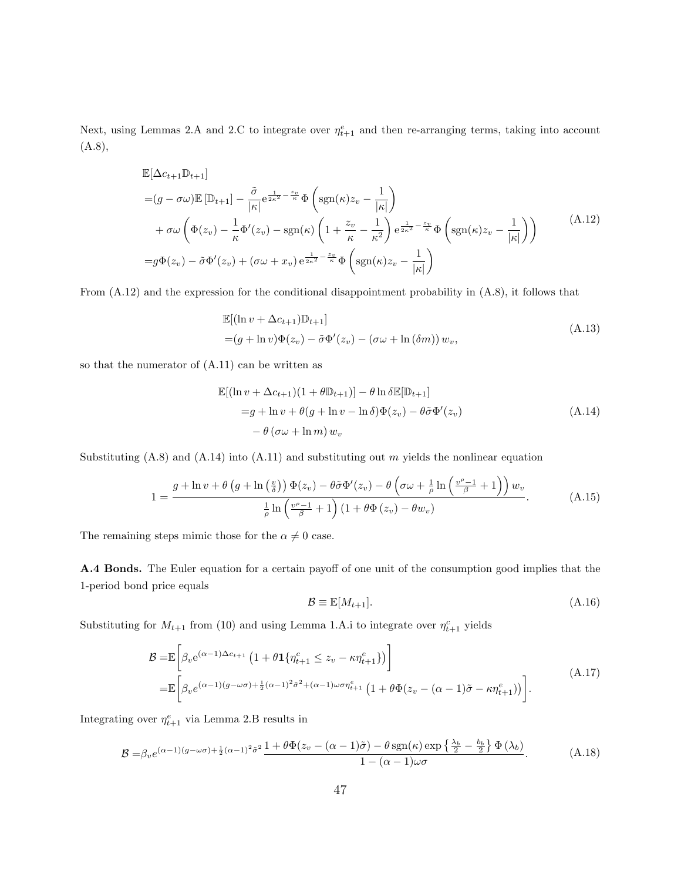Next, using Lemmas 2.A and 2.C to integrate over  $\eta_{t+1}^e$  and then re-arranging terms, taking into account (A.8),

$$
\mathbb{E}[\Delta c_{t+1} \mathbb{D}_{t+1}]
$$
\n
$$
= (g - \sigma \omega) \mathbb{E} [\mathbb{D}_{t+1}] - \frac{\tilde{\sigma}}{|\kappa|} e^{\frac{1}{2\kappa^2} - \frac{z_v}{\kappa}} \Phi\left(\text{sgn}(\kappa) z_v - \frac{1}{|\kappa|}\right)
$$
\n
$$
+ \sigma \omega \left(\Phi(z_v) - \frac{1}{\kappa} \Phi'(z_v) - \text{sgn}(\kappa) \left(1 + \frac{z_v}{\kappa} - \frac{1}{\kappa^2}\right) e^{\frac{1}{2\kappa^2} - \frac{z_v}{\kappa}} \Phi\left(\text{sgn}(\kappa) z_v - \frac{1}{|\kappa|}\right)\right)
$$
\n
$$
= g\Phi(z_v) - \tilde{\sigma}\Phi'(z_v) + (\sigma\omega + x_v) e^{\frac{1}{2\kappa^2} - \frac{z_v}{\kappa}} \Phi\left(\text{sgn}(\kappa) z_v - \frac{1}{|\kappa|}\right)
$$
\n(A.12)

From (A.12) and the expression for the conditional disappointment probability in (A.8), it follows that

$$
\mathbb{E}[(\ln v + \Delta c_{t+1})\mathbb{D}_{t+1}]
$$
  
=  $(g + \ln v)\Phi(z_v) - \tilde{\sigma}\Phi'(z_v) - (\sigma\omega + \ln(\delta m))w_v,$  (A.13)

so that the numerator of  $(A.11)$  can be written as

$$
\mathbb{E}[(\ln v + \Delta c_{t+1})(1 + \theta \mathbb{D}_{t+1})] - \theta \ln \delta \mathbb{E}[\mathbb{D}_{t+1}]
$$
  
=  $g + \ln v + \theta(g + \ln v - \ln \delta) \Phi(z_v) - \theta \tilde{\sigma} \Phi'(z_v)$   
 $- \theta(\sigma \omega + \ln m) w_v$  (A.14)

Substituting  $(A.8)$  and  $(A.14)$  into  $(A.11)$  and substituting out m yields the nonlinear equation

$$
1 = \frac{g + \ln v + \theta \left(g + \ln \left(\frac{v}{\delta}\right)\right) \Phi(z_v) - \theta \tilde{\sigma} \Phi'(z_v) - \theta \left(\sigma \omega + \frac{1}{\rho} \ln \left(\frac{v^{\rho} - 1}{\beta} + 1\right)\right) w_v}{\frac{1}{\rho} \ln \left(\frac{v^{\rho} - 1}{\beta} + 1\right) \left(1 + \theta \Phi(z_v) - \theta w_v\right)}.
$$
(A.15)

The remaining steps mimic those for the  $\alpha \neq 0$  case.

A.4 Bonds. The Euler equation for a certain payoff of one unit of the consumption good implies that the 1-period bond price equals

$$
\mathcal{B} \equiv \mathbb{E}[M_{t+1}].\tag{A.16}
$$

Substituting for  $M_{t+1}$  from (10) and using Lemma 1.A.i to integrate over  $\eta_{t+1}^c$  yields

$$
\mathcal{B} = \mathbb{E}\left[\beta_v e^{(\alpha-1)\Delta c_{t+1}} \left(1 + \theta \mathbf{1}\{\eta_{t+1}^c \le z_v - \kappa \eta_{t+1}^e\}\right)\right]
$$
\n
$$
= \mathbb{E}\left[\beta_v e^{(\alpha-1)(g-\omega\sigma) + \frac{1}{2}(\alpha-1)^2 \tilde{\sigma}^2 + (\alpha-1)\omega\sigma \eta_{t+1}^e} \left(1 + \theta \Phi(z_v - (\alpha-1)\tilde{\sigma} - \kappa \eta_{t+1}^e)\right)\right].
$$
\n(A.17)

Integrating over  $\eta_{t+1}^e$  via Lemma 2.B results in

$$
\mathcal{B} = \beta_v e^{(\alpha - 1)(g - \omega \sigma) + \frac{1}{2}(\alpha - 1)^2 \tilde{\sigma}^2} \frac{1 + \theta \Phi(z_v - (\alpha - 1)\tilde{\sigma}) - \theta \operatorname{sgn}(\kappa) \exp\left\{\frac{\lambda_b}{2} - \frac{b_b}{2}\right\} \Phi(\lambda_b)}{1 - (\alpha - 1)\omega \sigma}.
$$
 (A.18)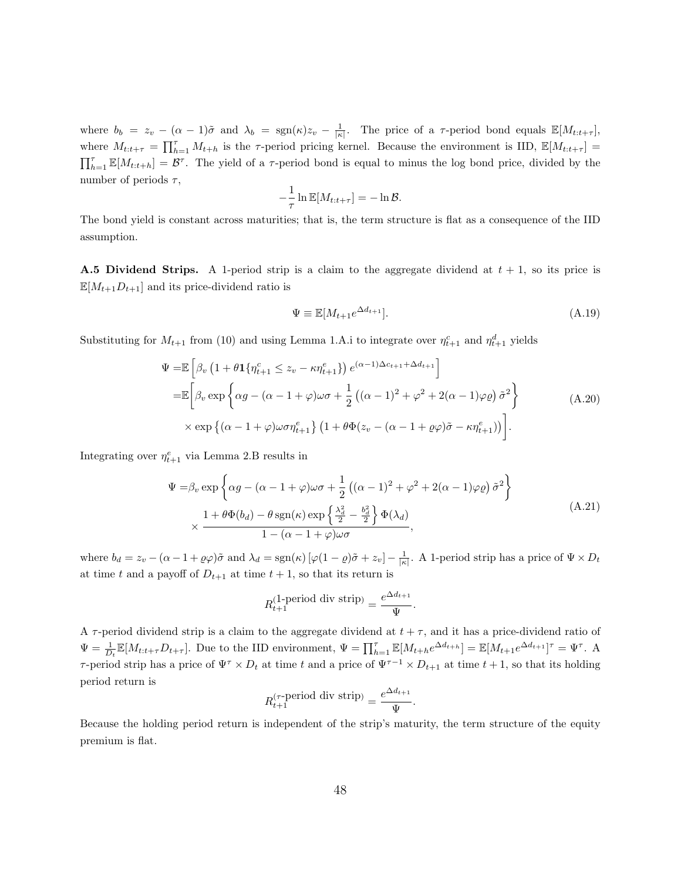where  $b_b = z_v - (\alpha - 1)\tilde{\sigma}$  and  $\lambda_b = \text{sgn}(\kappa)z_v - \frac{1}{|\kappa|}$ . The price of a  $\tau$ -period bond equals  $\mathbb{E}[M_{t:t+\tau}]$ , where  $M_{t:t+\tau} = \prod_{h=1}^{\tau} M_{t+h}$  is the  $\tau$ -period pricing kernel. Because the environment is IID,  $\mathbb{E}[M_{t:t+\tau}] =$  $\prod_{h=1}^{\tau} \mathbb{E}[M_{t:t+h}] = \mathcal{B}^{\tau}$ . The yield of a  $\tau$ -period bond is equal to minus the log bond price, divided by the number of periods  $\tau$ ,

$$
-\frac{1}{\tau}\ln \mathbb{E}[M_{t:t+\tau}] = -\ln \mathcal{B}.
$$

The bond yield is constant across maturities; that is, the term structure is flat as a consequence of the IID assumption.

**A.5 Dividend Strips.** A 1-period strip is a claim to the aggregate dividend at  $t + 1$ , so its price is  $\mathbb{E}[M_{t+1}D_{t+1}]$  and its price-dividend ratio is

$$
\Psi \equiv \mathbb{E}[M_{t+1}e^{\Delta d_{t+1}}].\tag{A.19}
$$

Substituting for  $M_{t+1}$  from (10) and using Lemma 1.A.i to integrate over  $\eta_{t+1}^c$  and  $\eta_{t+1}^d$  yields

$$
\Psi = \mathbb{E}\left[\beta_v \left(1 + \theta \mathbf{1}\{\eta_{t+1}^c \le z_v - \kappa \eta_{t+1}^e\}\right) e^{(\alpha - 1)\Delta c_{t+1} + \Delta d_{t+1}}\right] \n= \mathbb{E}\left[\beta_v \exp\left\{\alpha g - (\alpha - 1 + \varphi)\omega\sigma + \frac{1}{2}\left((\alpha - 1)^2 + \varphi^2 + 2(\alpha - 1)\varphi\varrho\right)\tilde{\sigma}^2\right\} \right] \n\times \exp\left\{(\alpha - 1 + \varphi)\omega\sigma \eta_{t+1}^e\right\} \left(1 + \theta \Phi(z_v - (\alpha - 1 + \varrho\varphi)\tilde{\sigma} - \kappa \eta_{t+1}^e)\right)\right].
$$
\n(A.20)

Integrating over  $\eta_{t+1}^e$  via Lemma 2.B results in

$$
\Psi = \beta_v \exp\left\{\alpha g - (\alpha - 1 + \varphi)\omega\sigma + \frac{1}{2}\left((\alpha - 1)^2 + \varphi^2 + 2(\alpha - 1)\varphi\varrho\right)\tilde{\sigma}^2\right\}
$$
\n
$$
\times \frac{1 + \theta\Phi(b_d) - \theta\operatorname{sgn}(\kappa)\exp\left\{\frac{\lambda_d^2}{2} - \frac{b_d^2}{2}\right\}\Phi(\lambda_d)}{1 - (\alpha - 1 + \varphi)\omega\sigma},
$$
\n(A.21)

where  $b_d = z_v - (\alpha - 1 + \varrho \varphi) \tilde{\sigma}$  and  $\lambda_d = \text{sgn}(\kappa) [\varphi(1 - \varrho) \tilde{\sigma} + z_v] - \frac{1}{|\kappa|}$ . A 1-period strip has a price of  $\Psi \times D_t$ at time t and a payoff of  $D_{t+1}$  at time  $t+1$ , so that its return is

$$
R_{t+1}^{(1\text{-period div strip})} = \frac{e^{\Delta d_{t+1}}}{\Psi}.
$$

A  $\tau$ -period dividend strip is a claim to the aggregate dividend at  $t + \tau$ , and it has a price-dividend ratio of  $\Psi = \frac{1}{D_t} \mathbb{E}[M_{t:t+\tau}D_{t+\tau}]$ . Due to the IID environment,  $\Psi = \prod_{h=1}^{\tau} \mathbb{E}[M_{t+h}e^{\Delta d_{t+h}}] = \mathbb{E}[M_{t+1}e^{\Delta d_{t+1}}]^{\tau} = \Psi^{\tau}$ . A τ-period strip has a price of  $\Psi^{\tau} \times D_t$  at time t and a price of  $\Psi^{\tau-1} \times D_{t+1}$  at time  $t+1$ , so that its holding period return is

$$
R_{t+1}^{(\tau\text{-period div strip})} = \frac{e^{\Delta d_{t+1}}}{\Psi}.
$$

Because the holding period return is independent of the strip's maturity, the term structure of the equity premium is flat.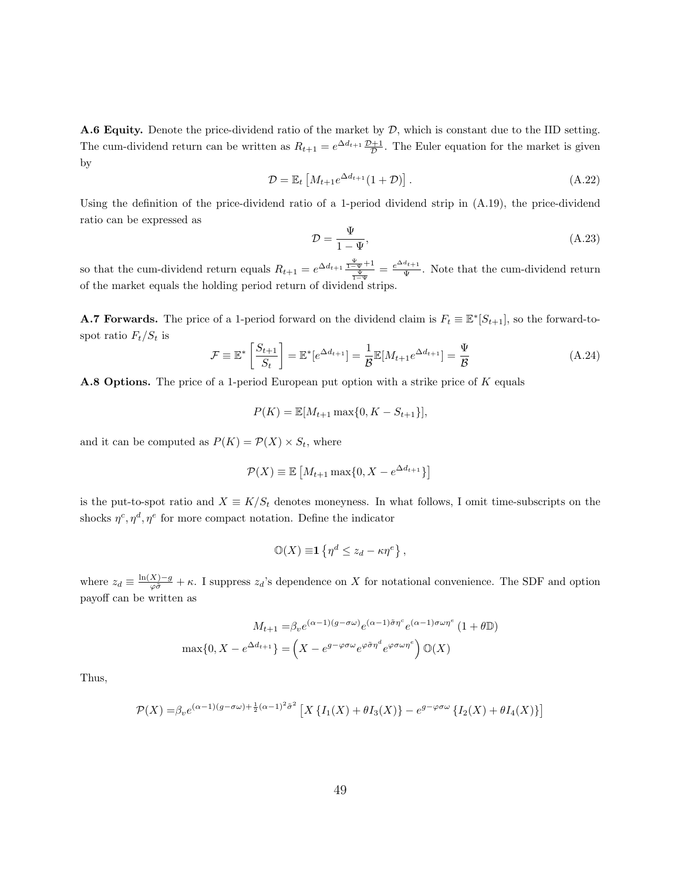**A.6 Equity.** Denote the price-dividend ratio of the market by  $D$ , which is constant due to the IID setting. The cum-dividend return can be written as  $R_{t+1} = e^{\Delta d_{t+1}} \frac{\mathcal{D}+1}{\mathcal{D}}$ . The Euler equation for the market is given by

$$
\mathcal{D} = \mathbb{E}_t \left[ M_{t+1} e^{\Delta d_{t+1}} (1+\mathcal{D}) \right]. \tag{A.22}
$$

Using the definition of the price-dividend ratio of a 1-period dividend strip in (A.19), the price-dividend ratio can be expressed as

$$
\mathcal{D} = \frac{\Psi}{1 - \Psi},\tag{A.23}
$$

so that the cum-dividend return equals  $R_{t+1} = e^{\Delta d_{t+1}} \frac{\Psi}{\frac{\Psi}{1-\Psi}} = \frac{e^{\Delta d_{t+1}}}{\Psi}$  $\frac{u_{t+1}}{\Psi}$ . Note that the cum-dividend return of the market equals the holding period return of dividend strips.

**A.7 Forwards.** The price of a 1-period forward on the dividend claim is  $F_t \equiv \mathbb{E}^*[S_{t+1}]$ , so the forward-tospot ratio  $F_t/S_t$  is

$$
\mathcal{F} \equiv \mathbb{E}^* \left[ \frac{S_{t+1}}{S_t} \right] = \mathbb{E}^* [e^{\Delta d_{t+1}}] = \frac{1}{\mathcal{B}} \mathbb{E}[M_{t+1} e^{\Delta d_{t+1}}] = \frac{\Psi}{\mathcal{B}}
$$
(A.24)

A.8 Options. The price of a 1-period European put option with a strike price of K equals

$$
P(K) = \mathbb{E}[M_{t+1} \max\{0, K - S_{t+1}\}],
$$

and it can be computed as  $P(K) = \mathcal{P}(X) \times S_t$ , where

$$
\mathcal{P}(X) \equiv \mathbb{E}\left[M_{t+1} \max\{0, X - e^{\Delta d_{t+1}}\}\right]
$$

is the put-to-spot ratio and  $X \equiv K/S_t$  denotes moneyness. In what follows, I omit time-subscripts on the shocks  $\eta^c, \eta^d, \eta^e$  for more compact notation. Define the indicator

$$
\mathbb{O}(X) \equiv 1 \left\{ \eta^d \le z_d - \kappa \eta^e \right\},\,
$$

where  $z_d \equiv \frac{\ln(X)-g}{\varphi \tilde{\sigma}} + \kappa$ . I suppress  $z_d$ 's dependence on X for notational convenience. The SDF and option payoff can be written as

$$
M_{t+1} = \beta_v e^{(\alpha - 1)(g - \sigma \omega)} e^{(\alpha - 1)\tilde{\sigma}\eta^c} e^{(\alpha - 1)\sigma\omega\eta^e} (1 + \theta \mathbb{D})
$$

$$
\max\{0, X - e^{\Delta d_{t+1}}\} = \left(X - e^{g - \varphi\sigma\omega} e^{\varphi\tilde{\sigma}\eta^d} e^{\varphi\sigma\omega\eta^e}\right) \mathbb{O}(X)
$$

Thus,

$$
\mathcal{P}(X) = \beta_v e^{(\alpha - 1)(g - \sigma \omega) + \frac{1}{2}(\alpha - 1)^2 \tilde{\sigma}^2} \left[ X \left\{ I_1(X) + \theta I_3(X) \right\} - e^{g - \varphi \sigma \omega} \left\{ I_2(X) + \theta I_4(X) \right\} \right]
$$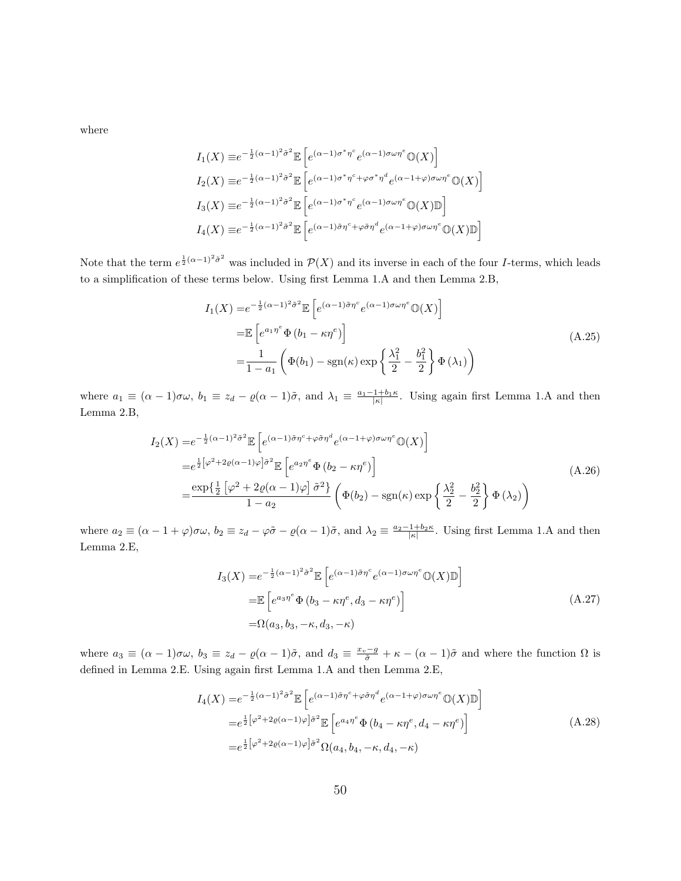where

$$
I_1(X) \equiv e^{-\frac{1}{2}(\alpha - 1)^2 \tilde{\sigma}^2} \mathbb{E} \left[ e^{(\alpha - 1)\sigma^* \eta^c} e^{(\alpha - 1)\sigma \omega \eta^e} \mathbb{O}(X) \right]
$$
  
\n
$$
I_2(X) \equiv e^{-\frac{1}{2}(\alpha - 1)^2 \tilde{\sigma}^2} \mathbb{E} \left[ e^{(\alpha - 1)\sigma^* \eta^c + \varphi \sigma^* \eta^d} e^{(\alpha - 1 + \varphi)\sigma \omega \eta^e} \mathbb{O}(X) \right]
$$
  
\n
$$
I_3(X) \equiv e^{-\frac{1}{2}(\alpha - 1)^2 \tilde{\sigma}^2} \mathbb{E} \left[ e^{(\alpha - 1)\sigma^* \eta^c} e^{(\alpha - 1)\sigma \omega \eta^e} \mathbb{O}(X) \mathbb{D} \right]
$$
  
\n
$$
I_4(X) \equiv e^{-\frac{1}{2}(\alpha - 1)^2 \tilde{\sigma}^2} \mathbb{E} \left[ e^{(\alpha - 1)\tilde{\sigma} \eta^c + \varphi \tilde{\sigma} \eta^d} e^{(\alpha - 1 + \varphi)\sigma \omega \eta^e} \mathbb{O}(X) \mathbb{D} \right]
$$

Note that the term  $e^{\frac{1}{2}(\alpha-1)^2\tilde{\sigma}^2}$  was included in  $\mathcal{P}(X)$  and its inverse in each of the four *I*-terms, which leads to a simplification of these terms below. Using first Lemma 1.A and then Lemma 2.B,

$$
I_1(X) = e^{-\frac{1}{2}(\alpha - 1)^2 \tilde{\sigma}^2} \mathbb{E} \left[ e^{(\alpha - 1)\tilde{\sigma}\eta^c} e^{(\alpha - 1)\sigma\omega\eta^e} \mathbb{O}(X) \right]
$$
  
\n
$$
= \mathbb{E} \left[ e^{a_1 \eta^e} \Phi(b_1 - \kappa \eta^e) \right]
$$
  
\n
$$
= \frac{1}{1 - a_1} \left( \Phi(b_1) - \text{sgn}(\kappa) \exp \left\{ \frac{\lambda_1^2}{2} - \frac{b_1^2}{2} \right\} \Phi(\lambda_1) \right)
$$
\n(A.25)

where  $a_1 \equiv (\alpha - 1)\sigma\omega$ ,  $b_1 \equiv z_d - \varrho(\alpha - 1)\tilde{\sigma}$ , and  $\lambda_1 \equiv \frac{a_1 - 1 + b_1\kappa}{|\kappa|}$ . Using again first Lemma 1.A and then Lemma 2.B,

$$
I_2(X) = e^{-\frac{1}{2}(\alpha - 1)^2 \tilde{\sigma}^2} \mathbb{E} \left[ e^{(\alpha - 1)\tilde{\sigma}\eta^c + \varphi \tilde{\sigma}\eta^d} e^{(\alpha - 1 + \varphi)\sigma\omega\eta^e} \mathbb{O}(X) \right]
$$
  
\n
$$
= e^{\frac{1}{2} \left[ \varphi^2 + 2\varrho(\alpha - 1)\varphi \right] \tilde{\sigma}^2} \mathbb{E} \left[ e^{a_2 \eta^e} \Phi(b_2 - \kappa \eta^e) \right]
$$
  
\n
$$
= \frac{\exp\left\{ \frac{1}{2} \left[ \varphi^2 + 2\varrho(\alpha - 1)\varphi \right] \tilde{\sigma}^2 \right\}}{1 - a_2} \left( \Phi(b_2) - \text{sgn}(\kappa) \exp\left\{ \frac{\lambda_2^2}{2} - \frac{b_2^2}{2} \right\} \Phi(\lambda_2) \right)
$$
  
\n(A.26)

where  $a_2 \equiv (\alpha - 1 + \varphi)\sigma\omega$ ,  $b_2 \equiv z_d - \varphi\tilde{\sigma} - \varrho(\alpha - 1)\tilde{\sigma}$ , and  $\lambda_2 \equiv \frac{a_2 - 1 + b_2\kappa}{|\kappa|}$ . Using first Lemma 1.A and then Lemma 2.E,

$$
I_3(X) = e^{-\frac{1}{2}(\alpha - 1)^2 \tilde{\sigma}^2} \mathbb{E}\left[e^{(\alpha - 1)\tilde{\sigma}\eta^c} e^{(\alpha - 1)\sigma\omega\eta^e} \mathbb{O}(X)\mathbb{D}\right]
$$
  
\n
$$
= \mathbb{E}\left[e^{a_3\eta^e} \Phi\left(b_3 - \kappa\eta^e, d_3 - \kappa\eta^e\right)\right]
$$
  
\n
$$
= \Omega(a_3, b_3, -\kappa, d_3, -\kappa)
$$
\n(A.27)

where  $a_3 \equiv (\alpha - 1)\sigma\omega$ ,  $b_3 \equiv z_d - \varrho(\alpha - 1)\tilde{\sigma}$ , and  $d_3 \equiv \frac{x_v - g}{\tilde{\sigma}} + \kappa - (\alpha - 1)\tilde{\sigma}$  and where the function  $\Omega$  is defined in Lemma 2.E. Using again first Lemma 1.A and then Lemma 2.E,

$$
I_4(X) = e^{-\frac{1}{2}(\alpha - 1)^2 \tilde{\sigma}^2} \mathbb{E} \left[ e^{(\alpha - 1)\tilde{\sigma}\eta^c + \varphi \tilde{\sigma}\eta^d} e^{(\alpha - 1 + \varphi)\sigma\omega\eta^e} \mathbb{O}(X) \mathbb{D} \right]
$$
  
\n
$$
= e^{\frac{1}{2} \left[ \varphi^2 + 2\varrho(\alpha - 1)\varphi \right] \tilde{\sigma}^2} \mathbb{E} \left[ e^{a_4 \eta^e} \Phi \left( b_4 - \kappa \eta^e, d_4 - \kappa \eta^e \right) \right]
$$
  
\n
$$
= e^{\frac{1}{2} \left[ \varphi^2 + 2\varrho(\alpha - 1)\varphi \right] \tilde{\sigma}^2} \Omega(a_4, b_4, -\kappa, d_4, -\kappa)
$$
 (A.28)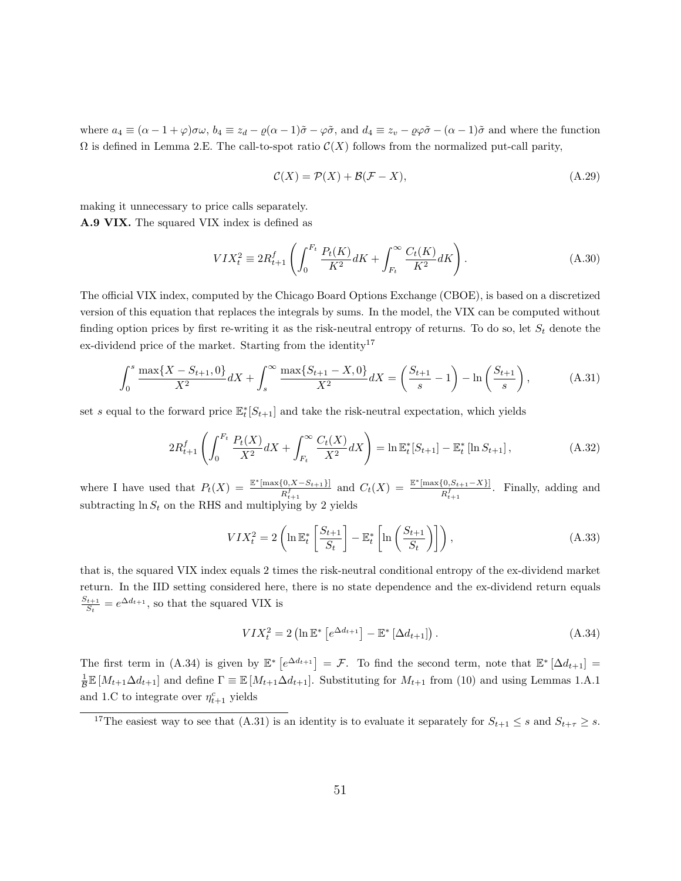where  $a_4 \equiv (\alpha - 1 + \varphi)\sigma\omega$ ,  $b_4 \equiv z_d - \varrho(\alpha - 1)\tilde{\sigma} - \varphi\tilde{\sigma}$ , and  $d_4 \equiv z_v - \varrho\varphi\tilde{\sigma} - (\alpha - 1)\tilde{\sigma}$  and where the function  $\Omega$  is defined in Lemma 2.E. The call-to-spot ratio  $\mathcal{C}(X)$  follows from the normalized put-call parity,

$$
\mathcal{C}(X) = \mathcal{P}(X) + \mathcal{B}(\mathcal{F} - X),\tag{A.29}
$$

making it unnecessary to price calls separately. A.9 VIX. The squared VIX index is defined as

$$
VIX_t^2 \equiv 2R_{t+1}^f \left( \int_0^{F_t} \frac{P_t(K)}{K^2} dK + \int_{F_t}^{\infty} \frac{C_t(K)}{K^2} dK \right). \tag{A.30}
$$

The official VIX index, computed by the Chicago Board Options Exchange (CBOE), is based on a discretized version of this equation that replaces the integrals by sums. In the model, the VIX can be computed without finding option prices by first re-writing it as the risk-neutral entropy of returns. To do so, let  $S_t$  denote the ex-dividend price of the market. Starting from the identity<sup>17</sup>

$$
\int_0^s \frac{\max\{X - S_{t+1}, 0\}}{X^2} dX + \int_s^\infty \frac{\max\{S_{t+1} - X, 0\}}{X^2} dX = \left(\frac{S_{t+1}}{s} - 1\right) - \ln\left(\frac{S_{t+1}}{s}\right),\tag{A.31}
$$

set s equal to the forward price  $\mathbb{E}_t^*[S_{t+1}]$  and take the risk-neutral expectation, which yields

$$
2R_{t+1}^f \left( \int_0^{F_t} \frac{P_t(X)}{X^2} dX + \int_{F_t}^{\infty} \frac{C_t(X)}{X^2} dX \right) = \ln \mathbb{E}_t^*[S_{t+1}] - \mathbb{E}_t^* [\ln S_{t+1}], \tag{A.32}
$$

where I have used that  $P_t(X) = \frac{\mathbb{E}^* \left[ \max\{0, X - S_{t+1}\} \right]}{p_t}$  $\frac{[0, X - S_{t+1}]}{R_{t+1}^f}$  and  $C_t(X) = \frac{\mathbb{E}^*[\max\{0, S_{t+1} - X\}]}{R_{t+1}^f}$  $\frac{\{0, S_{t+1}-X\}}{R_{t+1}^f}$ . Finally, adding and subtracting  $\ln S_t$  on the RHS and multiplying by 2 yields

$$
VIX_t^2 = 2\left(\ln \mathbb{E}_t^* \left[\frac{S_{t+1}}{S_t}\right] - \mathbb{E}_t^* \left[\ln \left(\frac{S_{t+1}}{S_t}\right)\right]\right),\tag{A.33}
$$

that is, the squared VIX index equals 2 times the risk-neutral conditional entropy of the ex-dividend market return. In the IID setting considered here, there is no state dependence and the ex-dividend return equals  $S_{t+1}$  $\frac{d_{t+1}}{S_t} = e^{\Delta d_{t+1}}$ , so that the squared VIX is

$$
VIX_t^2 = 2\left(\ln \mathbb{E}^* \left[e^{\Delta d_{t+1}}\right] - \mathbb{E}^* \left[\Delta d_{t+1}\right]\right). \tag{A.34}
$$

The first term in (A.34) is given by  $\mathbb{E}^* \left[ e^{\Delta d_{t+1}} \right] = \mathcal{F}$ . To find the second term, note that  $\mathbb{E}^* \left[ \Delta d_{t+1} \right] =$  $\frac{1}{\mathcal{B}}\mathbb{E}[M_{t+1}\Delta d_{t+1}]$  and define  $\Gamma \equiv \mathbb{E}[M_{t+1}\Delta d_{t+1}]$ . Substituting for  $M_{t+1}$  from (10) and using Lemmas 1.A.1 and 1.C to integrate over  $\eta_{t+1}^c$  yields

<sup>&</sup>lt;sup>17</sup>The easiest way to see that (A.31) is an identity is to evaluate it separately for  $S_{t+1} \leq s$  and  $S_{t+\tau} \geq s$ .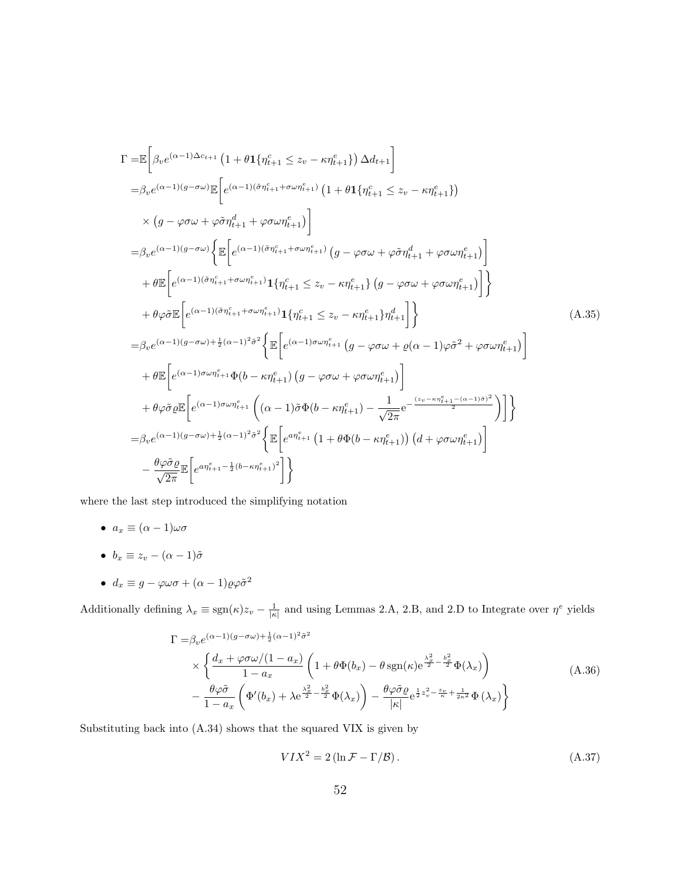$$
\Gamma = \mathbb{E}\left[\beta_{v}e^{(\alpha-1)\Delta c_{t+1}}\left(1+\theta\mathbf{1}\{\eta_{t+1}^{c}\leq z_{v}-\kappa\eta_{t+1}^{e}\}\right)\Delta d_{t+1}\right] \n= \beta_{v}e^{(\alpha-1)(g-\sigma\omega)}\mathbb{E}\left[e^{(\alpha-1)(\tilde{\sigma}\eta_{t+1}^{c}+\sigma\omega\eta_{t+1}^{c})}\left(1+\theta\mathbf{1}\{\eta_{t+1}^{c}\leq z_{v}-\kappa\eta_{t+1}^{e}\}\right)\right) \n\times \left(g-\varphi\sigma\omega+\varphi\tilde{\sigma}\eta_{t+1}^{d}+\varphi\sigma\omega\eta_{t+1}^{e}\right)\right] \n= \beta_{v}e^{(\alpha-1)(g-\sigma\omega)}\left\{\mathbb{E}\left[e^{(\alpha-1)(\tilde{\sigma}\eta_{t+1}^{c}+\sigma\omega\eta_{t+1}^{c})}\left(g-\varphi\sigma\omega+\varphi\tilde{\sigma}\eta_{t+1}^{d}+\varphi\sigma\omega\eta_{t+1}^{e}\right)\right]\right\} \n+ \theta\mathbb{E}\left[e^{(\alpha-1)(\tilde{\sigma}\eta_{t+1}^{c}+\sigma\omega\eta_{t+1}^{c})}\mathbf{1}\{\eta_{t+1}^{c}\leq z_{v}-\kappa\eta_{t+1}^{e}\}\left(g-\varphi\sigma\omega+\varphi\sigma\omega\eta_{t+1}^{e}\right)\right]\right\} \n+ \theta\varphi\tilde{\sigma}\mathbb{E}\left[e^{(\alpha-1)(\tilde{\sigma}\eta_{t+1}^{c}+\sigma\omega\eta_{t+1}^{c})}\mathbf{1}\{\eta_{t+1}^{c}\leq z_{v}-\kappa\eta_{t+1}^{e}\}\eta_{t+1}^{d}\right]\right\} \n= \beta_{v}e^{(\alpha-1)(g-\sigma\omega)+\frac{1}{2}(\alpha-1)^{2}\tilde{\sigma}^{2}}\left\{\mathbb{E}\left[e^{(\alpha-1)\sigma\omega\eta_{t+1}^{c}}\left(g-\varphi\sigma\omega+\varrho(\alpha-1)\varphi\tilde{\sigma}^{2}+\varphi\sigma\omega\eta_{t+1}^{e}\right)\right] \n+ \theta\mathbb{E}\left[e^{(\alpha-1)\sigma\omega\eta_{t+1}^{c}}\Phi(b
$$

where the last step introduced the simplifying notation

- $a_x \equiv (\alpha 1)\omega\sigma$
- $b_x \equiv z_v (\alpha 1)\tilde{\sigma}$
- $d_x \equiv g \varphi \omega \sigma + (\alpha 1) \varrho \varphi \tilde{\sigma}^2$

Additionally defining  $\lambda_x \equiv \text{sgn}(\kappa)z_v - \frac{1}{|\kappa|}$  and using Lemmas 2.A, 2.B, and 2.D to Integrate over  $\eta^e$  yields

$$
\Gamma = \beta_v e^{(\alpha - 1)(g - \sigma \omega) + \frac{1}{2}(\alpha - 1)^2 \tilde{\sigma}^2}
$$
\n
$$
\times \left\{ \frac{d_x + \varphi \sigma \omega / (1 - a_x)}{1 - a_x} \left( 1 + \theta \Phi(b_x) - \theta \operatorname{sgn}(\kappa) e^{\frac{\lambda_x^2}{2} - \frac{b_x^2}{2}} \Phi(\lambda_x) \right) - \frac{\theta \varphi \tilde{\sigma}}{1 - a_x} \left( \Phi'(b_x) + \lambda e^{\frac{\lambda_x^2}{2} - \frac{b_x^2}{2}} \Phi(\lambda_x) \right) - \frac{\theta \varphi \tilde{\sigma}}{|\kappa|} e^{\frac{1}{2} z_v^2 - \frac{z_v}{\kappa} + \frac{1}{2\kappa^2}} \Phi(\lambda_x) \right\}
$$
\n(A.36)

Substituting back into (A.34) shows that the squared VIX is given by

$$
VIX^{2} = 2\left(\ln \mathcal{F} - \Gamma/\mathcal{B}\right). \tag{A.37}
$$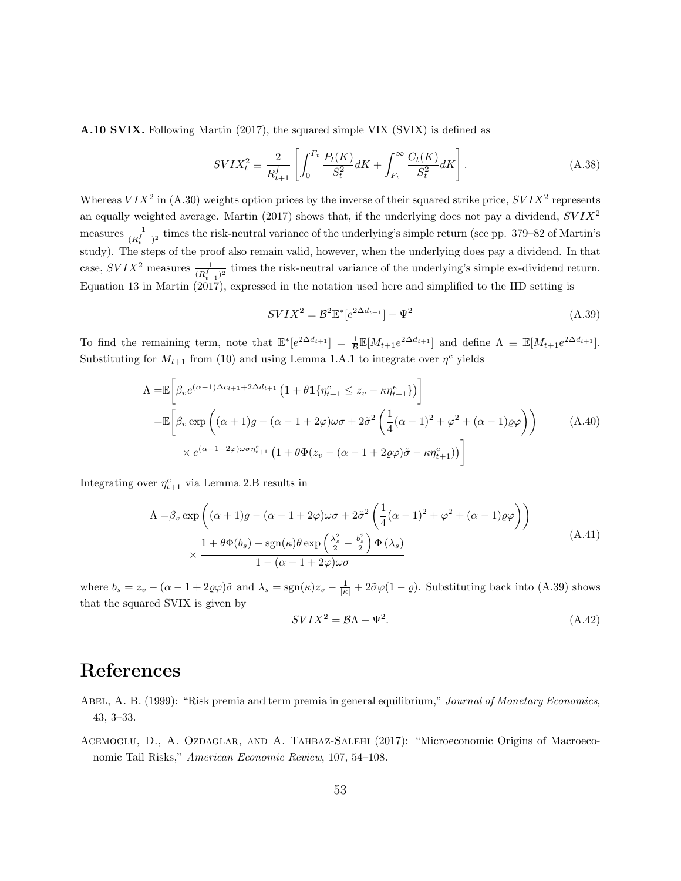A.10 SVIX. Following Martin (2017), the squared simple VIX (SVIX) is defined as

$$
SVIX_t^2 \equiv \frac{2}{R_{t+1}^f} \left[ \int_0^{F_t} \frac{P_t(K)}{S_t^2} dK + \int_{F_t}^{\infty} \frac{C_t(K)}{S_t^2} dK \right].
$$
 (A.38)

Whereas  $VIX^2$  in (A.30) weights option prices by the inverse of their squared strike price,  $SVIX^2$  represents an equally weighted average. Martin (2017) shows that, if the underlying does not pay a dividend,  $SVIX^2$ measures  $\frac{1}{(R_{t+1}^f)^2}$  times the risk-neutral variance of the underlying's simple return (see pp. 379–82 of Martin's study). The steps of the proof also remain valid, however, when the underlying does pay a dividend. In that case,  $SVIX^2$  measures  $\frac{1}{(R_{t+1}^f)^2}$  times the risk-neutral variance of the underlying's simple ex-dividend return. Equation 13 in Martin (2017), expressed in the notation used here and simplified to the IID setting is

$$
SVIX^{2} = \mathcal{B}^{2} \mathbb{E}^{*} [e^{2\Delta d_{t+1}}] - \Psi^{2}
$$
\n(A.39)

To find the remaining term, note that  $\mathbb{E}^*[e^{2\Delta d_{t+1}}] = \frac{1}{\mathcal{B}} \mathbb{E}[M_{t+1}e^{2\Delta d_{t+1}}]$  and define  $\Lambda \equiv \mathbb{E}[M_{t+1}e^{2\Delta d_{t+1}}]$ . Substituting for  $M_{t+1}$  from (10) and using Lemma 1.A.1 to integrate over  $\eta^c$  yields

$$
\Lambda = \mathbb{E}\left[\beta_v e^{(\alpha-1)\Delta c_{t+1} + 2\Delta d_{t+1}} \left(1 + \theta \mathbf{1}\{\eta_{t+1}^c \le z_v - \kappa \eta_{t+1}^e\}\right)\right]
$$
\n
$$
= \mathbb{E}\left[\beta_v \exp\left((\alpha+1)g - (\alpha-1+2\varphi)\omega\sigma + 2\tilde{\sigma}^2 \left(\frac{1}{4}(\alpha-1)^2 + \varphi^2 + (\alpha-1)\varrho\varphi\right)\right) \times e^{(\alpha-1+2\varphi)\omega\sigma \eta_{t+1}^e} \left(1 + \theta \Phi(z_v - (\alpha-1+2\varrho\varphi)\tilde{\sigma} - \kappa \eta_{t+1}^e)\right)\right]
$$
\n(A.40)

Integrating over  $\eta_{t+1}^e$  via Lemma 2.B results in

$$
\Lambda = \beta_v \exp\left((\alpha + 1)g - (\alpha - 1 + 2\varphi)\omega\sigma + 2\tilde{\sigma}^2 \left(\frac{1}{4}(\alpha - 1)^2 + \varphi^2 + (\alpha - 1)\varrho\varphi\right)\right)
$$
\n
$$
\times \frac{1 + \theta\Phi(b_s) - \operatorname{sgn}(\kappa)\theta\exp\left(\frac{\lambda_s^2}{2} - \frac{b_s^2}{2}\right)\Phi(\lambda_s)}{1 - (\alpha - 1 + 2\varphi)\omega\sigma}
$$
\n(A.41)

where  $b_s = z_v - (\alpha - 1 + 2\varrho\varphi)\tilde{\sigma}$  and  $\lambda_s = \text{sgn}(\kappa)z_v - \frac{1}{|\kappa|} + 2\tilde{\sigma}\varphi(1-\varrho)$ . Substituting back into (A.39) shows that the squared SVIX is given by

$$
SVIX^2 = \mathcal{B}\Lambda - \Psi^2. \tag{A.42}
$$

## References

- ABEL, A. B. (1999): "Risk premia and term premia in general equilibrium," Journal of Monetary Economics, 43, 3–33.
- Acemoglu, D., A. Ozdaglar, and A. Tahbaz-Salehi (2017): "Microeconomic Origins of Macroeconomic Tail Risks," American Economic Review, 107, 54–108.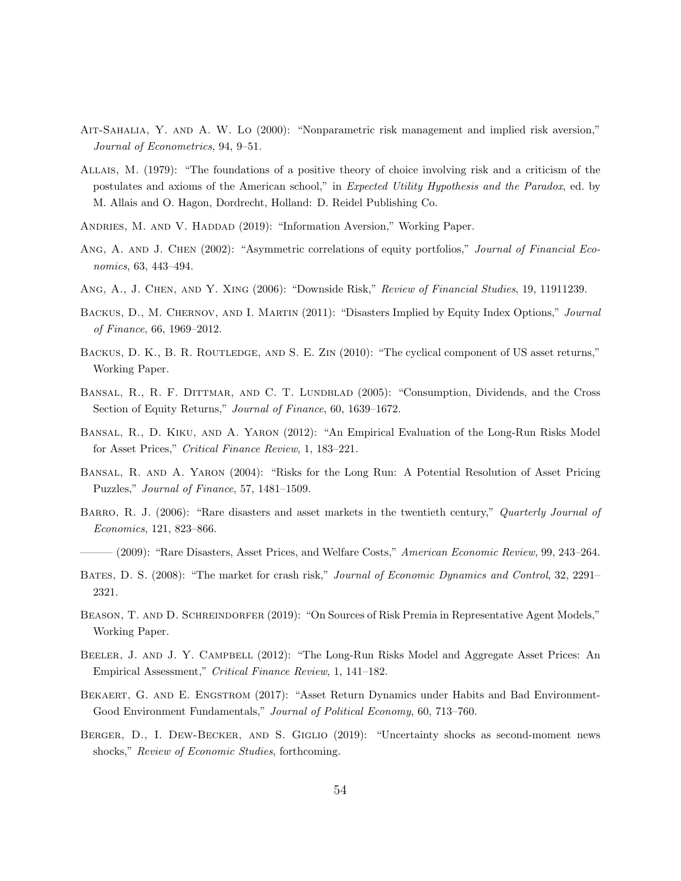- Ait-Sahalia, Y. and A. W. Lo (2000): "Nonparametric risk management and implied risk aversion," Journal of Econometrics, 94, 9–51.
- Allais, M. (1979): "The foundations of a positive theory of choice involving risk and a criticism of the postulates and axioms of the American school," in Expected Utility Hypothesis and the Paradox, ed. by M. Allais and O. Hagon, Dordrecht, Holland: D. Reidel Publishing Co.
- ANDRIES, M. AND V. HADDAD (2019): "Information Aversion," Working Paper.
- ANG, A. AND J. CHEN (2002): "Asymmetric correlations of equity portfolios," Journal of Financial Economics, 63, 443–494.
- Ang, A., J. Chen, and Y. Xing (2006): "Downside Risk," Review of Financial Studies, 19, 11911239.
- BACKUS, D., M. CHERNOV, AND I. MARTIN (2011): "Disasters Implied by Equity Index Options," Journal of Finance, 66, 1969–2012.
- BACKUS, D. K., B. R. ROUTLEDGE, AND S. E. ZIN (2010): "The cyclical component of US asset returns," Working Paper.
- BANSAL, R., R. F. DITTMAR, AND C. T. LUNDBLAD (2005): "Consumption, Dividends, and the Cross Section of Equity Returns," Journal of Finance, 60, 1639–1672.
- Bansal, R., D. Kiku, and A. Yaron (2012): "An Empirical Evaluation of the Long-Run Risks Model for Asset Prices," Critical Finance Review, 1, 183–221.
- Bansal, R. and A. Yaron (2004): "Risks for the Long Run: A Potential Resolution of Asset Pricing Puzzles," Journal of Finance, 57, 1481–1509.
- BARRO, R. J. (2006): "Rare disasters and asset markets in the twentieth century," Quarterly Journal of Economics, 121, 823–866.
- ——— (2009): "Rare Disasters, Asset Prices, and Welfare Costs," American Economic Review, 99, 243–264.
- BATES, D. S. (2008): "The market for crash risk," Journal of Economic Dynamics and Control, 32, 2291– 2321.
- BEASON, T. AND D. SCHREINDORFER (2019): "On Sources of Risk Premia in Representative Agent Models," Working Paper.
- BEELER, J. AND J. Y. CAMPBELL (2012): "The Long-Run Risks Model and Aggregate Asset Prices: An Empirical Assessment," Critical Finance Review, 1, 141–182.
- BEKAERT, G. AND E. ENGSTROM (2017): "Asset Return Dynamics under Habits and Bad Environment-Good Environment Fundamentals," Journal of Political Economy, 60, 713–760.
- Berger, D., I. Dew-Becker, and S. Giglio (2019): "Uncertainty shocks as second-moment news shocks," Review of Economic Studies, forthcoming.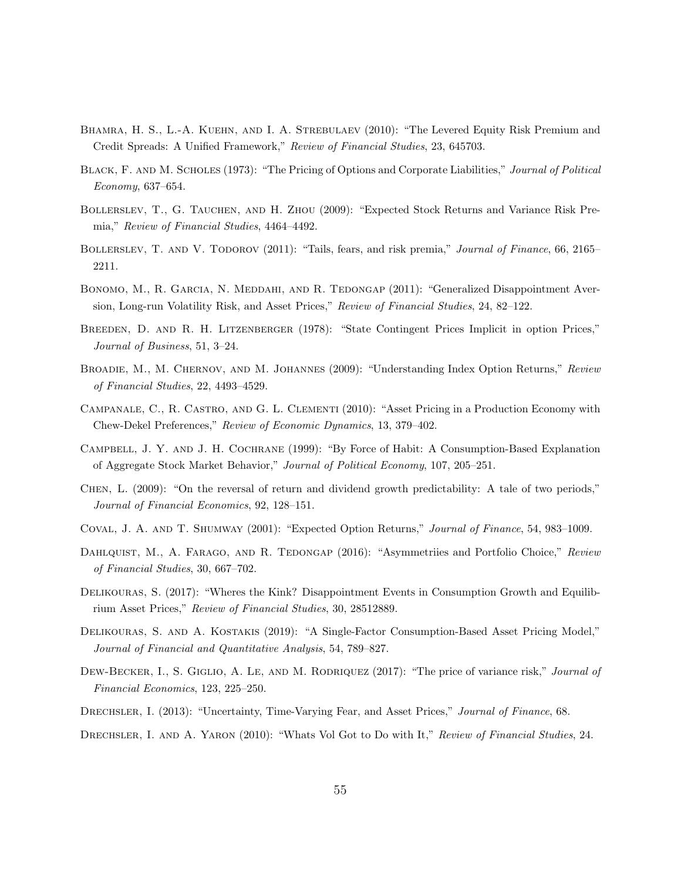- BHAMRA, H. S., L.-A. KUEHN, AND I. A. STREBULAEV (2010): "The Levered Equity Risk Premium and Credit Spreads: A Unified Framework," Review of Financial Studies, 23, 645703.
- BLACK, F. AND M. SCHOLES (1973): "The Pricing of Options and Corporate Liabilities," Journal of Political Economy, 637–654.
- Bollerslev, T., G. Tauchen, and H. Zhou (2009): "Expected Stock Returns and Variance Risk Premia," Review of Financial Studies, 4464–4492.
- BOLLERSLEV, T. AND V. TODOROV (2011): "Tails, fears, and risk premia," Journal of Finance, 66, 2165– 2211.
- BONOMO, M., R. GARCIA, N. MEDDAHI, AND R. TEDONGAP (2011): "Generalized Disappointment Aversion, Long-run Volatility Risk, and Asset Prices," Review of Financial Studies, 24, 82–122.
- BREEDEN, D. AND R. H. LITZENBERGER (1978): "State Contingent Prices Implicit in option Prices," Journal of Business, 51, 3–24.
- BROADIE, M., M. CHERNOV, AND M. JOHANNES (2009): "Understanding Index Option Returns," Review of Financial Studies, 22, 4493–4529.
- Campanale, C., R. Castro, and G. L. Clementi (2010): "Asset Pricing in a Production Economy with Chew-Dekel Preferences," Review of Economic Dynamics, 13, 379–402.
- Campbell, J. Y. and J. H. Cochrane (1999): "By Force of Habit: A Consumption-Based Explanation of Aggregate Stock Market Behavior," Journal of Political Economy, 107, 205–251.
- Chen, L. (2009): "On the reversal of return and dividend growth predictability: A tale of two periods," Journal of Financial Economics, 92, 128–151.
- Coval, J. A. and T. Shumway (2001): "Expected Option Returns," Journal of Finance, 54, 983–1009.
- DAHLQUIST, M., A. FARAGO, AND R. TEDONGAP (2016): "Asymmetriies and Portfolio Choice," Review of Financial Studies, 30, 667–702.
- Delikouras, S. (2017): "Wheres the Kink? Disappointment Events in Consumption Growth and Equilibrium Asset Prices," Review of Financial Studies, 30, 28512889.
- Delikouras, S. and A. Kostakis (2019): "A Single-Factor Consumption-Based Asset Pricing Model," Journal of Financial and Quantitative Analysis, 54, 789–827.
- DEW-BECKER, I., S. GIGLIO, A. LE, AND M. RODRIQUEZ (2017): "The price of variance risk," Journal of Financial Economics, 123, 225–250.
- Drechsler, I. (2013): "Uncertainty, Time-Varying Fear, and Asset Prices," Journal of Finance, 68.
- DRECHSLER, I. AND A. YARON (2010): "Whats Vol Got to Do with It," Review of Financial Studies, 24.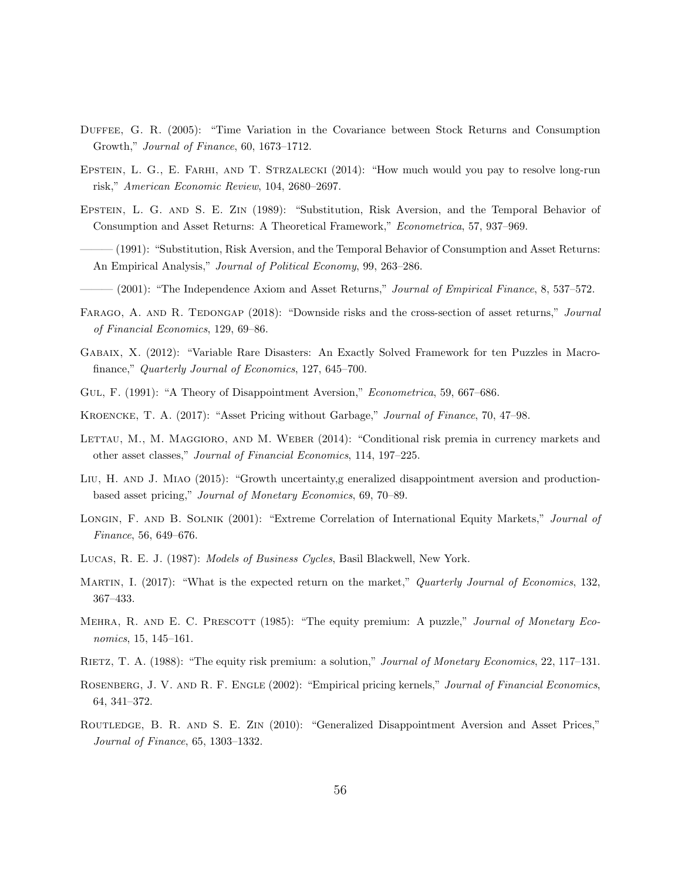- Duffee, G. R. (2005): "Time Variation in the Covariance between Stock Returns and Consumption Growth," Journal of Finance, 60, 1673–1712.
- Epstein, L. G., E. Farhi, and T. Strzalecki (2014): "How much would you pay to resolve long-run risk," American Economic Review, 104, 2680–2697.
- Epstein, L. G. and S. E. Zin (1989): "Substitution, Risk Aversion, and the Temporal Behavior of Consumption and Asset Returns: A Theoretical Framework," Econometrica, 57, 937–969.
- ——— (1991): "Substitution, Risk Aversion, and the Temporal Behavior of Consumption and Asset Returns: An Empirical Analysis," Journal of Political Economy, 99, 263–286.
- (2001): "The Independence Axiom and Asset Returns," *Journal of Empirical Finance*, 8, 537–572.
- FARAGO, A. AND R. TEDONGAP (2018): "Downside risks and the cross-section of asset returns," Journal of Financial Economics, 129, 69–86.
- Gabaix, X. (2012): "Variable Rare Disasters: An Exactly Solved Framework for ten Puzzles in Macrofinance," Quarterly Journal of Economics, 127, 645–700.
- Gul, F. (1991): "A Theory of Disappointment Aversion," Econometrica, 59, 667–686.
- Kroencke, T. A. (2017): "Asset Pricing without Garbage," Journal of Finance, 70, 47–98.
- LETTAU, M., M. MAGGIORO, AND M. WEBER (2014): "Conditional risk premia in currency markets and other asset classes," Journal of Financial Economics, 114, 197–225.
- LIU, H. AND J. MIAO (2015): "Growth uncertainty generalized disappointment aversion and productionbased asset pricing," Journal of Monetary Economics, 69, 70–89.
- LONGIN, F. AND B. SOLNIK (2001): "Extreme Correlation of International Equity Markets," Journal of Finance, 56, 649–676.
- Lucas, R. E. J. (1987): Models of Business Cycles, Basil Blackwell, New York.
- MARTIN, I. (2017): "What is the expected return on the market," Quarterly Journal of Economics, 132, 367–433.
- MEHRA, R. AND E. C. PRESCOTT (1985): "The equity premium: A puzzle," Journal of Monetary Economics, 15, 145–161.
- Rietz, T. A. (1988): "The equity risk premium: a solution," Journal of Monetary Economics, 22, 117–131.
- ROSENBERG, J. V. AND R. F. ENGLE (2002): "Empirical pricing kernels," Journal of Financial Economics, 64, 341–372.
- Routledge, B. R. and S. E. Zin (2010): "Generalized Disappointment Aversion and Asset Prices," Journal of Finance, 65, 1303–1332.